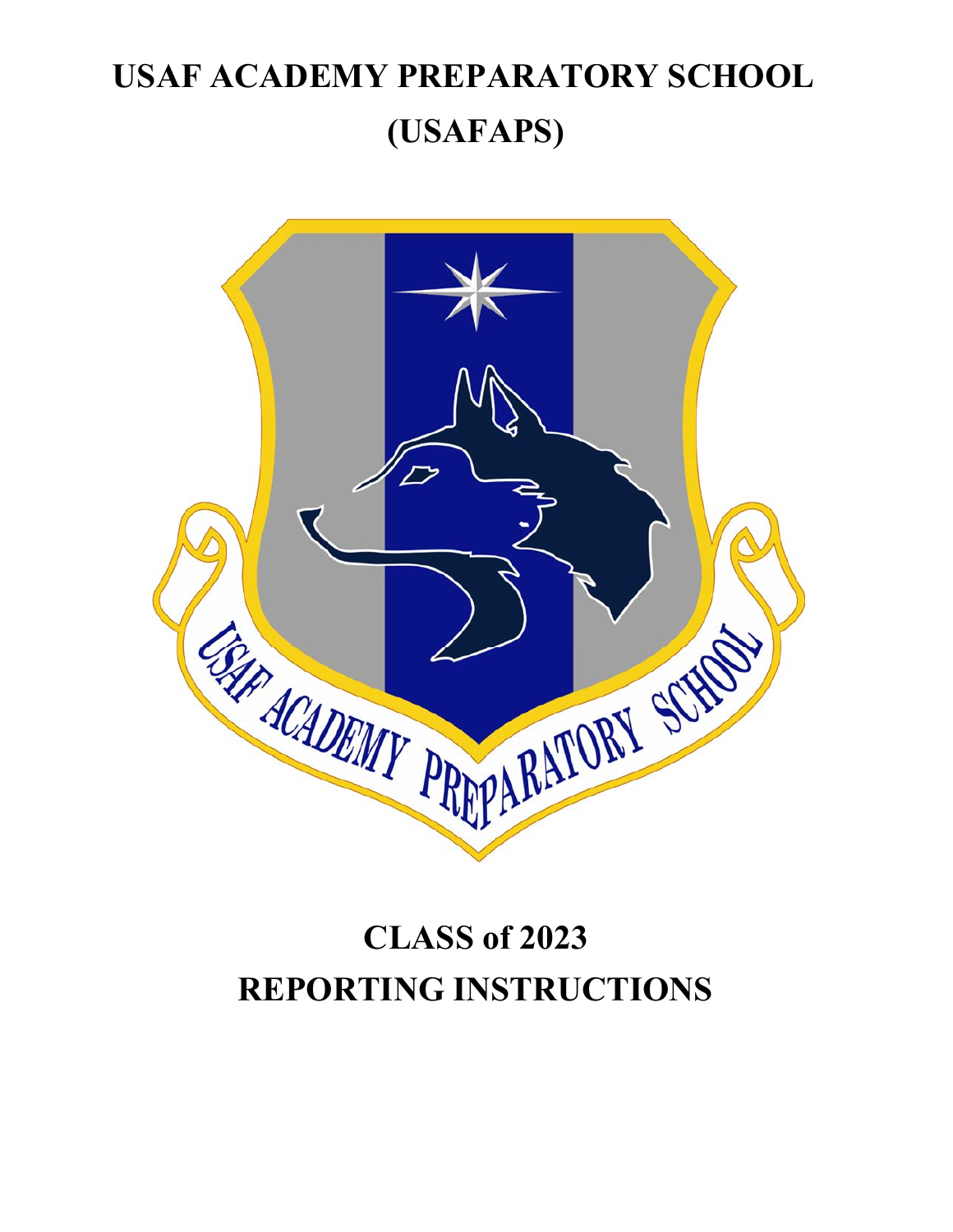# **USAF ACADEMY PREPARATORY SCHOOL (USAFAPS)**



# **CLASS of 2023 REPORTING INSTRUCTIONS**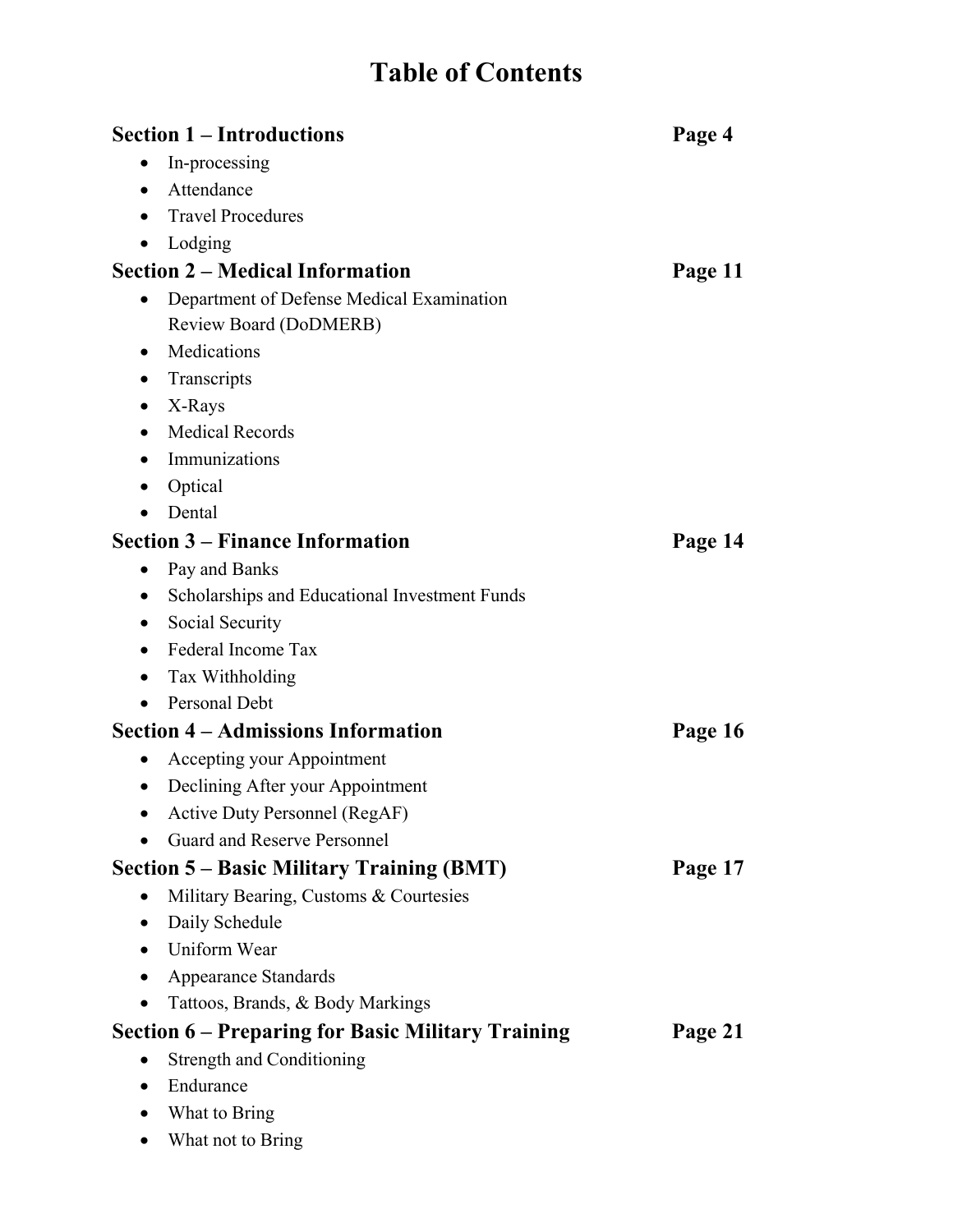# **Table of Contents**

|           | <b>Section 1 – Introductions</b>                         | Page 4  |
|-----------|----------------------------------------------------------|---------|
|           | In-processing                                            |         |
| $\bullet$ | Attendance                                               |         |
|           | <b>Travel Procedures</b>                                 |         |
|           | Lodging                                                  |         |
|           | <b>Section 2 – Medical Information</b>                   | Page 11 |
| $\bullet$ | Department of Defense Medical Examination                |         |
|           | Review Board (DoDMERB)                                   |         |
| $\bullet$ | Medications                                              |         |
|           | Transcripts                                              |         |
|           | X-Rays                                                   |         |
|           | <b>Medical Records</b>                                   |         |
|           | Immunizations                                            |         |
|           | Optical                                                  |         |
|           | Dental                                                   |         |
|           | <b>Section 3 – Finance Information</b>                   | Page 14 |
| $\bullet$ | Pay and Banks                                            |         |
| $\bullet$ | Scholarships and Educational Investment Funds            |         |
|           | Social Security                                          |         |
|           | Federal Income Tax                                       |         |
|           | Tax Withholding                                          |         |
|           | Personal Debt                                            |         |
|           | <b>Section 4 – Admissions Information</b>                | Page 16 |
| $\bullet$ | Accepting your Appointment                               |         |
| $\bullet$ | Declining After your Appointment                         |         |
|           | Active Duty Personnel (RegAF)                            |         |
|           | <b>Guard and Reserve Personnel</b>                       |         |
|           | <b>Section 5 – Basic Military Training (BMT)</b>         | Page 17 |
| $\bullet$ | Military Bearing, Customs & Courtesies                   |         |
| $\bullet$ | Daily Schedule                                           |         |
| $\bullet$ | Uniform Wear                                             |         |
|           | <b>Appearance Standards</b>                              |         |
|           | Tattoos, Brands, & Body Markings                         |         |
|           | <b>Section 6 – Preparing for Basic Military Training</b> | Page 21 |
| $\bullet$ | <b>Strength and Conditioning</b>                         |         |
|           | Endurance                                                |         |
|           | What to Bring                                            |         |

What not to Bring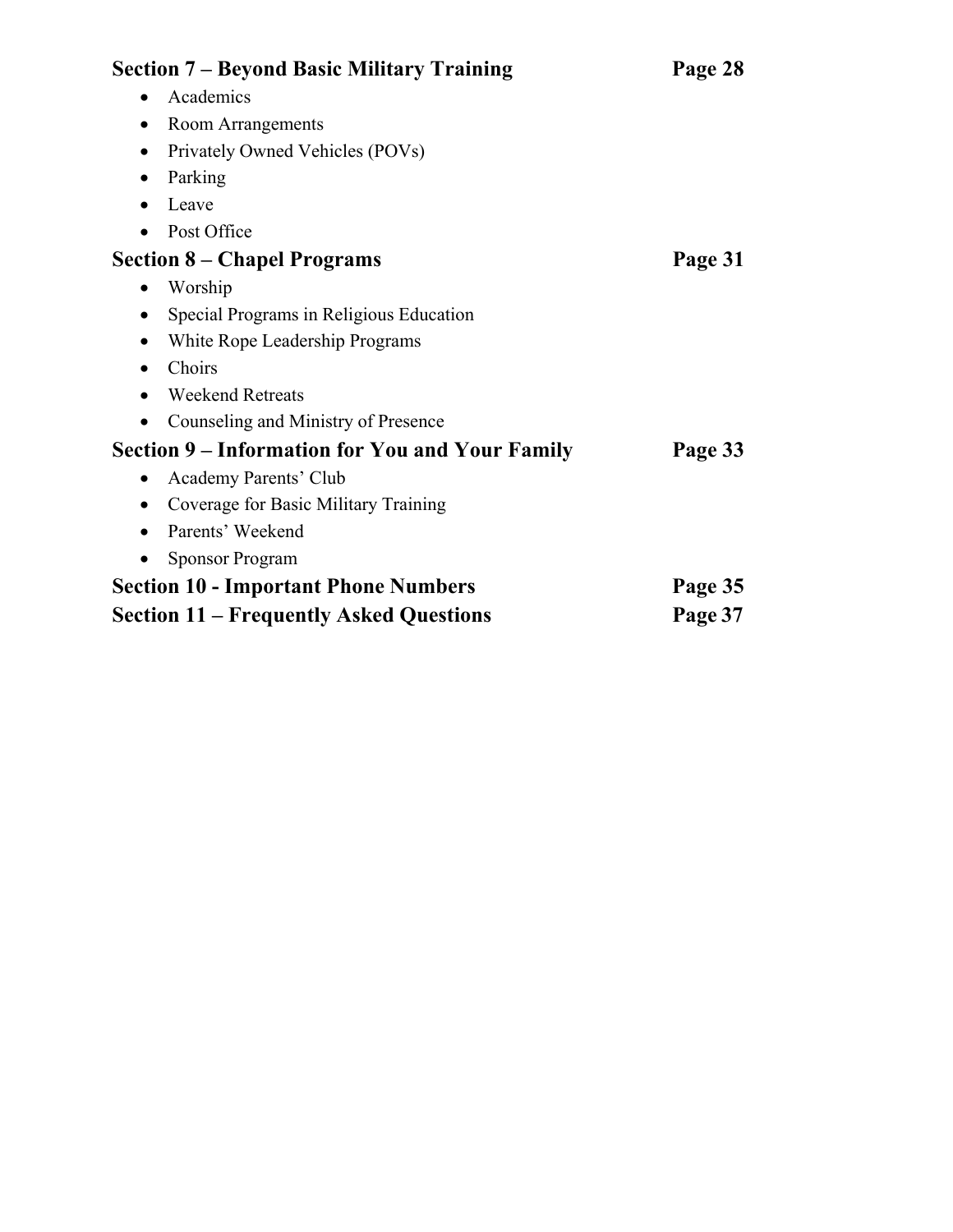| <b>Section 7 – Beyond Basic Military Training</b>      | Page 28 |
|--------------------------------------------------------|---------|
| Academics<br>$\bullet$                                 |         |
| Room Arrangements<br>$\bullet$                         |         |
| Privately Owned Vehicles (POVs)<br>$\bullet$           |         |
| Parking<br>$\bullet$                                   |         |
| Leave<br>٠                                             |         |
| Post Office                                            |         |
| <b>Section 8 - Chapel Programs</b>                     | Page 31 |
| Worship                                                |         |
| Special Programs in Religious Education<br>$\bullet$   |         |
| White Rope Leadership Programs<br>٠                    |         |
| Choirs<br>$\bullet$                                    |         |
| <b>Weekend Retreats</b>                                |         |
| Counseling and Ministry of Presence                    |         |
| <b>Section 9 – Information for You and Your Family</b> | Page 33 |
| Academy Parents' Club<br>$\bullet$                     |         |
| Coverage for Basic Military Training<br>$\bullet$      |         |
| Parents' Weekend<br>٠                                  |         |
| <b>Sponsor Program</b>                                 |         |
| <b>Section 10 - Important Phone Numbers</b>            | Page 35 |
| <b>Section 11 – Frequently Asked Questions</b>         | Page 37 |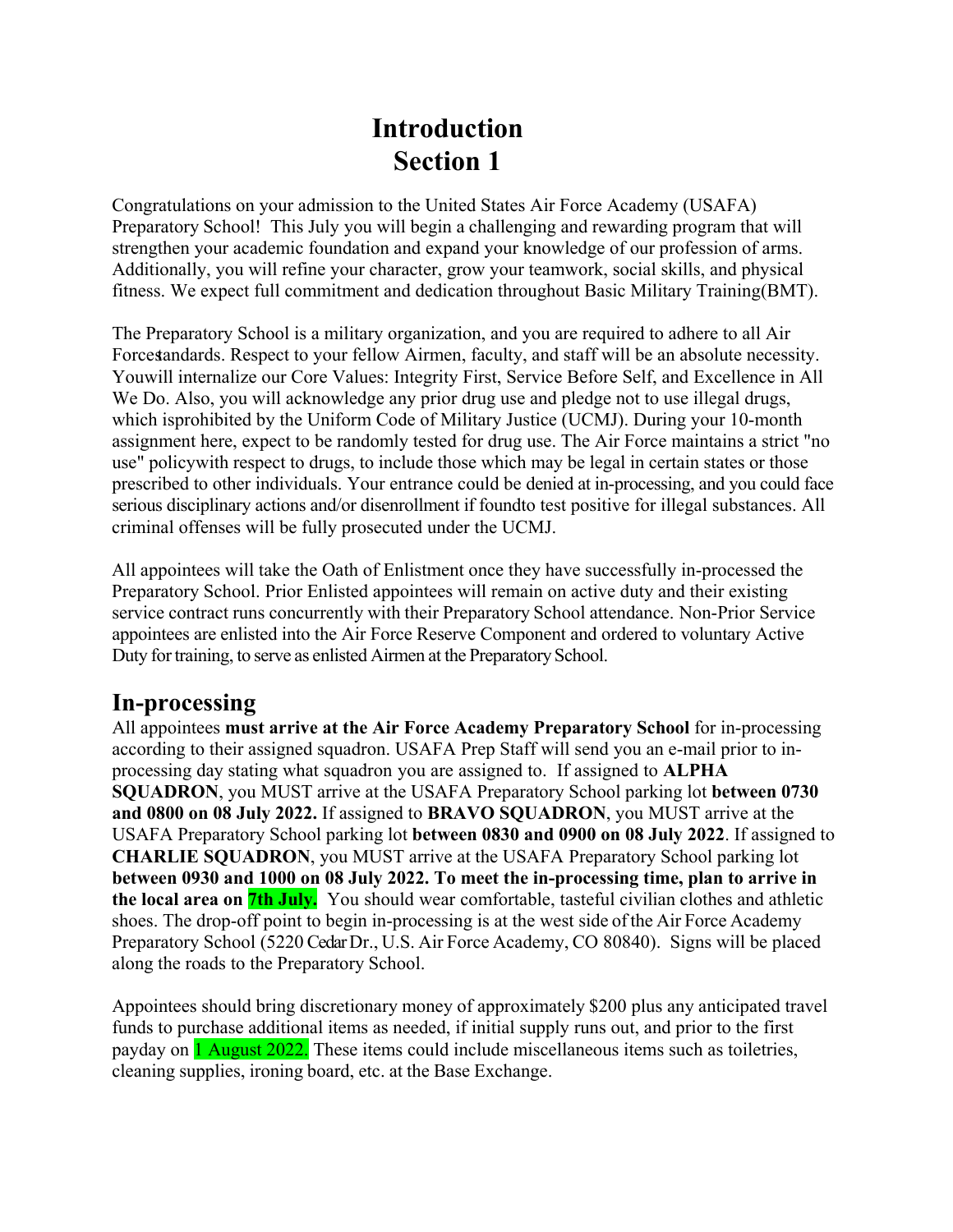# **Introduction Section 1**

Congratulations on your admission to the United States Air Force Academy (USAFA) Preparatory School! This July you will begin a challenging and rewarding program that will strengthen your academic foundation and expand your knowledge of our profession of arms. Additionally, you will refine your character, grow your teamwork, social skills, and physical fitness. We expect full commitment and dedication throughout Basic Military Training (BMT).

The Preparatory School is a military organization, and you are required to adhere to all Air Force standards. Respect to your fellow Airmen, faculty, and staff will be an absolute necessity. You will internalize our Core Values: Integrity First, Service Before Self, and Excellence in All We Do. Also, you will acknowledge any prior drug use and pledge not to use illegal drugs, which is prohibited by the Uniform Code of Military Justice (UCMJ). During your 10-month assignment here, expect to be randomly tested for drug use. The Air Force maintains a strict "no use" policy with respect to drugs, to include those which may be legal in certain states or those prescribed to other individuals. Your entrance could be denied at in-processing, and you could face serious disciplinary actions and/or disenrollment if found to test positive for illegal substances. All criminal offenses will be fully prosecuted under the UCMJ.

All appointees will take the Oath of Enlistment once they have successfully in-processed the Preparatory School. Prior Enlisted appointees will remain on active duty and their existing service contract runs concurrently with their Preparatory School attendance. Non-Prior Service appointees are enlisted into the Air Force Reserve Component and ordered to voluntary Active Duty for training, to serve as enlisted Airmen at the Preparatory School.

### **In-processing**

All appointees **must arrive at the Air Force Academy Preparatory School** for in-processing according to their assigned squadron. USAFA Prep Staff will send you an e-mail prior to inprocessing day stating what squadron you are assigned to. If assigned to **ALPHA SQUADRON**, you MUST arrive at the USAFA Preparatory School parking lot **between 0730 and 0800 on 08 July 2022.** If assigned to **BRAVO SQUADRON**, you MUST arrive at the USAFA Preparatory School parking lot **between 0830 and 0900 on 08 July 2022**. If assigned to **CHARLIE SQUADRON**, you MUST arrive at the USAFA Preparatory School parking lot **between 0930 and 1000 on 08 July 2022. To meet the in-processing time, plan to arrive in the local area on 7th July.** You should wear comfortable, tasteful civilian clothes and athletic shoes. The drop-off point to begin in-processing is at the west side of the Air Force Academy Preparatory School (5220 Cedar Dr., U.S. Air Force Academy, CO 80840). Signs will be placed along the roads to the Preparatory School.

Appointees should bring discretionary money of approximately \$200 plus any anticipated travel funds to purchase additional items as needed, if initial supply runs out, and prior to the first payday on **1 August 2022.** These items could include miscellaneous items such as toiletries, cleaning supplies, ironing board, etc. at the Base Exchange.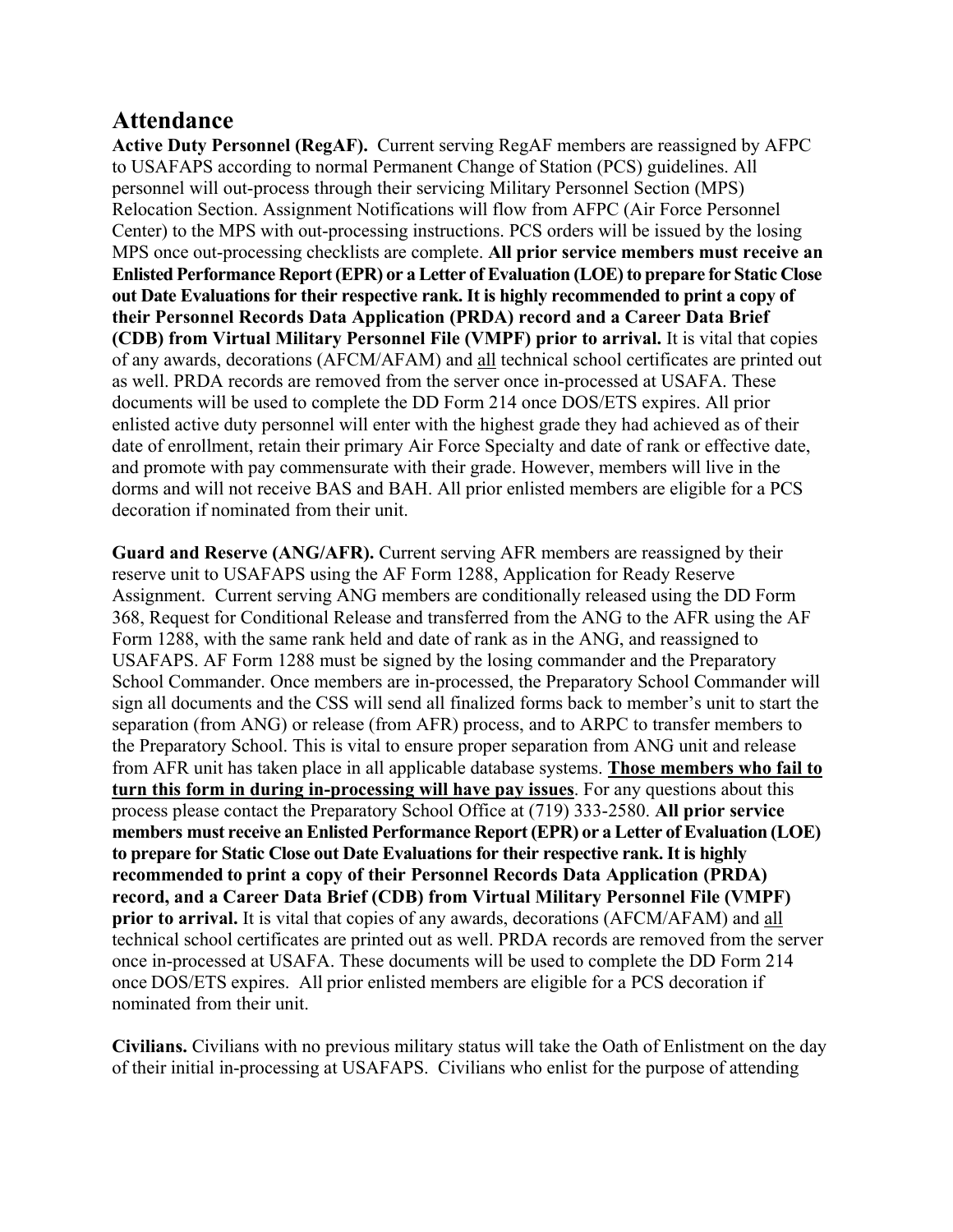### **Attendance**

**Active Duty Personnel (RegAF).** Current serving RegAF members are reassigned by AFPC to USAFAPS according to normal Permanent Change of Station (PCS) guidelines. All personnel will out-process through their servicing Military Personnel Section (MPS) Relocation Section. Assignment Notifications will flow from AFPC (Air Force Personnel Center) to the MPS with out-processing instructions. PCS orders will be issued by the losing MPS once out-processing checklists are complete. **All prior service members must receive an Enlisted Performance Report (EPR) or a Letter of Evaluation (LOE) to prepare for Static Close out Date Evaluations for their respective rank. It is highly recommended to print a copy of their Personnel Records Data Application (PRDA) record and a Career Data Brief (CDB) from Virtual Military Personnel File (VMPF) prior to arrival.** It is vital that copies of any awards, decorations (AFCM/AFAM) and all technical school certificates are printed out as well. PRDA records are removed from the server once in-processed at USAFA. These documents will be used to complete the DD Form 214 once DOS/ETS expires. All prior enlisted active duty personnel will enter with the highest grade they had achieved as of their date of enrollment, retain their primary Air Force Specialty and date of rank or effective date, and promote with pay commensurate with their grade. However, members will live in the dorms and will not receive BAS and BAH. All prior enlisted members are eligible for a PCS decoration if nominated from their unit.

**Guard and Reserve (ANG/AFR).** Current serving AFR members are reassigned by their reserve unit to USAFAPS using the AF Form 1288, Application for Ready Reserve Assignment. Current serving ANG members are conditionally released using the DD Form 368, Request for Conditional Release and transferred from the ANG to the AFR using the AF Form 1288, with the same rank held and date of rank as in the ANG, and reassigned to USAFAPS. AF Form 1288 must be signed by the losing commander and the Preparatory School Commander. Once members are in-processed, the Preparatory School Commander will sign all documents and the CSS will send all finalized forms back to member's unit to start the separation (from ANG) or release (from AFR) process, and to ARPC to transfer members to the Preparatory School. This is vital to ensure proper separation from ANG unit and release from AFR unit has taken place in all applicable database systems. **Those members who fail to turn this form in during in-processing will have pay issues**. For any questions about this process please contact the Preparatory School Office at (719) 333-2580. **All prior service members must receive an Enlisted Performance Report (EPR) or a Letter of Evaluation (LOE) to prepare for Static Close out Date Evaluations for their respective rank. It is highly recommended to print a copy of their Personnel Records Data Application (PRDA) record, and a Career Data Brief (CDB) from Virtual Military Personnel File (VMPF) prior to arrival.** It is vital that copies of any awards, decorations (AFCM/AFAM) and all technical school certificates are printed out as well. PRDA records are removed from the server once in-processed at USAFA. These documents will be used to complete the DD Form 214 once DOS/ETS expires. All prior enlisted members are eligible for a PCS decoration if nominated from their unit.

**Civilians.** Civilians with no previous military status will take the Oath of Enlistment on the day of their initial in-processing at USAFAPS. Civilians who enlist for the purpose of attending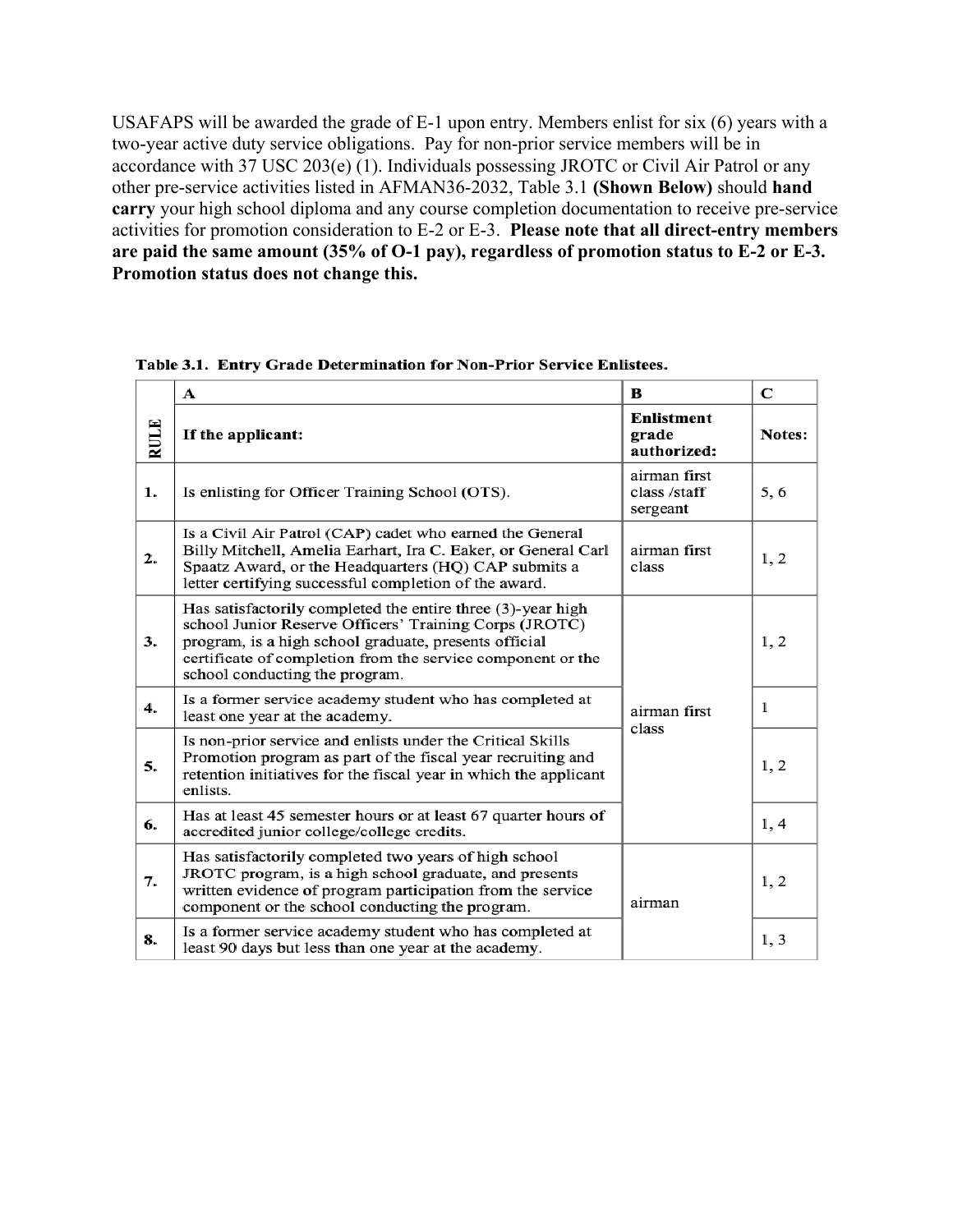USAFAPS will be awarded the grade of E-1 upon entry. Members enlist for six (6) years with a two-year active duty service obligations. Pay for non-prior service members will be in accordance with 37 USC 203(e)  $(1)$ . Individuals possessing JROTC or Civil Air Patrol or any other pre-service activities listed in AFMAN36-2032, Table 3.1 **(Shown Below)** should **hand carry** your high school diploma and any course completion documentation to receive pre-service activities for promotion consideration to E-2 or E-3. **Please note that all direct-entry members are paid the same amount (35% of O-1 pay), regardless of promotion status to E-2 or E-3. Promotion status does not change this.** 

|      | A                                                                                                                                                                                                                                                                               | B                                        | C             |
|------|---------------------------------------------------------------------------------------------------------------------------------------------------------------------------------------------------------------------------------------------------------------------------------|------------------------------------------|---------------|
| RULE | If the applicant:                                                                                                                                                                                                                                                               | Enlistment<br>grade<br>authorized:       | <b>Notes:</b> |
| 1.   | Is enlisting for Officer Training School (OTS).                                                                                                                                                                                                                                 | airman first<br>class /staff<br>sergeant | 5,6           |
| 2.   | Is a Civil Air Patrol (CAP) cadet who earned the General<br>Billy Mitchell, Amelia Earhart, Ira C. Eaker, or General Carl<br>Spaatz Award, or the Headquarters (HQ) CAP submits a<br>letter certifying successful completion of the award.                                      | airman first<br>class                    | 1, 2          |
| 3.   | Has satisfactorily completed the entire three (3)-year high<br>school Junior Reserve Officers' Training Corps (JROTC)<br>program, is a high school graduate, presents official<br>certificate of completion from the service component or the<br>school conducting the program. |                                          | 1, 2          |
| 4.   | Is a former service academy student who has completed at<br>least one year at the academy.                                                                                                                                                                                      | airman first<br>class                    | 1             |
| 5.   | Is non-prior service and enlists under the Critical Skills<br>Promotion program as part of the fiscal year recruiting and<br>retention initiatives for the fiscal year in which the applicant<br>enlists.                                                                       |                                          | 1, 2          |
| 6.   | Has at least 45 semester hours or at least 67 quarter hours of<br>accredited junior college/college credits.                                                                                                                                                                    |                                          | 1, 4          |
| 7.   | Has satisfactorily completed two years of high school<br>JROTC program, is a high school graduate, and presents<br>written evidence of program participation from the service<br>component or the school conducting the program.                                                | airman                                   | 1, 2          |
| 8.   | Is a former service academy student who has completed at<br>least 90 days but less than one year at the academy.                                                                                                                                                                |                                          | 1, 3          |

Table 3.1. Entry Grade Determination for Non-Prior Service Enlistees.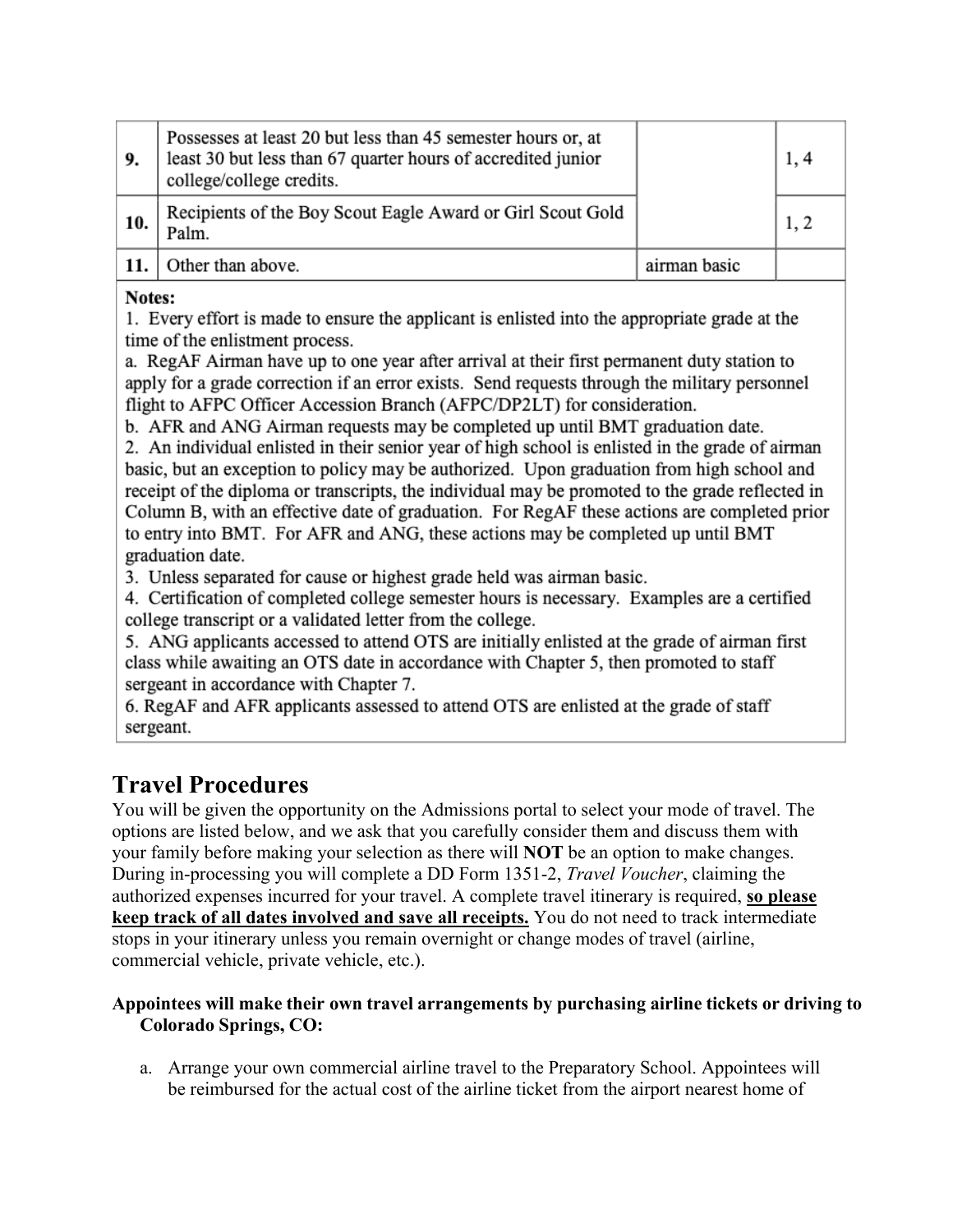| 9.  | Possesses at least 20 but less than 45 semester hours or, at<br>least 30 but less than 67 quarter hours of accredited junior<br>college/college credits. |              |  |
|-----|----------------------------------------------------------------------------------------------------------------------------------------------------------|--------------|--|
| 10. | Recipients of the Boy Scout Eagle Award or Girl Scout Gold<br>Palm.                                                                                      |              |  |
|     | Other than above.                                                                                                                                        | airman basic |  |

#### Notes:

1. Every effort is made to ensure the applicant is enlisted into the appropriate grade at the time of the enlistment process.

a. RegAF Airman have up to one year after arrival at their first permanent duty station to apply for a grade correction if an error exists. Send requests through the military personnel flight to AFPC Officer Accession Branch (AFPC/DP2LT) for consideration.

b. AFR and ANG Airman requests may be completed up until BMT graduation date.

2. An individual enlisted in their senior year of high school is enlisted in the grade of airman basic, but an exception to policy may be authorized. Upon graduation from high school and receipt of the diploma or transcripts, the individual may be promoted to the grade reflected in Column B, with an effective date of graduation. For RegAF these actions are completed prior to entry into BMT. For AFR and ANG, these actions may be completed up until BMT graduation date.

3. Unless separated for cause or highest grade held was airman basic.

4. Certification of completed college semester hours is necessary. Examples are a certified college transcript or a validated letter from the college.

5. ANG applicants accessed to attend OTS are initially enlisted at the grade of airman first class while awaiting an OTS date in accordance with Chapter 5, then promoted to staff sergeant in accordance with Chapter 7.

6. RegAF and AFR applicants assessed to attend OTS are enlisted at the grade of staff sergeant.

### **Travel Procedures**

You will be given the opportunity on the Admissions portal to select your mode of travel. The options are listed below, and we ask that you carefully consider them and discuss them with your family before making your selection as there will **NOT** be an option to make changes. During in-processing you will complete a DD Form 1351-2, *Travel Voucher*, claiming the authorized expenses incurred for your travel. A complete travel itinerary is required, **so please keep track of all dates involved and save all receipts.** You do not need to track intermediate stops in your itinerary unless you remain overnight or change modes of travel (airline, commercial vehicle, private vehicle, etc.).

#### **Appointees will make their own travel arrangements by purchasing airline tickets or driving to Colorado Springs, CO:**

a. Arrange your own commercial airline travel to the Preparatory School. Appointees will be reimbursed for the actual cost of the airline ticket from the airport nearest home of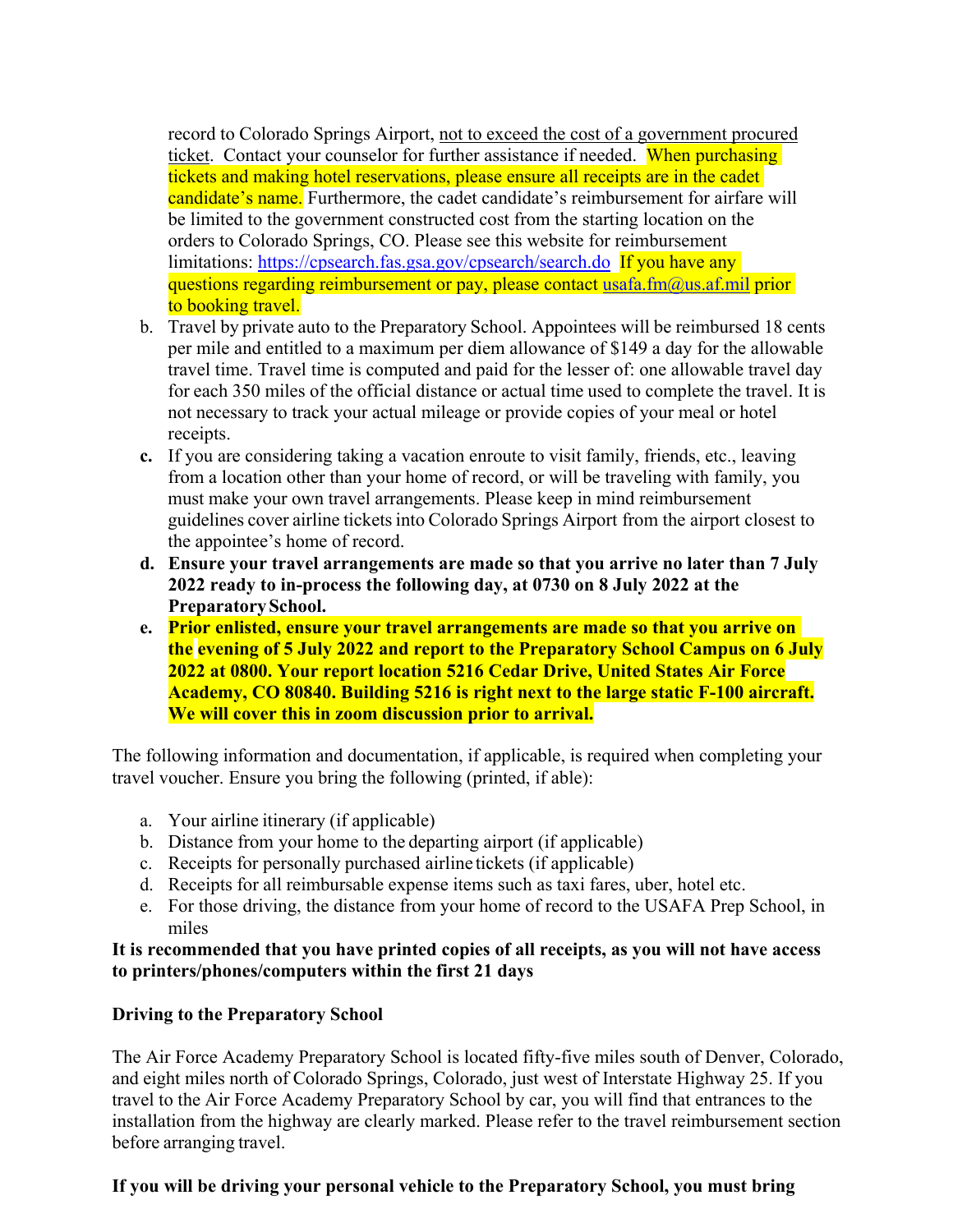record to Colorado Springs Airport, not to exceed the cost of a government procured ticket. Contact your counselor for further assistance if needed. When purchasing tickets and making hotel reservations, please ensure all receipts are in the cadet candidate's name. Furthermore, the cadet candidate's reimbursement for airfare will be limited to the government constructed cost from the starting location on the orders to Colorado Springs, CO. Please see this website for reimbursement limitations: https://cpsearch.fas.gsa.gov/cpsearch/search.do If you have any questions regarding reimbursement or pay, please contact usafa.fm $(\omega)$ us.af.mil prior to booking travel.

- b. Travel by private auto to the Preparatory School. Appointees will be reimbursed 18 cents per mile and entitled to a maximum per diem allowance of \$149 a day for the allowable travel time. Travel time is computed and paid for the lesser of: one allowable travel day for each 350 miles of the official distance or actual time used to complete the travel. It is not necessary to track your actual mileage or provide copies of your meal or hotel receipts.
- **c.** If you are considering taking a vacation enroute to visit family, friends, etc., leaving from a location other than your home of record, or will be traveling with family, you must make your own travel arrangements. Please keep in mind reimbursement guidelines cover airline tickets into Colorado Springs Airport from the airport closest to the appointee's home of record.
- **d. Ensure your travel arrangements are made so that you arrive no later than 7 July 2022 ready to in-process the following day, at 0730 on 8 July 2022 at the Preparatory School.**
- **e. Prior enlisted, ensure your travel arrangements are made so that you arrive on the evening of 5 July 2022 and report to the Preparatory School Campus on 6 July 2022 at 0800. Your report location 5216 Cedar Drive, United States Air Force Academy, CO 80840. Building 5216 is right next to the large static F-100 aircraft. We will cover this in zoom discussion prior to arrival.**

The following information and documentation, if applicable, is required when completing your travel voucher. Ensure you bring the following (printed, if able):

- a. Your airline itinerary (if applicable)
- b. Distance from your home to the departing airport (if applicable)
- c. Receipts for personally purchased airline tickets (if applicable)
- d. Receipts for all reimbursable expense items such as taxi fares, uber, hotel etc.
- e. For those driving, the distance from your home of record to the USAFA Prep School, in miles

**It is recommended that you have printed copies of all receipts, as you will not have access to printers/phones/computers within the first 21 days** 

#### **Driving to the Preparatory School**

The Air Force Academy Preparatory School is located fifty-five miles south of Denver, Colorado, and eight miles north of Colorado Springs, Colorado, just west of Interstate Highway 25. If you travel to the Air Force Academy Preparatory School by car, you will find that entrances to the installation from the highway are clearly marked. Please refer to the travel reimbursement section before arranging travel.

#### **If you will be driving your personal vehicle to the Preparatory School, you must bring**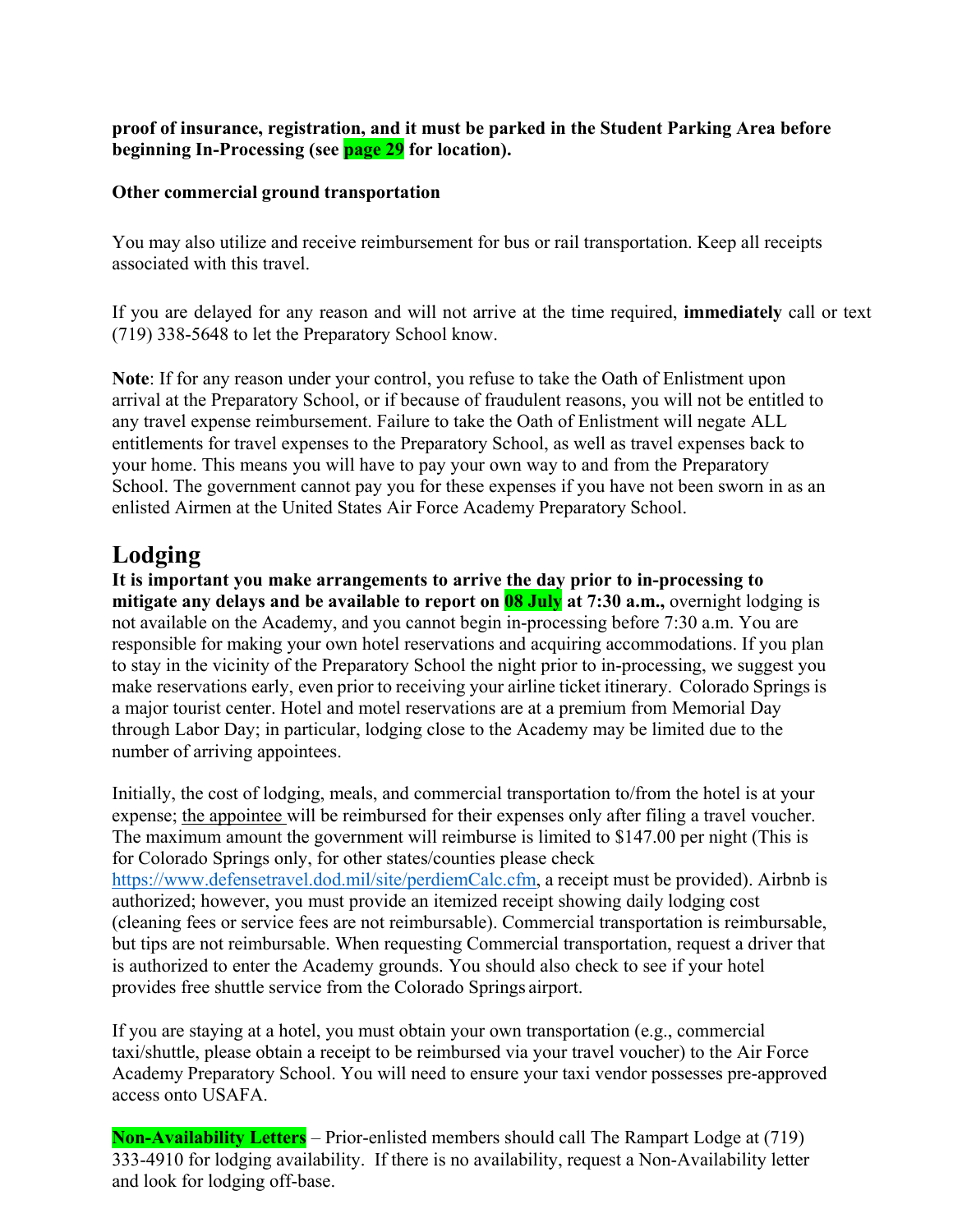**proof of insurance, registration, and it must be parked in the Student Parking Area before beginning In-Processing (see page 29 for location).** 

#### **Other commercial ground transportation**

You may also utilize and receive reimbursement for bus or rail transportation. Keep all receipts associated with this travel.

If you are delayed for any reason and will not arrive at the time required, **immediately** call or text (719) 338-5648 to let the Preparatory School know.

**Note**: If for any reason under your control, you refuse to take the Oath of Enlistment upon arrival at the Preparatory School, or if because of fraudulent reasons, you will not be entitled to any travel expense reimbursement. Failure to take the Oath of Enlistment will negate ALL entitlements for travel expenses to the Preparatory School, as well as travel expenses back to your home. This means you will have to pay your own way to and from the Preparatory School. The government cannot pay you for these expenses if you have not been sworn in as an enlisted Airmen at the United States Air Force Academy Preparatory School.

### **Lodging**

**It is important you make arrangements to arrive the day prior to in-processing to mitigate any delays and be available to report on 08 July at 7:30 a.m.,** overnight lodging is not available on the Academy, and you cannot begin in-processing before 7:30 a.m. You are responsible for making your own hotel reservations and acquiring accommodations. If you plan to stay in the vicinity of the Preparatory School the night prior to in-processing, we suggest you make reservations early, even prior to receiving your airline ticket itinerary. Colorado Springs is a major tourist center. Hotel and motel reservations are at a premium from Memorial Day through Labor Day; in particular, lodging close to the Academy may be limited due to the number of arriving appointees.

Initially, the cost of lodging, meals, and commercial transportation to/from the hotel is at your expense; the appointee will be reimbursed for their expenses only after filing a travel voucher. The maximum amount the government will reimburse is limited to \$147.00 per night (This is for Colorado Springs only, for other states/counties please check https://www.defensetravel.dod.mil/site/perdiemCalc.cfm, a receipt must be provided). Airbnb is authorized; however, you must provide an itemized receipt showing daily lodging cost (cleaning fees or service fees are not reimbursable). Commercial transportation is reimbursable, but tips are not reimbursable. When requesting Commercial transportation, request a driver that is authorized to enter the Academy grounds. You should also check to see if your hotel provides free shuttle service from the Colorado Springs airport.

If you are staying at a hotel, you must obtain your own transportation (e.g., commercial taxi/shuttle, please obtain a receipt to be reimbursed via your travel voucher) to the Air Force Academy Preparatory School. You will need to ensure your taxi vendor possesses pre-approved access onto USAFA.

**Non-Availability Letters** – Prior-enlisted members should call The Rampart Lodge at (719) 333-4910 for lodging availability. If there is no availability, request a Non-Availability letter and look for lodging off-base.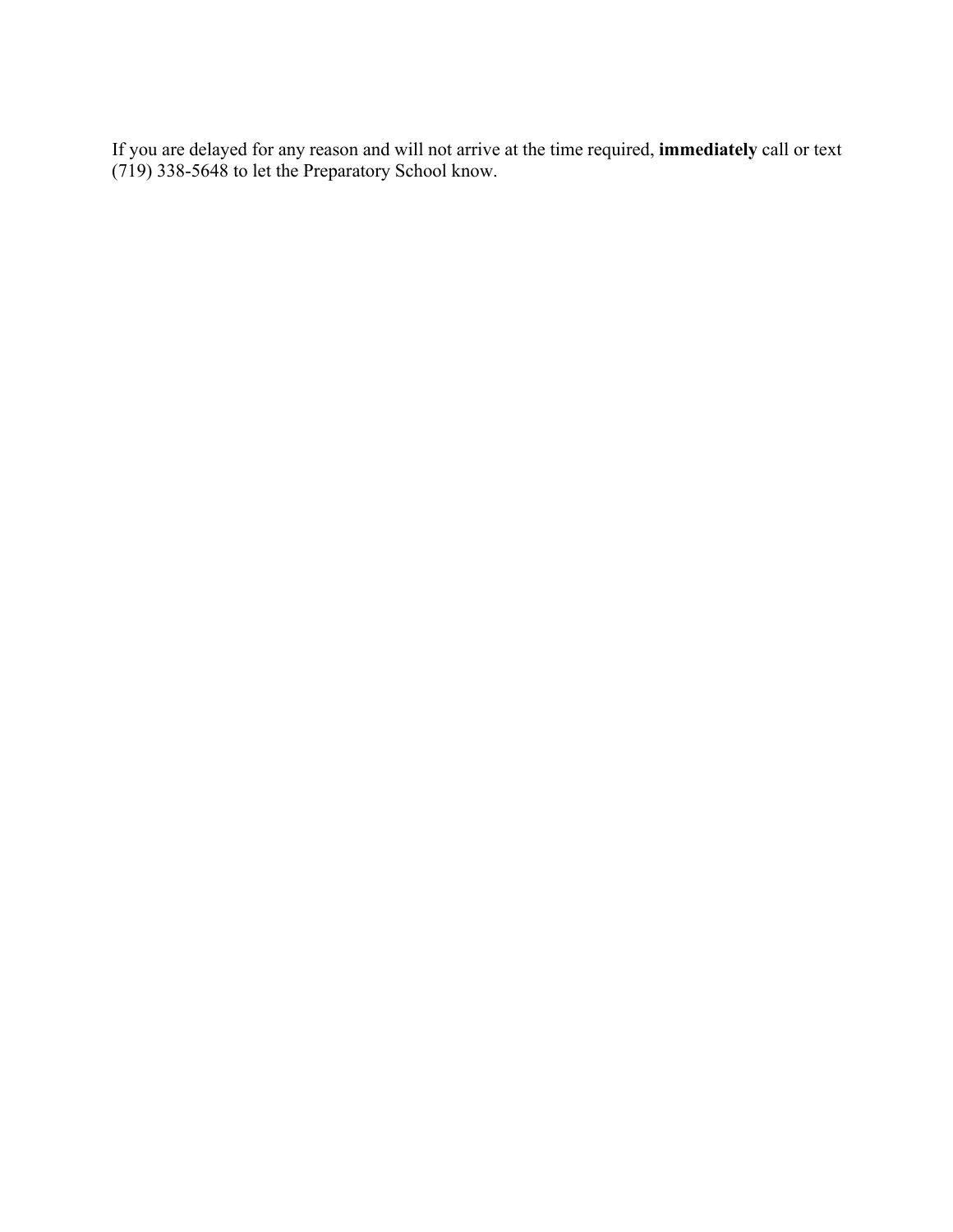If you are delayed for any reason and will not arrive at the time required, **immediately** call or text (719) 338-5648 to let the Preparatory School know.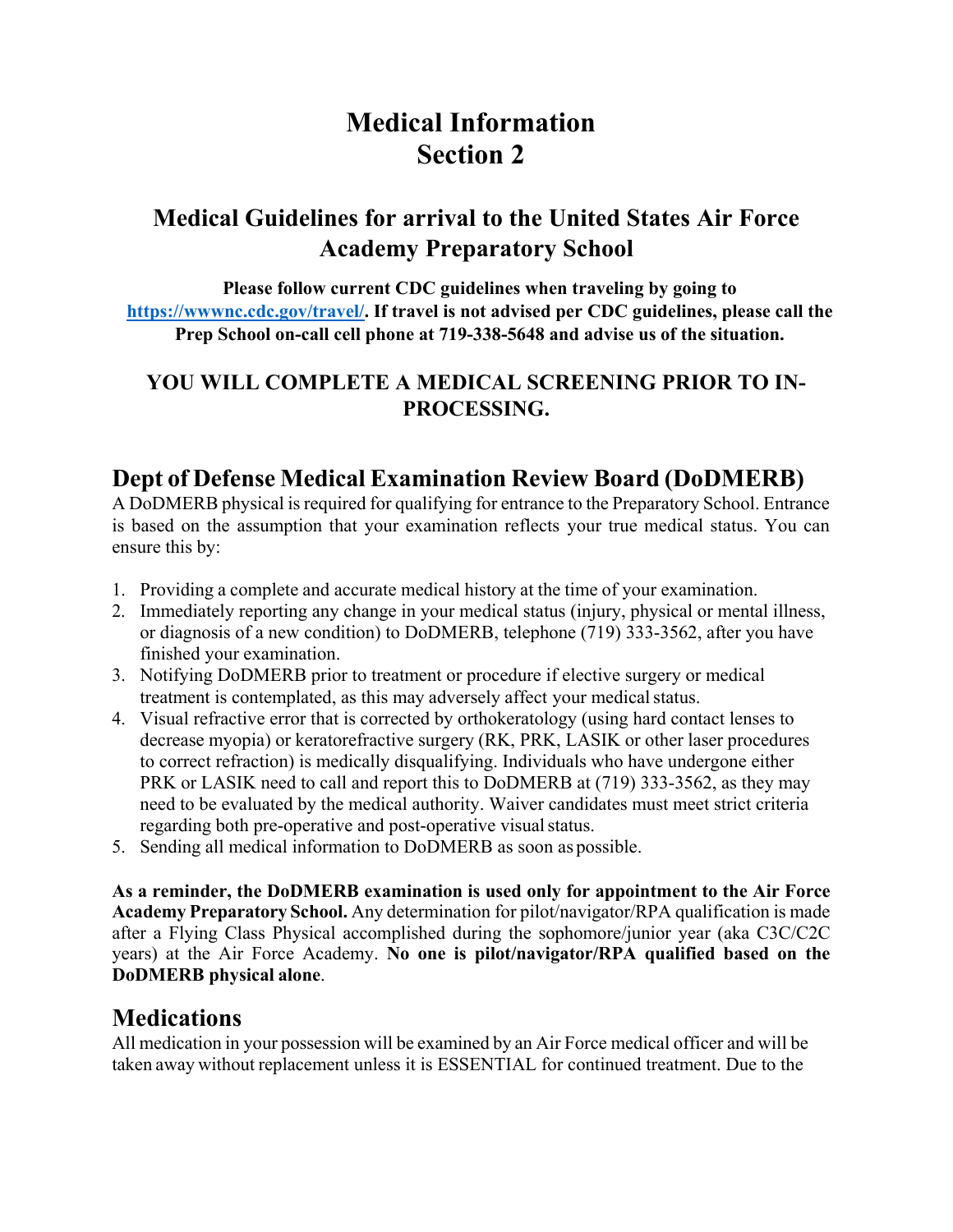# **Medical Information Section 2**

### **Medical Guidelines for arrival to the United States Air Force Academy Preparatory School**

**Please follow current CDC guidelines when traveling by going to https://wwwnc.cdc.gov/travel/. If travel is not advised per CDC guidelines, please call the Prep School on-call cell phone at 719-338-5648 and advise us of the situation.** 

### **YOU WILL COMPLETE A MEDICAL SCREENING PRIOR TO IN-PROCESSING.**

### **Dept of Defense Medical Examination Review Board (DoDMERB)**

A DoDMERB physical is required for qualifying for entrance to the Preparatory School. Entrance is based on the assumption that your examination reflects your true medical status. You can ensure this by:

- 1. Providing a complete and accurate medical history at the time of your examination.
- 2. Immediately reporting any change in your medical status (injury, physical or mental illness, or diagnosis of a new condition) to DoDMERB, telephone (719) 333-3562, after you have finished your examination.
- 3. Notifying DoDMERB prior to treatment or procedure if elective surgery or medical treatment is contemplated, as this may adversely affect your medical status.
- 4. Visual refractive error that is corrected by orthokeratology (using hard contact lenses to decrease myopia) or keratorefractive surgery (RK, PRK, LASIK or other laser procedures to correct refraction) is medically disqualifying. Individuals who have undergone either PRK or LASIK need to call and report this to DoDMERB at (719) 333-3562, as they may need to be evaluated by the medical authority. Waiver candidates must meet strict criteria regarding both pre-operative and post-operative visual status.
- 5. Sending all medical information to DoDMERB as soon as possible.

**As a reminder, the DoDMERB examination is used only for appointment to the Air Force Academy Preparatory School.** Any determination for pilot/navigator/RPA qualification is made after a Flying Class Physical accomplished during the sophomore/junior year (aka C3C/C2C years) at the Air Force Academy. **No one is pilot/navigator/RPA qualified based on the DoDMERB physical alone**.

### **Medications**

All medication in your possession will be examined by an Air Force medical officer and will be taken away without replacement unless it is ESSENTIAL for continued treatment. Due to the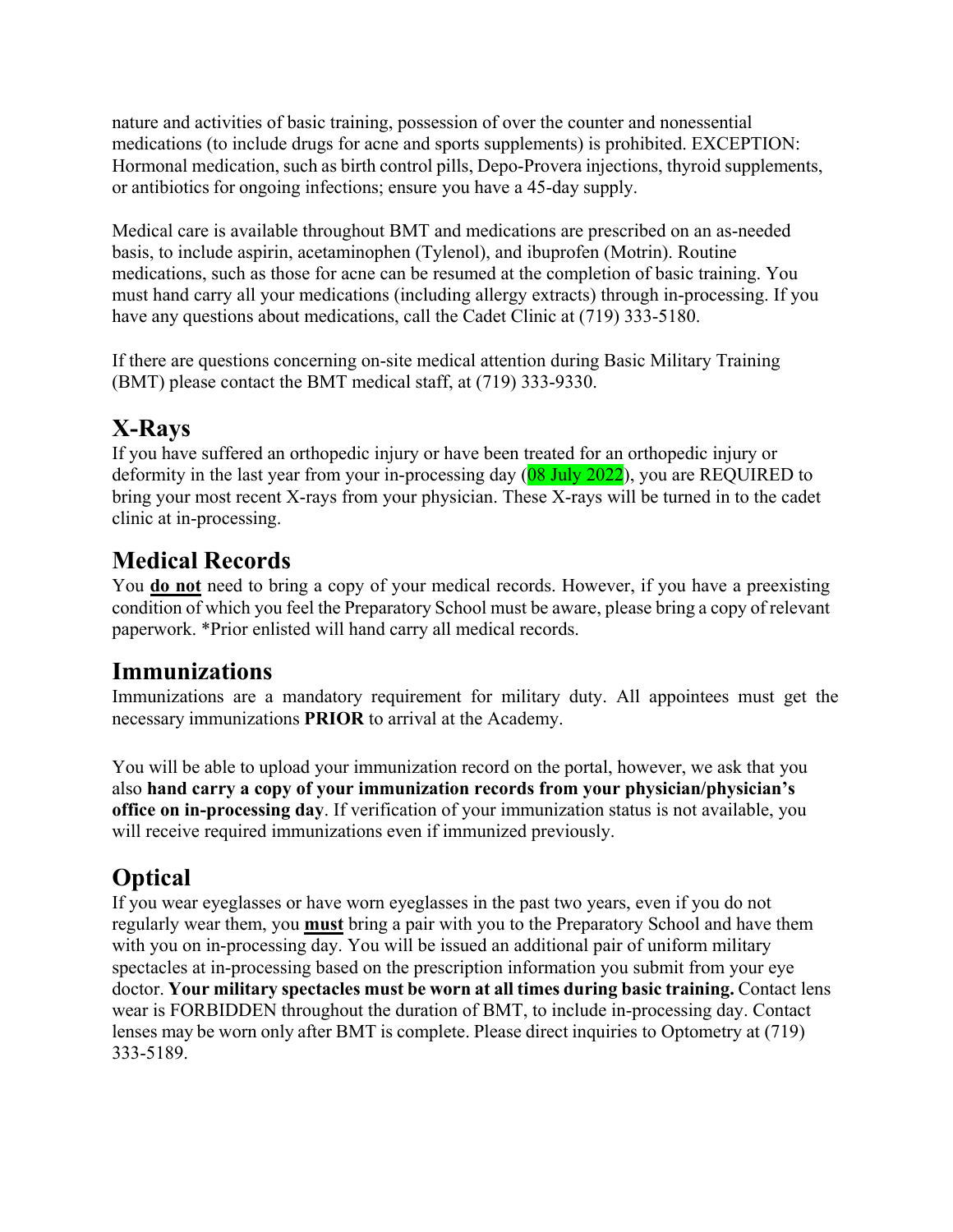nature and activities of basic training, possession of over the counter and nonessential medications (to include drugs for acne and sports supplements) is prohibited. EXCEPTION: Hormonal medication, such as birth control pills, Depo-Provera injections, thyroid supplements, or antibiotics for ongoing infections; ensure you have a 45-day supply.

Medical care is available throughout BMT and medications are prescribed on an as-needed basis, to include aspirin, acetaminophen (Tylenol), and ibuprofen (Motrin). Routine medications, such as those for acne can be resumed at the completion of basic training. You must hand carry all your medications (including allergy extracts) through in-processing. If you have any questions about medications, call the Cadet Clinic at (719) 333-5180.

If there are questions concerning on-site medical attention during Basic Military Training (BMT) please contact the BMT medical staff, at (719) 333-9330.

# **X-Rays**

If you have suffered an orthopedic injury or have been treated for an orthopedic injury or deformity in the last year from your in-processing day  $(08 \text{ July } 2022)$ , you are REQUIRED to bring your most recent X-rays from your physician. These X-rays will be turned in to the cadet clinic at in-processing.

### **Medical Records**

You **do not** need to bring a copy of your medical records. However, if you have a preexisting condition of which you feel the Preparatory School must be aware, please bring a copy of relevant paperwork. \*Prior enlisted will hand carry all medical records.

### **Immunizations**

Immunizations are a mandatory requirement for military duty. All appointees must get the necessary immunizations **PRIOR** to arrival at the Academy.

You will be able to upload your immunization record on the portal, however, we ask that you also **hand carry a copy of your immunization records from your physician/physician's office on in-processing day**. If verification of your immunization status is not available, you will receive required immunizations even if immunized previously.

# **Optical**

If you wear eyeglasses or have worn eyeglasses in the past two years, even if you do not regularly wear them, you **must** bring a pair with you to the Preparatory School and have them with you on in-processing day. You will be issued an additional pair of uniform military spectacles at in-processing based on the prescription information you submit from your eye doctor. **Your military spectacles must be worn at all times during basic training.** Contact lens wear is FORBIDDEN throughout the duration of BMT, to include in-processing day. Contact lenses may be worn only after BMT is complete. Please direct inquiries to Optometry at (719) 333-5189.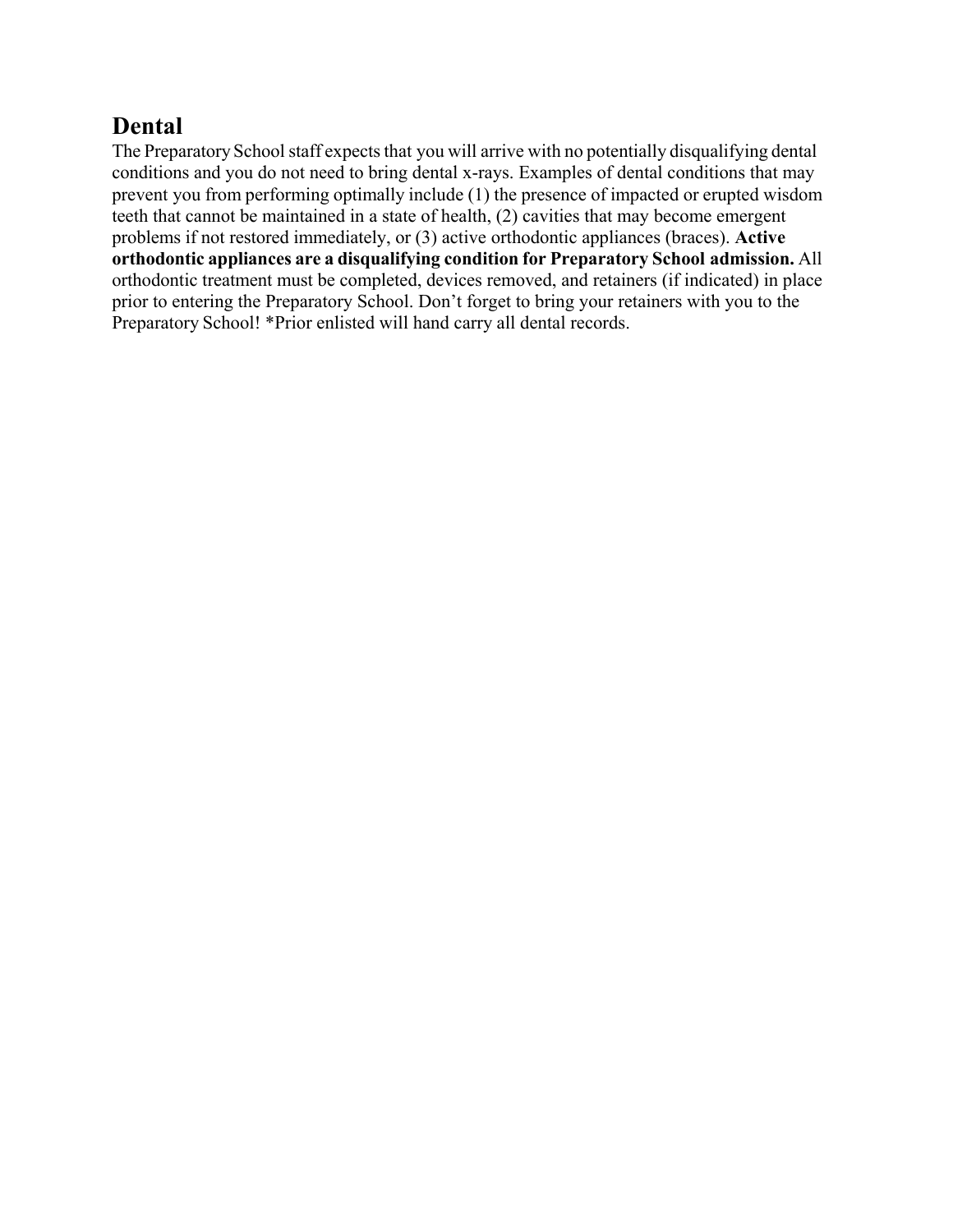### **Dental**

The Preparatory School staff expects that you will arrive with no potentially disqualifying dental conditions and you do not need to bring dental x-rays. Examples of dental conditions that may prevent you from performing optimally include (1) the presence of impacted or erupted wisdom teeth that cannot be maintained in a state of health, (2) cavities that may become emergent problems if not restored immediately, or (3) active orthodontic appliances (braces). **Active orthodontic appliances are a disqualifying condition for Preparatory School admission.** All orthodontic treatment must be completed, devices removed, and retainers (if indicated) in place prior to entering the Preparatory School. Don't forget to bring your retainers with you to the Preparatory School! \*Prior enlisted will hand carry all dental records.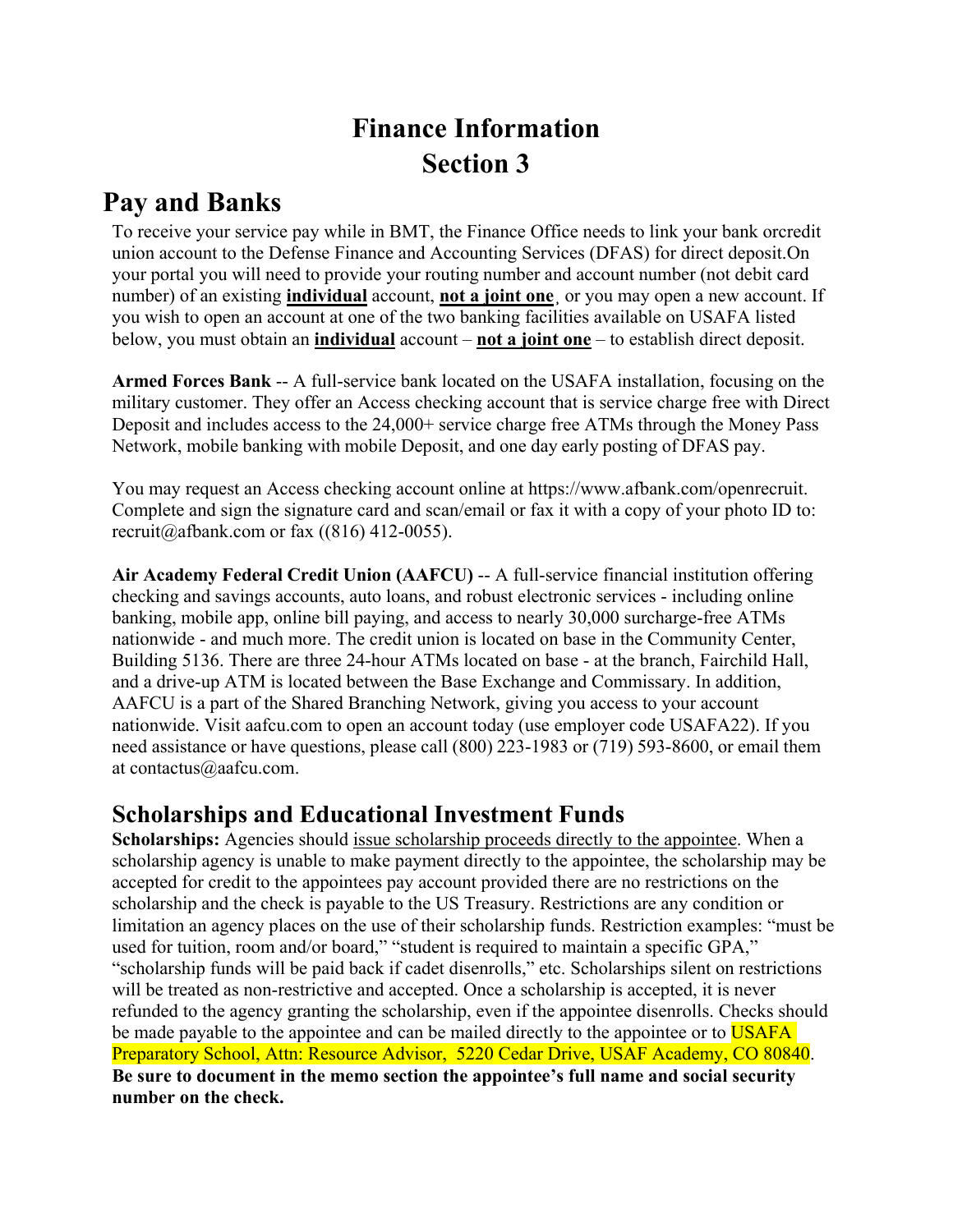# **Finance Information Section 3**

### **Pay and Banks**

To receive your service pay while in BMT, the Finance Office needs to link your bank or credit union account to the Defense Finance and Accounting Services (DFAS) for direct deposit. On your portal you will need to provide your routing number and account number (not debit card number) of an existing **individual** account, **not a joint one**¸ or you may open a new account. If you wish to open an account at one of the two banking facilities available on USAFA listed below, you must obtain an **individual** account – **not a joint one** – to establish direct deposit.

**Armed Forces Bank** -- A full-service bank located on the USAFA installation, focusing on the military customer. They offer an Access checking account that is service charge free with Direct Deposit and includes access to the 24,000+ service charge free ATMs through the Money Pass Network, mobile banking with mobile Deposit, and one day early posting of DFAS pay.

You may request an Access checking account online at https://www.afbank.com/openrecruit. Complete and sign the signature card and scan/email or fax it with a copy of your photo ID to: recruit@afbank.com or fax  $((816) 412-0055)$ .

**Air Academy Federal Credit Union (AAFCU)** -- A full-service financial institution offering checking and savings accounts, auto loans, and robust electronic services - including online banking, mobile app, online bill paying, and access to nearly 30,000 surcharge-free ATMs nationwide - and much more. The credit union is located on base in the Community Center, Building 5136. There are three 24-hour ATMs located on base - at the branch, Fairchild Hall, and a drive-up ATM is located between the Base Exchange and Commissary. In addition, AAFCU is a part of the Shared Branching Network, giving you access to your account nationwide. Visit aafcu.com to open an account today (use employer code USAFA22). If you need assistance or have questions, please call (800) 223-1983 or (719) 593-8600, or email them at contactus@aafcu.com.

### **Scholarships and Educational Investment Funds**

**Scholarships:** Agencies should issue scholarship proceeds directly to the appointee. When a scholarship agency is unable to make payment directly to the appointee, the scholarship may be accepted for credit to the appointees pay account provided there are no restrictions on the scholarship and the check is payable to the US Treasury. Restrictions are any condition or limitation an agency places on the use of their scholarship funds. Restriction examples: "must be used for tuition, room and/or board," "student is required to maintain a specific GPA," "scholarship funds will be paid back if cadet disenrolls," etc. Scholarships silent on restrictions will be treated as non-restrictive and accepted. Once a scholarship is accepted, it is never refunded to the agency granting the scholarship, even if the appointee disenrolls. Checks should be made payable to the appointee and can be mailed directly to the appointee or to USAFA Preparatory School, Attn: Resource Advisor, 5220 Cedar Drive, USAF Academy, CO 80840. **Be sure to document in the memo section the appointee's full name and social security number on the check.**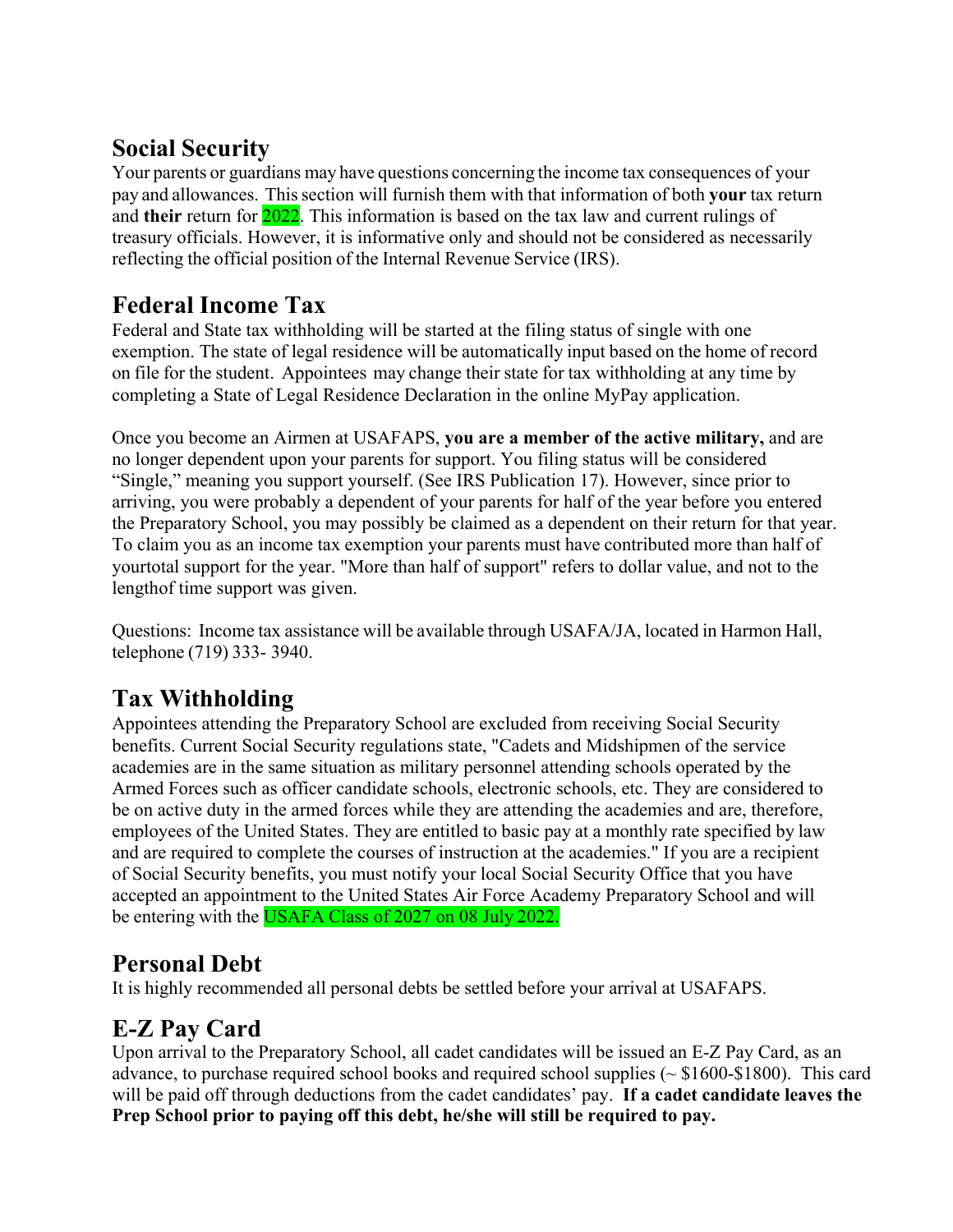### **Social Security**

Your parents or guardians may have questions concerning the income tax consequences of your pay and allowances. This section will furnish them with that information of both **your** tax return and **their** return for 2022. This information is based on the tax law and current rulings of treasury officials. However, it is informative only and should not be considered as necessarily reflecting the official position of the Internal Revenue Service (IRS).

### **Federal Income Tax**

Federal and State tax withholding will be started at the filing status of single with one exemption. The state of legal residence will be automatically input based on the home of record on file for the student. Appointees may change their state for tax withholding at any time by completing a State of Legal Residence Declaration in the online MyPay application.

Once you become an Airmen at USAFAPS, **you are a member of the active military,** and are no longer dependent upon your parents for support. You filing status will be considered "Single," meaning you support yourself. (See IRS Publication 17). However, since prior to arriving, you were probably a dependent of your parents for half of the year before you entered the Preparatory School, you may possibly be claimed as a dependent on their return for that year. To claim you as an income tax exemption your parents must have contributed more than half of your total support for the year. "More than half of support" refers to dollar value, and not to the length of time support was given.

Questions: Income tax assistance will be available through USAFA/JA, located in Harmon Hall, telephone (719) 333- 3940.

# **Tax Withholding**

Appointees attending the Preparatory School are excluded from receiving Social Security benefits. Current Social Security regulations state, "Cadets and Midshipmen of the service academies are in the same situation as military personnel attending schools operated by the Armed Forces such as officer candidate schools, electronic schools, etc. They are considered to be on active duty in the armed forces while they are attending the academies and are, therefore, employees of the United States. They are entitled to basic pay at a monthly rate specified by law and are required to complete the courses of instruction at the academies." If you are a recipient of Social Security benefits, you must notify your local Social Security Office that you have accepted an appointment to the United States Air Force Academy Preparatory School and will be entering with the USAFA Class of 2027 on 08 July 2022.

### **Personal Debt**

It is highly recommended all personal debts be settled before your arrival at USAFAPS.

# **E-Z Pay Card**

Upon arrival to the Preparatory School, all cadet candidates will be issued an E-Z Pay Card, as an advance, to purchase required school books and required school supplies ( $\sim$  \$1600-\$1800). This card will be paid off through deductions from the cadet candidates' pay. **If a cadet candidate leaves the Prep School prior to paying off this debt, he/she will still be required to pay.**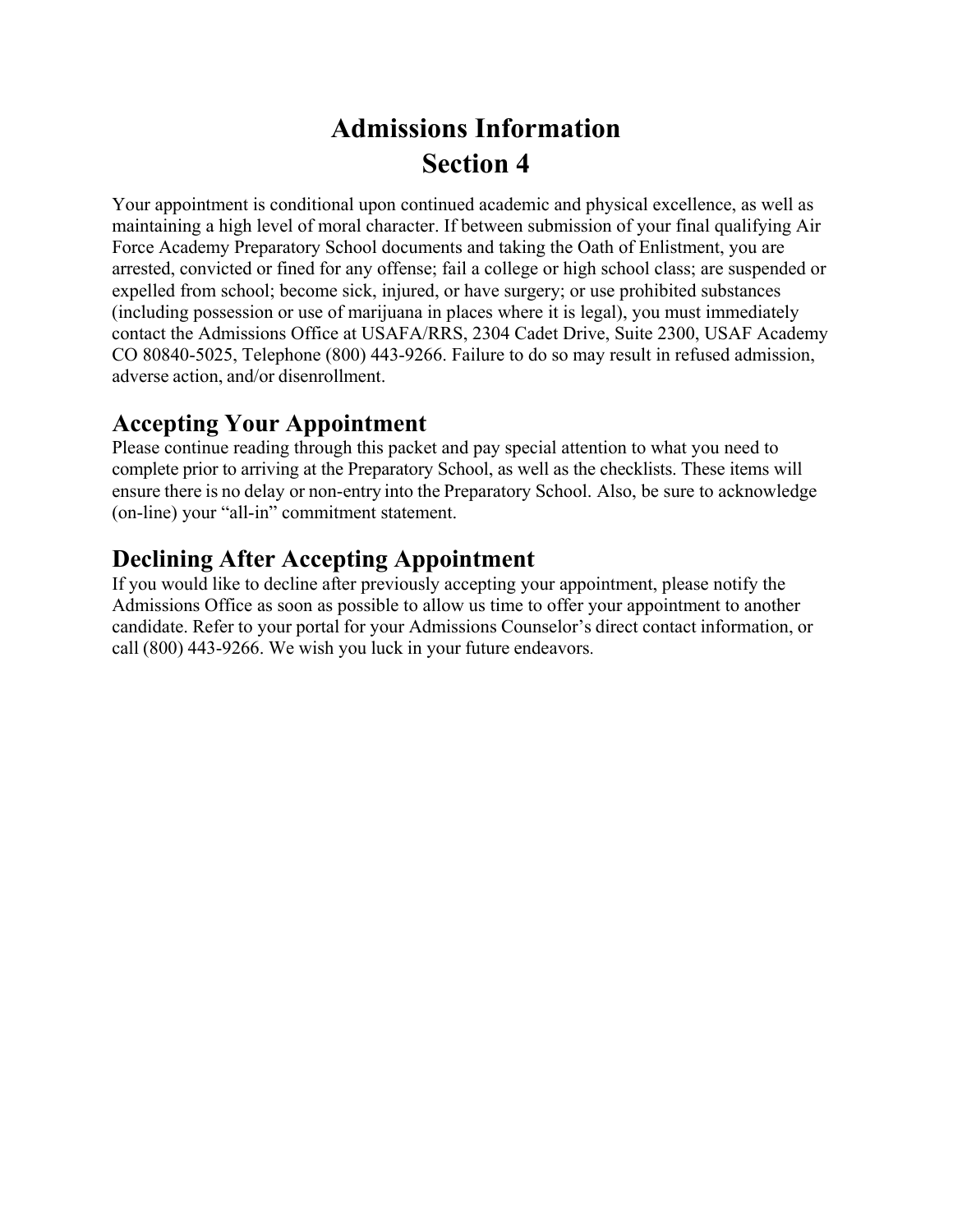# **Admissions Information Section 4**

Your appointment is conditional upon continued academic and physical excellence, as well as maintaining a high level of moral character. If between submission of your final qualifying Air Force Academy Preparatory School documents and taking the Oath of Enlistment, you are arrested, convicted or fined for any offense; fail a college or high school class; are suspended or expelled from school; become sick, injured, or have surgery; or use prohibited substances (including possession or use of marijuana in places where it is legal), you must immediately contact the Admissions Office at USAFA/RRS, 2304 Cadet Drive, Suite 2300, USAF Academy CO 80840-5025, Telephone (800) 443-9266. Failure to do so may result in refused admission, adverse action, and/or disenrollment.

### **Accepting Your Appointment**

Please continue reading through this packet and pay special attention to what you need to complete prior to arriving at the Preparatory School, as well as the checklists. These items will ensure there is no delay or non-entry into the Preparatory School. Also, be sure to acknowledge (on-line) your "all-in" commitment statement.

### **Declining After Accepting Appointment**

If you would like to decline after previously accepting your appointment, please notify the Admissions Office as soon as possible to allow us time to offer your appointment to another candidate. Refer to your portal for your Admissions Counselor's direct contact information, or call (800) 443-9266. We wish you luck in your future endeavors.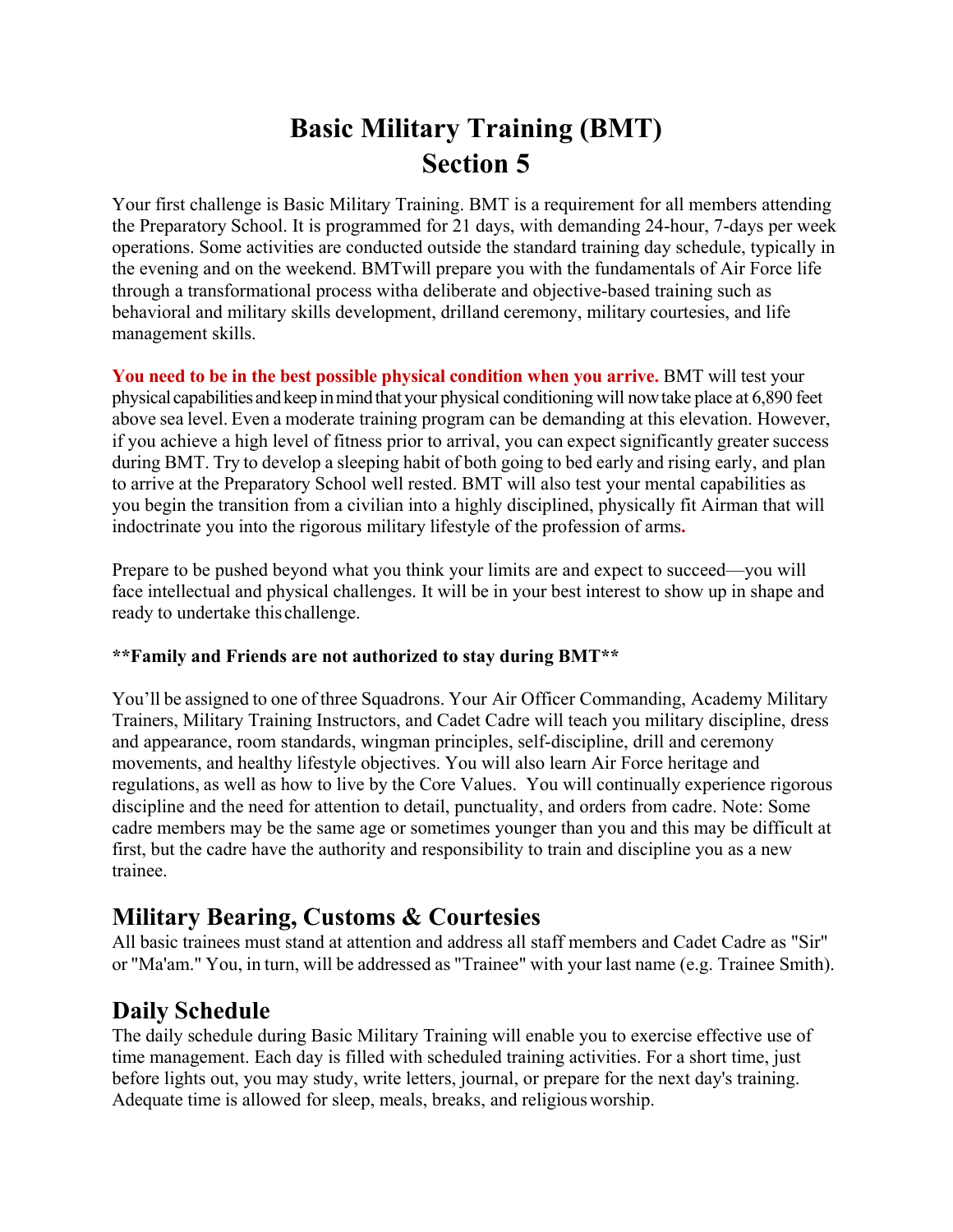# **Basic Military Training (BMT) Section 5**

Your first challenge is Basic Military Training. BMT is a requirement for all members attending the Preparatory School. It is programmed for 21 days, with demanding 24-hour, 7-days per week operations. Some activities are conducted outside the standard training day schedule, typically in the evening and on the weekend. BMT will prepare you with the fundamentals of Air Force life through a transformational process with a deliberate and objective-based training such as behavioral and military skills development, drilland ceremony, military courtesies, and life management skills.

You need to be in the best possible physical condition when you arrive. BMT will test your physical capabilities and keep in mind that your physical conditioning will now take place at 6,890 feet above sea level. Even a moderate training program can be demanding at this elevation. However, if you achieve a high level of fitness prior to arrival, you can expect significantly greater success during BMT. Try to develop a sleeping habit of both going to bed early and rising early, and plan to arrive at the Preparatory School well rested. BMT will also test your mental capabilities as you begin the transition from a civilian into a highly disciplined, physically fit Airman that will indoctrinate you into the rigorous military lifestyle of the profession of arms**.**

Prepare to be pushed beyond what you think your limits are and expect to succeed—you will face intellectual and physical challenges. It will be in your best interest to show up in shape and ready to undertake this challenge.

#### **\*\*Family and Friends are not authorized to stay during BMT\*\***

You'll be assigned to one of three Squadrons. Your Air Officer Commanding, Academy Military Trainers, Military Training Instructors, and Cadet Cadre will teach you military discipline, dress and appearance, room standards, wingman principles, self-discipline, drill and ceremony movements, and healthy lifestyle objectives. You will also learn Air Force heritage and regulations, as well as how to live by the Core Values. You will continually experience rigorous discipline and the need for attention to detail, punctuality, and orders from cadre. Note: Some cadre members may be the same age or sometimes younger than you and this may be difficult at first, but the cadre have the authority and responsibility to train and discipline you as a new trainee.

### **Military Bearing, Customs & Courtesies**

All basic trainees must stand at attention and address all staff members and Cadet Cadre as "Sir" or "Ma'am." You, in turn, will be addressed as "Trainee" with your last name (e.g. Trainee Smith).

### **Daily Schedule**

The daily schedule during Basic Military Training will enable you to exercise effective use of time management. Each day is filled with scheduled training activities. For a short time, just before lights out, you may study, write letters, journal, or prepare for the next day's training. Adequate time is allowed for sleep, meals, breaks, and religious worship.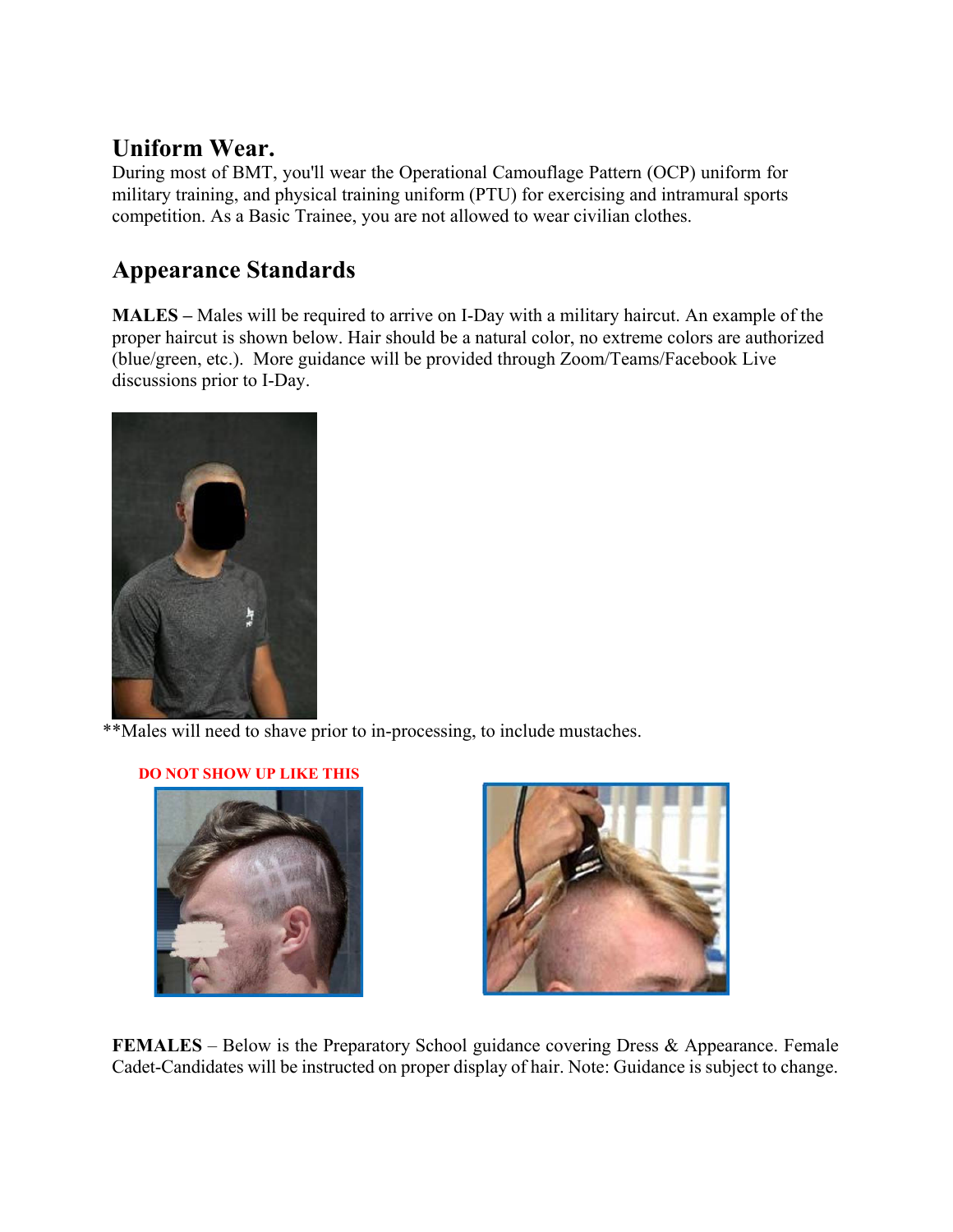### **Uniform Wear.**

During most of BMT, you'll wear the Operational Camouflage Pattern (OCP) uniform for military training, and physical training uniform (PTU) for exercising and intramural sports competition. As a Basic Trainee, you are not allowed to wear civilian clothes.

# **Appearance Standards**

**MALES –** Males will be required to arrive on I-Day with a military haircut. An example of the proper haircut is shown below. Hair should be a natural color, no extreme colors are authorized (blue/green, etc.). More guidance will be provided through Zoom/Teams/Facebook Live discussions prior to I-Day.



\*\*Males will need to shave prior to in-processing, to include mustaches.

#### **DO NOT SHOW UP LIKE THIS**





**FEMALES** – Below is the Preparatory School guidance covering Dress & Appearance. Female Cadet-Candidates will be instructed on proper display of hair. Note: Guidance is subject to change.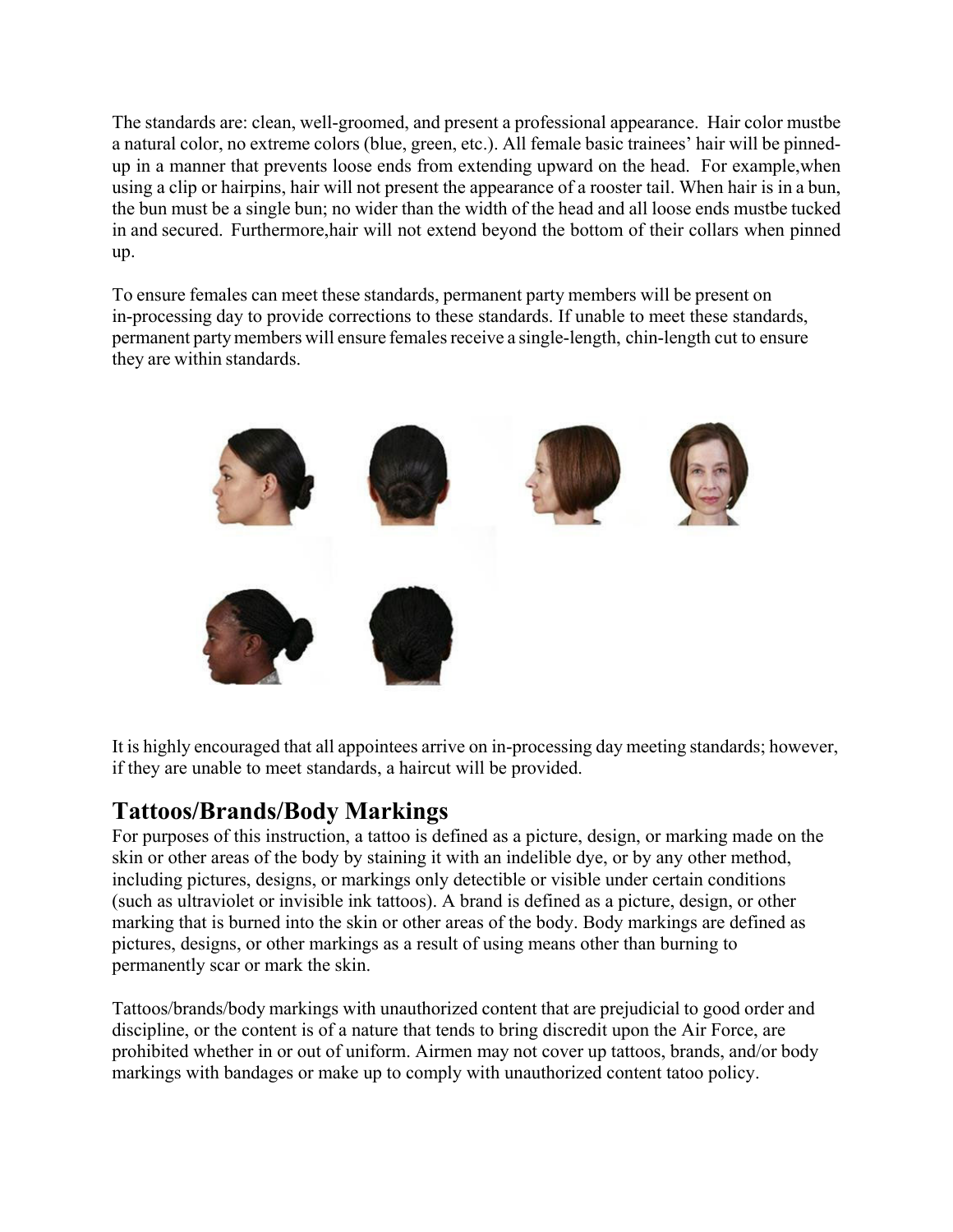The standards are: clean, well-groomed, and present a professional appearance. Hair color mustbe a natural color, no extreme colors (blue, green, etc.). All female basic trainees' hair will be pinnedup in a manner that prevents loose ends from extending upward on the head. For example, when using a clip or hairpins, hair will not present the appearance of a rooster tail. When hair is in a bun, the bun must be a single bun; no wider than the width of the head and all loose ends must be tucked in and secured. Furthermore, hair will not extend beyond the bottom of their collars when pinned up.

To ensure females can meet these standards, permanent party members will be present on in-processing day to provide corrections to these standards. If unable to meet these standards, permanent party members will ensure females receive a single-length, chin-length cut to ensure they are within standards.



It is highly encouraged that all appointees arrive on in-processing day meeting standards; however, if they are unable to meet standards, a haircut will be provided.

### **Tattoos/Brands/Body Markings**

For purposes of this instruction, a tattoo is defined as a picture, design, or marking made on the skin or other areas of the body by staining it with an indelible dye, or by any other method, including pictures, designs, or markings only detectible or visible under certain conditions (such as ultraviolet or invisible ink tattoos). A brand is defined as a picture, design, or other marking that is burned into the skin or other areas of the body. Body markings are defined as pictures, designs, or other markings as a result of using means other than burning to permanently scar or mark the skin.

Tattoos/brands/body markings with unauthorized content that are prejudicial to good order and discipline, or the content is of a nature that tends to bring discredit upon the Air Force, are prohibited whether in or out of uniform. Airmen may not cover up tattoos, brands, and/or body markings with bandages or make up to comply with unauthorized content tatoo policy.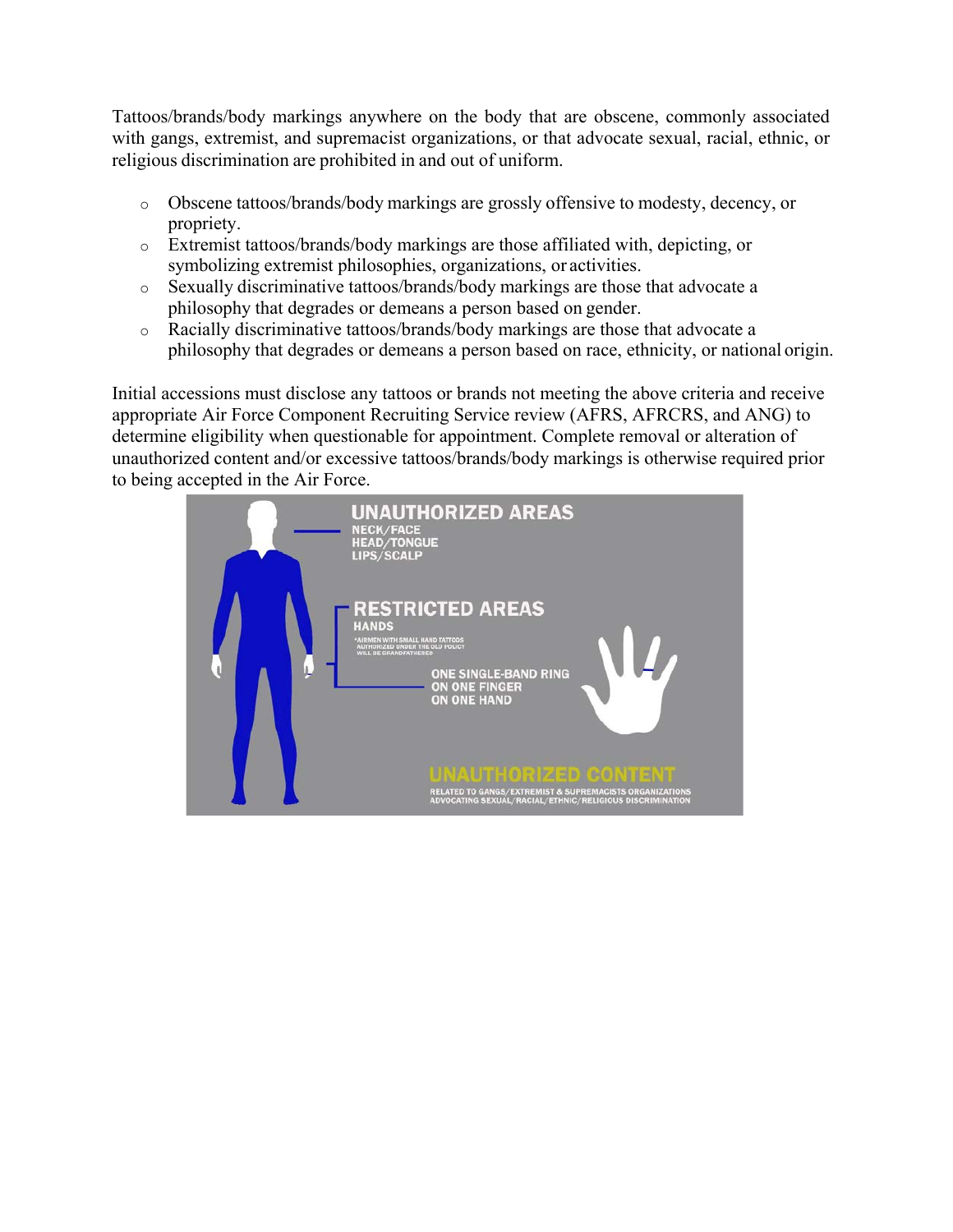Tattoos/brands/body markings anywhere on the body that are obscene, commonly associated with gangs, extremist, and supremacist organizations, or that advocate sexual, racial, ethnic, or religious discrimination are prohibited in and out of uniform.

- o Obscene tattoos/brands/body markings are grossly offensive to modesty, decency, or propriety.
- o Extremist tattoos/brands/body markings are those affiliated with, depicting, or symbolizing extremist philosophies, organizations, or activities.
- o Sexually discriminative tattoos/brands/body markings are those that advocate a philosophy that degrades or demeans a person based on gender.
- o Racially discriminative tattoos/brands/body markings are those that advocate a philosophy that degrades or demeans a person based on race, ethnicity, or national origin.

Initial accessions must disclose any tattoos or brands not meeting the above criteria and receive appropriate Air Force Component Recruiting Service review (AFRS, AFRCRS, and ANG) to determine eligibility when questionable for appointment. Complete removal or alteration of unauthorized content and/or excessive tattoos/brands/body markings is otherwise required prior to being accepted in the Air Force.

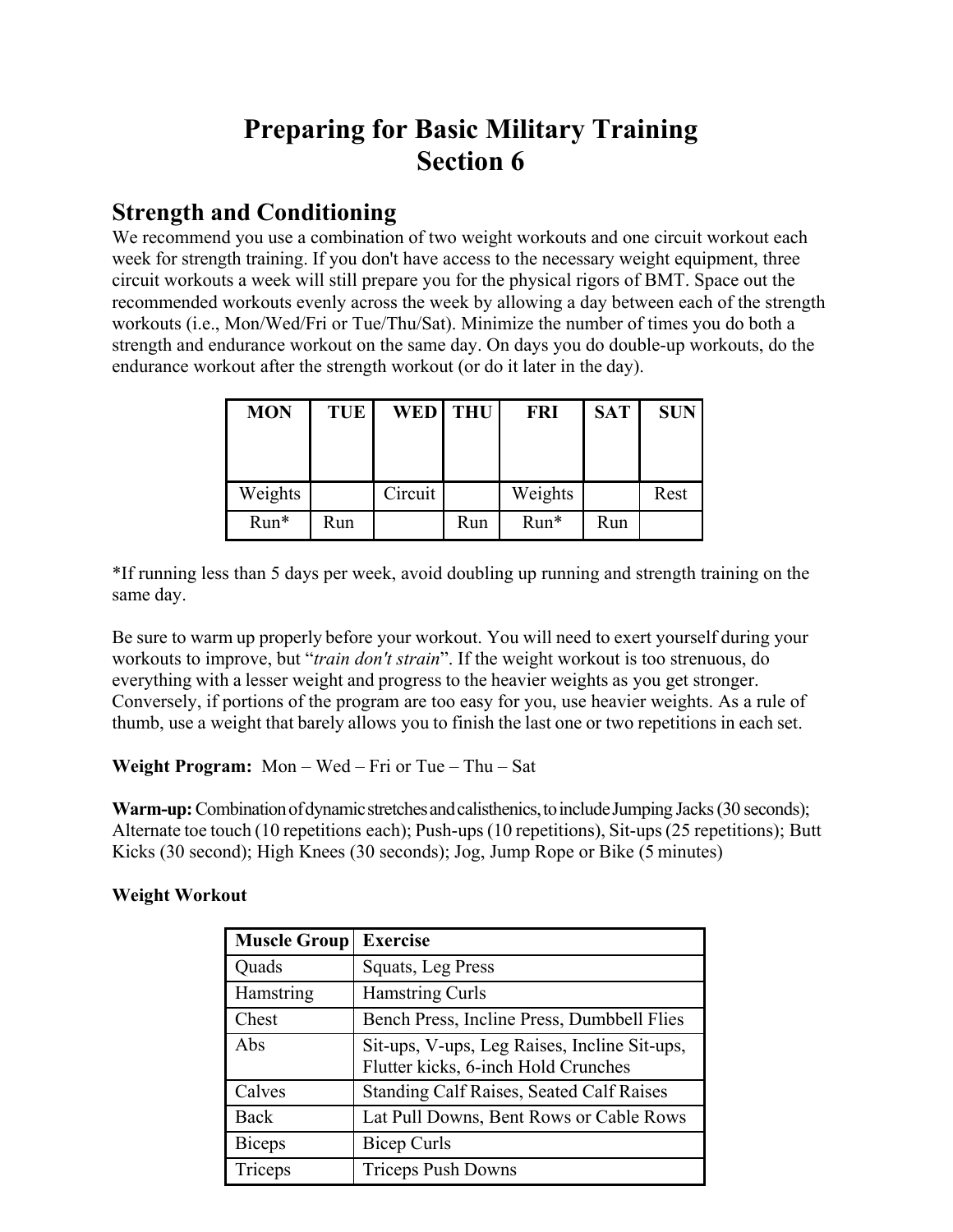# **Preparing for Basic Military Training Section 6**

### **Strength and Conditioning**

We recommend you use a combination of two weight workouts and one circuit workout each week for strength training. If you don't have access to the necessary weight equipment, three circuit workouts a week will still prepare you for the physical rigors of BMT. Space out the recommended workouts evenly across the week by allowing a day between each of the strength workouts (i.e., Mon/Wed/Fri or Tue/Thu/Sat). Minimize the number of times you do both a strength and endurance workout on the same day. On days you do double-up workouts, do the endurance workout after the strength workout (or do it later in the day).

| <b>MON</b> | <b>TUE</b> | WED THU |     | <b>FRI</b> | <b>SAT</b> | <b>SUN</b> |
|------------|------------|---------|-----|------------|------------|------------|
|            |            |         |     |            |            |            |
|            |            |         |     |            |            |            |
| Weights    |            | Circuit |     | Weights    |            | Rest       |
| Run*       | Run        |         | Run | $Run*$     | Run        |            |

\*If running less than 5 days per week, avoid doubling up running and strength training on the same day.

Be sure to warm up properly before your workout. You will need to exert yourself during your workouts to improve, but "*train don't strain*". If the weight workout is too strenuous, do everything with a lesser weight and progress to the heavier weights as you get stronger. Conversely, if portions of the program are too easy for you, use heavier weights. As a rule of thumb, use a weight that barely allows you to finish the last one or two repetitions in each set.

**Weight Program:** Mon – Wed – Fri or Tue – Thu – Sat

**Warm-up:** Combination of dynamic stretches and calisthenics, to include Jumping Jacks (30 seconds); Alternate toe touch (10 repetitions each); Push-ups (10 repetitions), Sit-ups (25 repetitions); Butt Kicks (30 second); High Knees (30 seconds); Jog, Jump Rope or Bike (5 minutes)

#### **Weight Workout**

| <b>Muscle Group</b> | <b>Exercise</b>                                                                     |
|---------------------|-------------------------------------------------------------------------------------|
| Quads               | Squats, Leg Press                                                                   |
| Hamstring           | Hamstring Curls                                                                     |
| Chest               | Bench Press, Incline Press, Dumbbell Flies                                          |
| Abs                 | Sit-ups, V-ups, Leg Raises, Incline Sit-ups,<br>Flutter kicks, 6-inch Hold Crunches |
| Calves              | <b>Standing Calf Raises, Seated Calf Raises</b>                                     |
| Back                | Lat Pull Downs, Bent Rows or Cable Rows                                             |
| <b>Biceps</b>       | <b>Bicep Curls</b>                                                                  |
| Triceps             | <b>Triceps Push Downs</b>                                                           |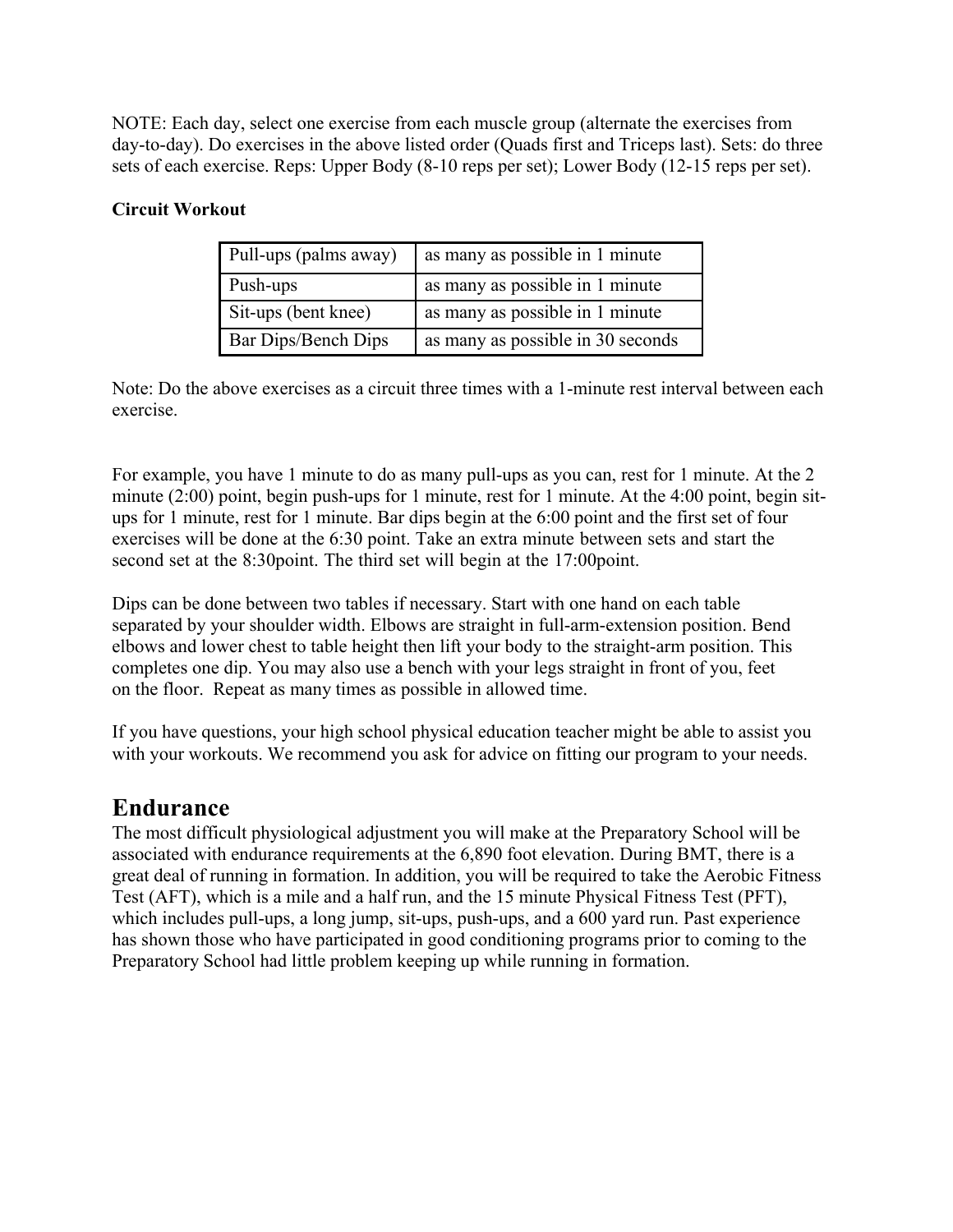NOTE: Each day, select one exercise from each muscle group (alternate the exercises from day-to-day). Do exercises in the above listed order (Quads first and Triceps last). Sets: do three sets of each exercise. Reps: Upper Body (8-10 reps per set); Lower Body (12-15 reps per set).

#### **Circuit Workout**

| Pull-ups (palms away) | as many as possible in 1 minute   |
|-----------------------|-----------------------------------|
| Push-ups              | as many as possible in 1 minute   |
| Sit-ups (bent knee)   | as many as possible in 1 minute   |
| Bar Dips/Bench Dips   | as many as possible in 30 seconds |

Note: Do the above exercises as a circuit three times with a 1-minute rest interval between each exercise.

For example, you have 1 minute to do as many pull-ups as you can, rest for 1 minute. At the 2 minute (2:00) point, begin push-ups for 1 minute, rest for 1 minute. At the 4:00 point, begin situps for 1 minute, rest for 1 minute. Bar dips begin at the 6:00 point and the first set of four exercises will be done at the 6:30 point. Take an extra minute between sets and start the second set at the 8:30point. The third set will begin at the 17:00point.

Dips can be done between two tables if necessary. Start with one hand on each table separated by your shoulder width. Elbows are straight in full-arm-extension position. Bend elbows and lower chest to table height then lift your body to the straight-arm position. This completes one dip. You may also use a bench with your legs straight in front of you, feet on the floor. Repeat as many times as possible in allowed time.

If you have questions, your high school physical education teacher might be able to assist you with your workouts. We recommend you ask for advice on fitting our program to your needs.

### **Endurance**

The most difficult physiological adjustment you will make at the Preparatory School will be associated with endurance requirements at the 6,890 foot elevation. During BMT, there is a great deal of running in formation. In addition, you will be required to take the Aerobic Fitness Test (AFT), which is a mile and a half run, and the 15 minute Physical Fitness Test (PFT), which includes pull-ups, a long jump, sit-ups, push-ups, and a 600 yard run. Past experience has shown those who have participated in good conditioning programs prior to coming to the Preparatory School had little problem keeping up while running in formation.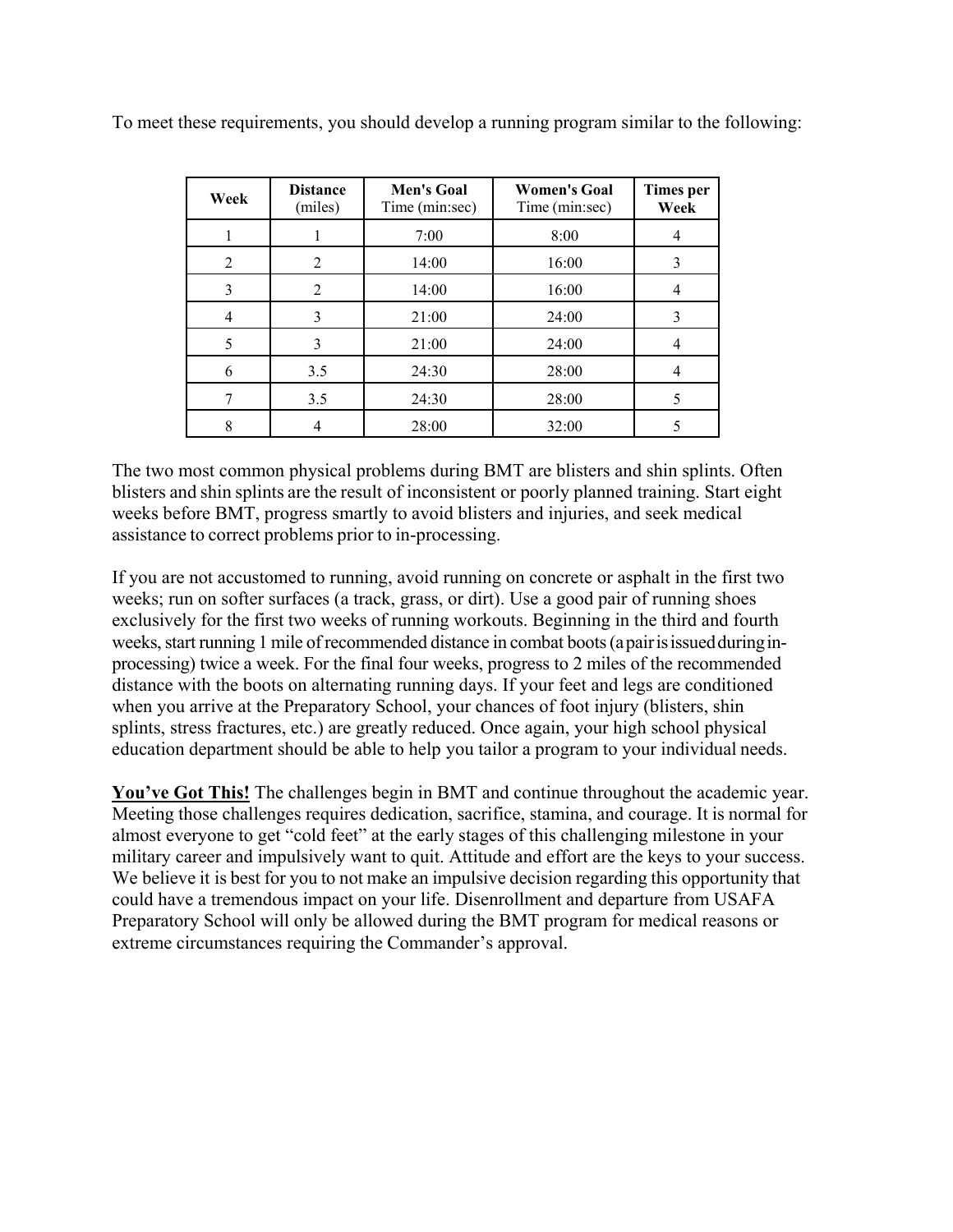| Week | <b>Distance</b><br>(miles) | <b>Men's Goal</b><br>Time (min:sec) | <b>Women's Goal</b><br>Time (min:sec) | <b>Times</b> per<br>Week |
|------|----------------------------|-------------------------------------|---------------------------------------|--------------------------|
|      |                            | 7:00                                | 8:00                                  |                          |
| 2    | 2                          | 14:00                               | 16:00                                 | 3                        |
| 3    | $\overline{2}$             | 14:00                               | 16:00                                 |                          |
| 4    | 3                          | 21:00                               | 24:00                                 | 3                        |
| 5    | 3                          | 21:00                               | 24:00                                 |                          |
| 6    | 3.5                        | 24:30                               | 28:00                                 |                          |
| 7    | 3.5                        | 24:30                               | 28:00                                 | 5                        |
| 8    |                            | 28:00                               | 32:00                                 |                          |

To meet these requirements, you should develop a running program similar to the following:

The two most common physical problems during BMT are blisters and shin splints. Often blisters and shin splints are the result of inconsistent or poorly planned training. Start eight weeks before BMT, progress smartly to avoid blisters and injuries, and seek medical assistance to correct problems prior to in-processing.

If you are not accustomed to running, avoid running on concrete or asphalt in the first two weeks; run on softer surfaces (a track, grass, or dirt). Use a good pair of running shoes exclusively for the first two weeks of running workouts. Beginning in the third and fourth weeks, start running 1 mile of recommended distance in combat boots (a pair is issued during inprocessing) twice a week. For the final four weeks, progress to 2 miles of the recommended distance with the boots on alternating running days. If your feet and legs are conditioned when you arrive at the Preparatory School, your chances of foot injury (blisters, shin splints, stress fractures, etc.) are greatly reduced. Once again, your high school physical education department should be able to help you tailor a program to your individual needs.

**You've Got This!** The challenges begin in BMT and continue throughout the academic year. Meeting those challenges requires dedication, sacrifice, stamina, and courage. It is normal for almost everyone to get "cold feet" at the early stages of this challenging milestone in your military career and impulsively want to quit. Attitude and effort are the keys to your success. We believe it is best for you to not make an impulsive decision regarding this opportunity that could have a tremendous impact on your life. Disenrollment and departure from USAFA Preparatory School will only be allowed during the BMT program for medical reasons or extreme circumstances requiring the Commander's approval.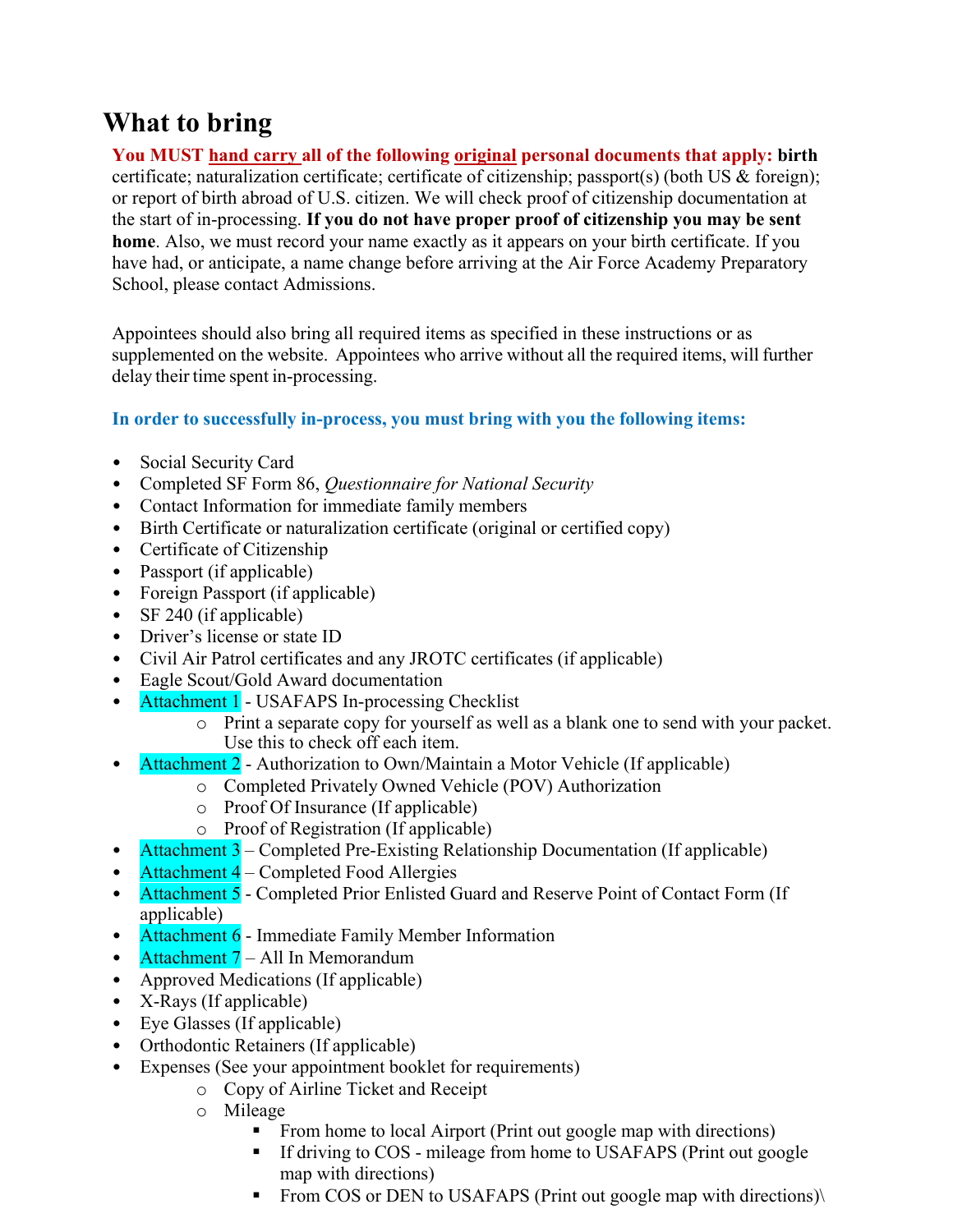# **What to bring**

**You MUST hand carry all of the following original personal documents that apply: birth**  certificate; naturalization certificate; certificate of citizenship; passport(s) (both US & foreign); or report of birth abroad of U.S. citizen. We will check proof of citizenship documentation at the start of in-processing. **If you do not have proper proof of citizenship you may be sent home**. Also, we must record your name exactly as it appears on your birth certificate. If you have had, or anticipate, a name change before arriving at the Air Force Academy Preparatory School, please contact Admissions.

Appointees should also bring all required items as specified in these instructions or as supplemented on the website. Appointees who arrive without all the required items, will further delay their time spent in-processing.

#### **In order to successfully in-process, you must bring with you the following items:**

- Social Security Card
- Completed SF Form 86, *Questionnaire for National Security*
- Contact Information for immediate family members
- Birth Certificate or naturalization certificate (original or certified copy)
- Certificate of Citizenship
- Passport (if applicable)
- Foreign Passport (if applicable)
- SF 240 (if applicable)
- Driver's license or state ID
- Civil Air Patrol certificates and any JROTC certificates (if applicable)
- Eagle Scout/Gold Award documentation
- Attachment 1 USAFAPS In-processing Checklist
	- o Print a separate copy for yourself as well as a blank one to send with your packet. Use this to check off each item.
- Attachment 2 Authorization to Own/Maintain a Motor Vehicle (If applicable)
	- o Completed Privately Owned Vehicle (POV) Authorization
	- o Proof Of Insurance (If applicable)
	- o Proof of Registration (If applicable)
- Attachment 3 Completed Pre-Existing Relationship Documentation (If applicable)
- Attachment 4 Completed Food Allergies
- Attachment 5 Completed Prior Enlisted Guard and Reserve Point of Contact Form (If applicable)
- Attachment 6 Immediate Family Member Information
- Attachment 7 All In Memorandum
- Approved Medications (If applicable)
- X-Rays (If applicable)
- Eye Glasses (If applicable)
- Orthodontic Retainers (If applicable)
- Expenses (See your appointment booklet for requirements)
	- o Copy of Airline Ticket and Receipt
	- o Mileage
		- From home to local Airport (Print out google map with directions)
		- If driving to COS mileage from home to USAFAPS (Print out google map with directions)
		- From COS or DEN to USAFAPS (Print out google map with directions)\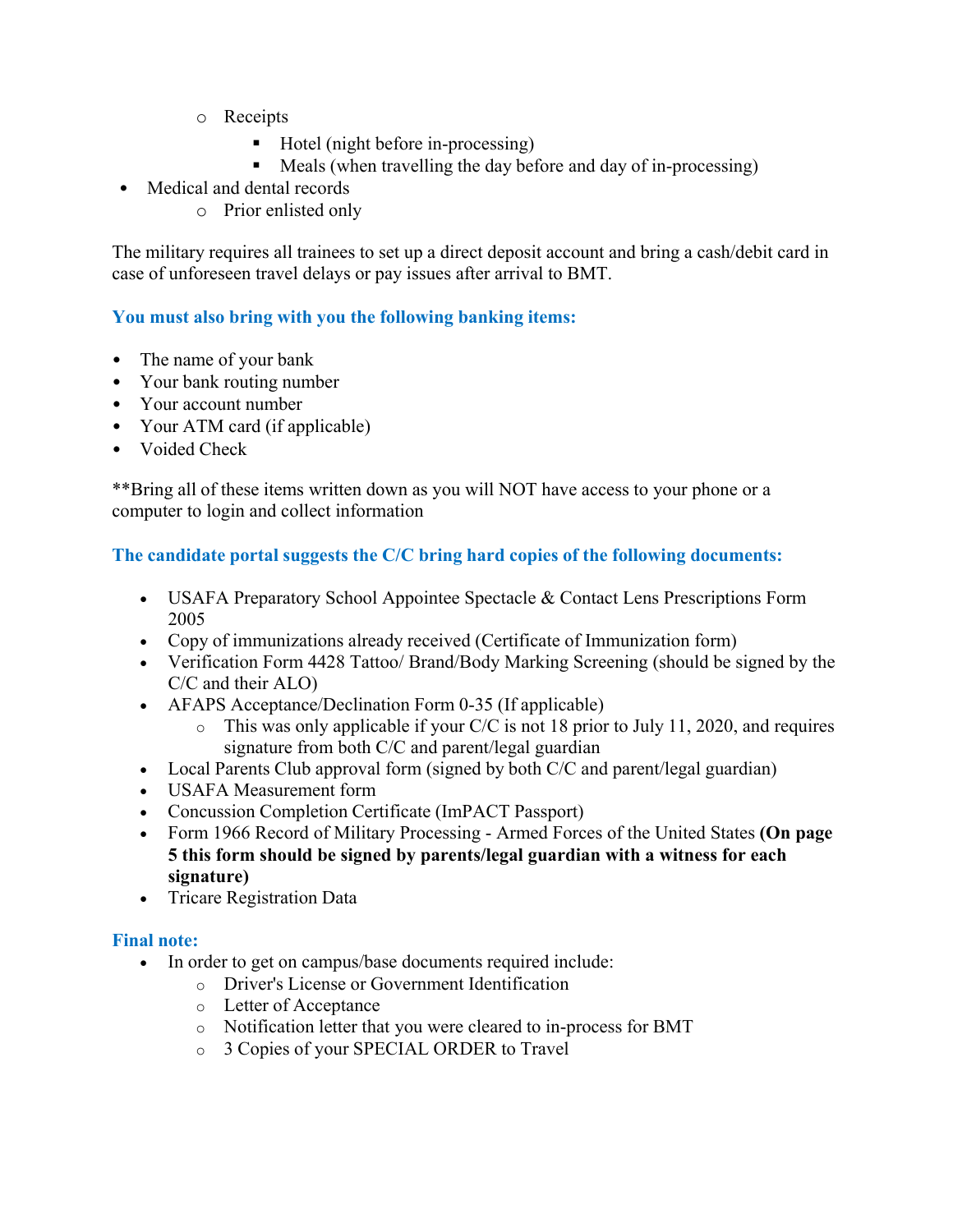- o Receipts
	- $\blacksquare$  Hotel (night before in-processing)
	- **Meals (when travelling the day before and day of in-processing)**
- Medical and dental records
	- o Prior enlisted only

The military requires all trainees to set up a direct deposit account and bring a cash/debit card in case of unforeseen travel delays or pay issues after arrival to BMT.

#### **You must also bring with you the following banking items:**

- The name of your bank
- Your bank routing number
- Your account number
- Your ATM card (if applicable)
- Voided Check

\*\*Bring all of these items written down as you will NOT have access to your phone or a computer to login and collect information

#### **The candidate portal suggests the C/C bring hard copies of the following documents:**

- USAFA Preparatory School Appointee Spectacle & Contact Lens Prescriptions Form 2005
- Copy of immunizations already received (Certificate of Immunization form)
- Verification Form 4428 Tattoo/ Brand/Body Marking Screening (should be signed by the C/C and their ALO)
- AFAPS Acceptance/Declination Form 0-35 (If applicable)
	- $\circ$  This was only applicable if your C/C is not 18 prior to July 11, 2020, and requires signature from both C/C and parent/legal guardian
- Local Parents Club approval form (signed by both C/C and parent/legal guardian)
- USAFA Measurement form
- Concussion Completion Certificate (ImPACT Passport)
- Form 1966 Record of Military Processing Armed Forces of the United States **(On page 5 this form should be signed by parents/legal guardian with a witness for each signature)**
- Tricare Registration Data

#### **Final note:**

- In order to get on campus/base documents required include:
	- o Driver's License or Government Identification
	- o Letter of Acceptance
	- o Notification letter that you were cleared to in-process for BMT
	- o 3 Copies of your SPECIAL ORDER to Travel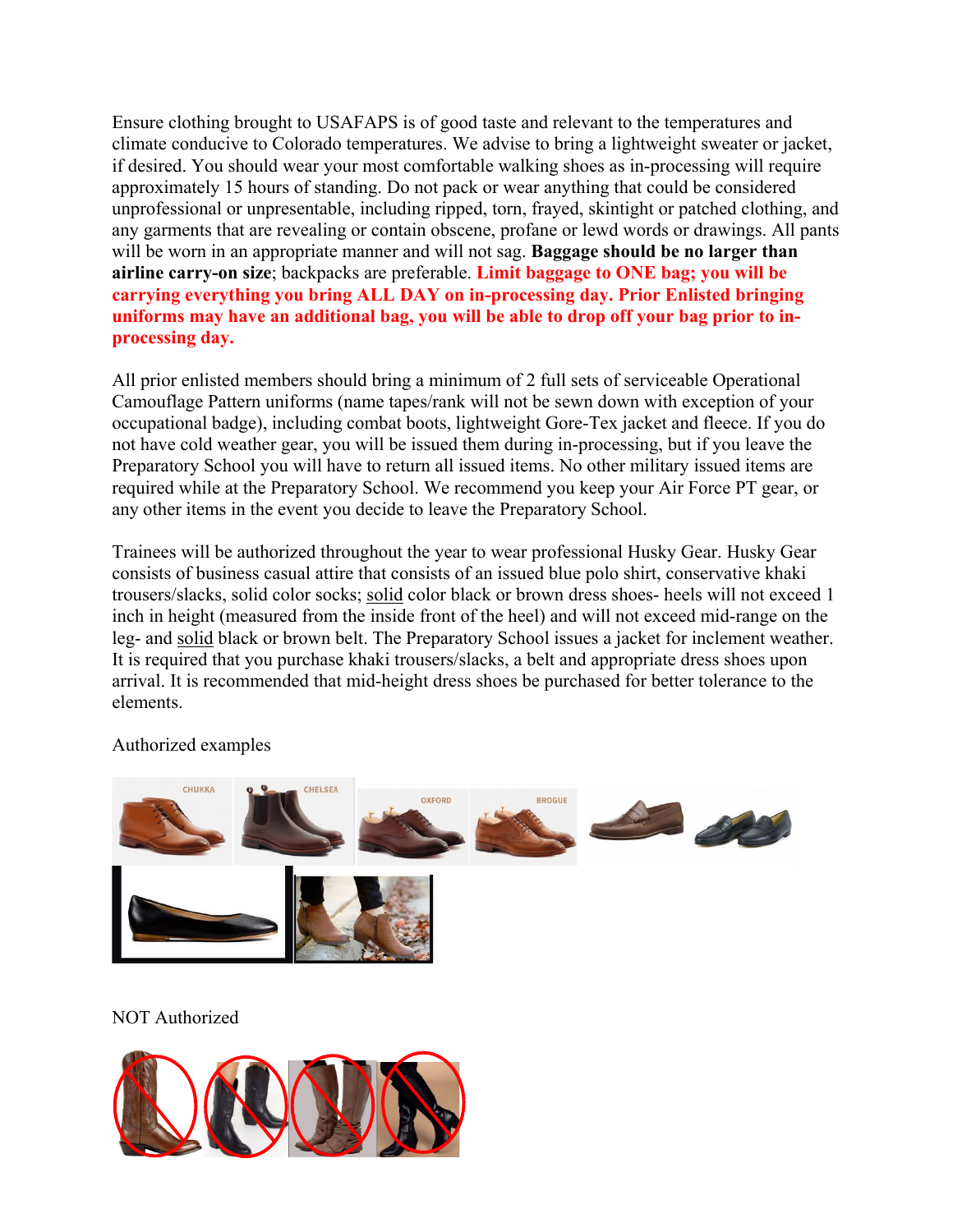Ensure clothing brought to USAFAPS is of good taste and relevant to the temperatures and climate conducive to Colorado temperatures. We advise to bring a lightweight sweater or jacket, if desired. You should wear your most comfortable walking shoes as in-processing will require approximately 15 hours of standing. Do not pack or wear anything that could be considered unprofessional or unpresentable, including ripped, torn, frayed, skintight or patched clothing, and any garments that are revealing or contain obscene, profane or lewd words or drawings. All pants will be worn in an appropriate manner and will not sag. **Baggage should be no larger than airline carry-on size**; backpacks are preferable. **Limit baggage to ONE bag; you will be carrying everything you bring ALL DAY on in-processing day. Prior Enlisted bringing uniforms may have an additional bag, you will be able to drop off your bag prior to inprocessing day.**

All prior enlisted members should bring a minimum of 2 full sets of serviceable Operational Camouflage Pattern uniforms (name tapes/rank will not be sewn down with exception of your occupational badge), including combat boots, lightweight Gore-Tex jacket and fleece. If you do not have cold weather gear, you will be issued them during in-processing, but if you leave the Preparatory School you will have to return all issued items. No other military issued items are required while at the Preparatory School. We recommend you keep your Air Force PT gear, or any other items in the event you decide to leave the Preparatory School.

Trainees will be authorized throughout the year to wear professional Husky Gear. Husky Gear consists of business casual attire that consists of an issued blue polo shirt, conservative khaki trousers/slacks, solid color socks; solid color black or brown dress shoes- heels will not exceed 1 inch in height (measured from the inside front of the heel) and will not exceed mid-range on the leg- and solid black or brown belt. The Preparatory School issues a jacket for inclement weather. It is required that you purchase khaki trousers/slacks, a belt and appropriate dress shoes upon arrival. It is recommended that mid-height dress shoes be purchased for better tolerance to the elements.



Authorized examples

#### NOT Authorized

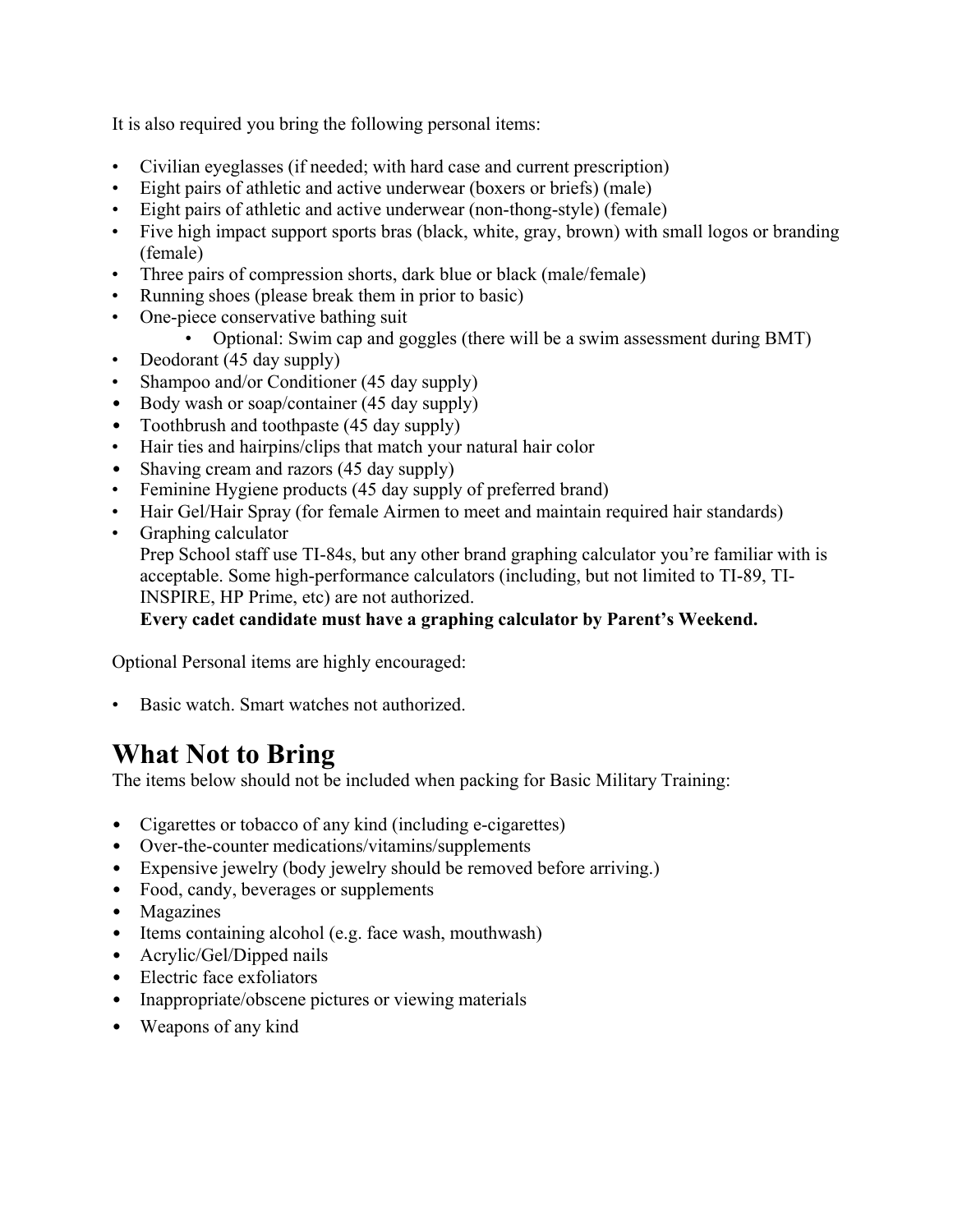It is also required you bring the following personal items:

- Civilian eyeglasses (if needed; with hard case and current prescription)
- Eight pairs of athletic and active underwear (boxers or briefs) (male)
- Eight pairs of athletic and active underwear (non-thong-style) (female)
- Five high impact support sports bras (black, white, gray, brown) with small logos or branding (female)
- Three pairs of compression shorts, dark blue or black (male/female)
- Running shoes (please break them in prior to basic)
- One-piece conservative bathing suit
	- Optional: Swim cap and goggles (there will be a swim assessment during BMT)
- Deodorant (45 day supply)
- Shampoo and/or Conditioner (45 day supply)
- Body wash or soap/container (45 day supply)
- Toothbrush and toothpaste (45 day supply)
- Hair ties and hairpins/clips that match your natural hair color
- Shaving cream and razors (45 day supply)
- Feminine Hygiene products (45 day supply of preferred brand)
- Hair Gel/Hair Spray (for female Airmen to meet and maintain required hair standards)
- Graphing calculator

Prep School staff use TI-84s, but any other brand graphing calculator you're familiar with is acceptable. Some high-performance calculators (including, but not limited to TI-89, TI-INSPIRE, HP Prime, etc) are not authorized.

**Every cadet candidate must have a graphing calculator by Parent's Weekend.** 

Optional Personal items are highly encouraged:

• Basic watch. Smart watches not authorized.

# **What Not to Bring**

The items below should not be included when packing for Basic Military Training:

- Cigarettes or tobacco of any kind (including e-cigarettes)
- Over-the-counter medications/vitamins/supplements
- Expensive jewelry (body jewelry should be removed before arriving.)
- Food, candy, beverages or supplements
- Magazines
- Items containing alcohol (e.g. face wash, mouthwash)
- Acrylic/Gel/Dipped nails
- Electric face exfoliators
- Inappropriate/obscene pictures or viewing materials
- Weapons of any kind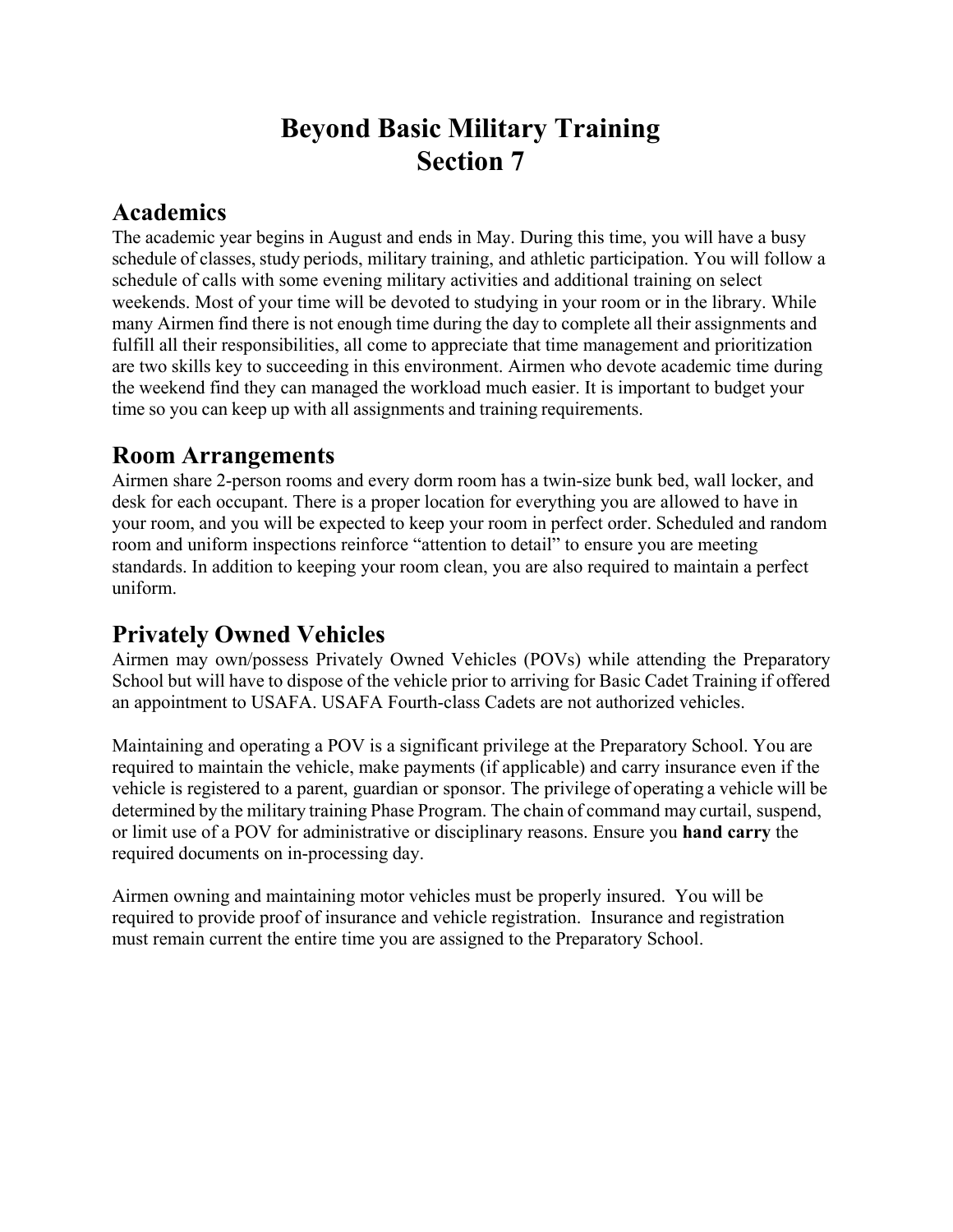# **Beyond Basic Military Training Section 7**

### **Academics**

The academic year begins in August and ends in May. During this time, you will have a busy schedule of classes, study periods, military training, and athletic participation. You will follow a schedule of calls with some evening military activities and additional training on select weekends. Most of your time will be devoted to studying in your room or in the library. While many Airmen find there is not enough time during the day to complete all their assignments and fulfill all their responsibilities, all come to appreciate that time management and prioritization are two skills key to succeeding in this environment. Airmen who devote academic time during the weekend find they can managed the workload much easier. It is important to budget your time so you can keep up with all assignments and training requirements.

### **Room Arrangements**

Airmen share 2-person rooms and every dorm room has a twin-size bunk bed, wall locker, and desk for each occupant. There is a proper location for everything you are allowed to have in your room, and you will be expected to keep your room in perfect order. Scheduled and random room and uniform inspections reinforce "attention to detail" to ensure you are meeting standards. In addition to keeping your room clean, you are also required to maintain a perfect uniform.

### **Privately Owned Vehicles**

Airmen may own/possess Privately Owned Vehicles (POVs) while attending the Preparatory School but will have to dispose of the vehicle prior to arriving for Basic Cadet Training if offered an appointment to USAFA. USAFA Fourth-class Cadets are not authorized vehicles.

Maintaining and operating a POV is a significant privilege at the Preparatory School. You are required to maintain the vehicle, make payments (if applicable) and carry insurance even if the vehicle is registered to a parent, guardian or sponsor. The privilege of operating a vehicle will be determined by the military training Phase Program. The chain of command may curtail, suspend, or limit use of a POV for administrative or disciplinary reasons. Ensure you **hand carry** the required documents on in-processing day.

Airmen owning and maintaining motor vehicles must be properly insured. You will be required to provide proof of insurance and vehicle registration. Insurance and registration must remain current the entire time you are assigned to the Preparatory School.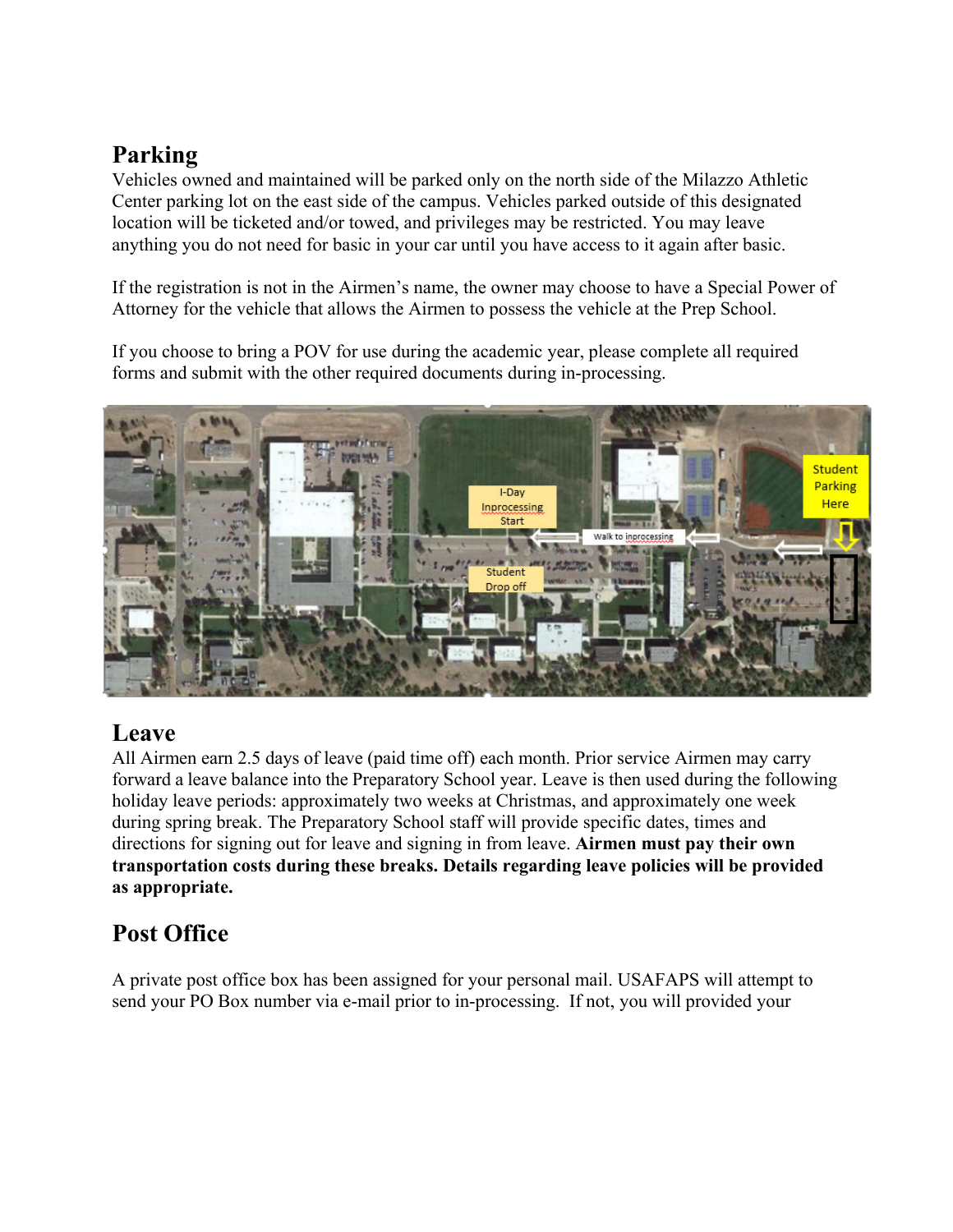# **Parking**

Vehicles owned and maintained will be parked only on the north side of the Milazzo Athletic Center parking lot on the east side of the campus. Vehicles parked outside of this designated location will be ticketed and/or towed, and privileges may be restricted. You may leave anything you do not need for basic in your car until you have access to it again after basic.

If the registration is not in the Airmen's name, the owner may choose to have a Special Power of Attorney for the vehicle that allows the Airmen to possess the vehicle at the Prep School.

If you choose to bring a POV for use during the academic year, please complete all required forms and submit with the other required documents during in-processing.



# **Leave**

All Airmen earn 2.5 days of leave (paid time off) each month. Prior service Airmen may carry forward a leave balance into the Preparatory School year. Leave is then used during the following holiday leave periods: approximately two weeks at Christmas, and approximately one week during spring break. The Preparatory School staff will provide specific dates, times and directions for signing out for leave and signing in from leave. **Airmen must pay their own transportation costs during these breaks. Details regarding leave policies will be provided as appropriate.** 

# **Post Office**

A private post office box has been assigned for your personal mail. USAFAPS will attempt to send your PO Box number via e-mail prior to in-processing. If not, you will provided your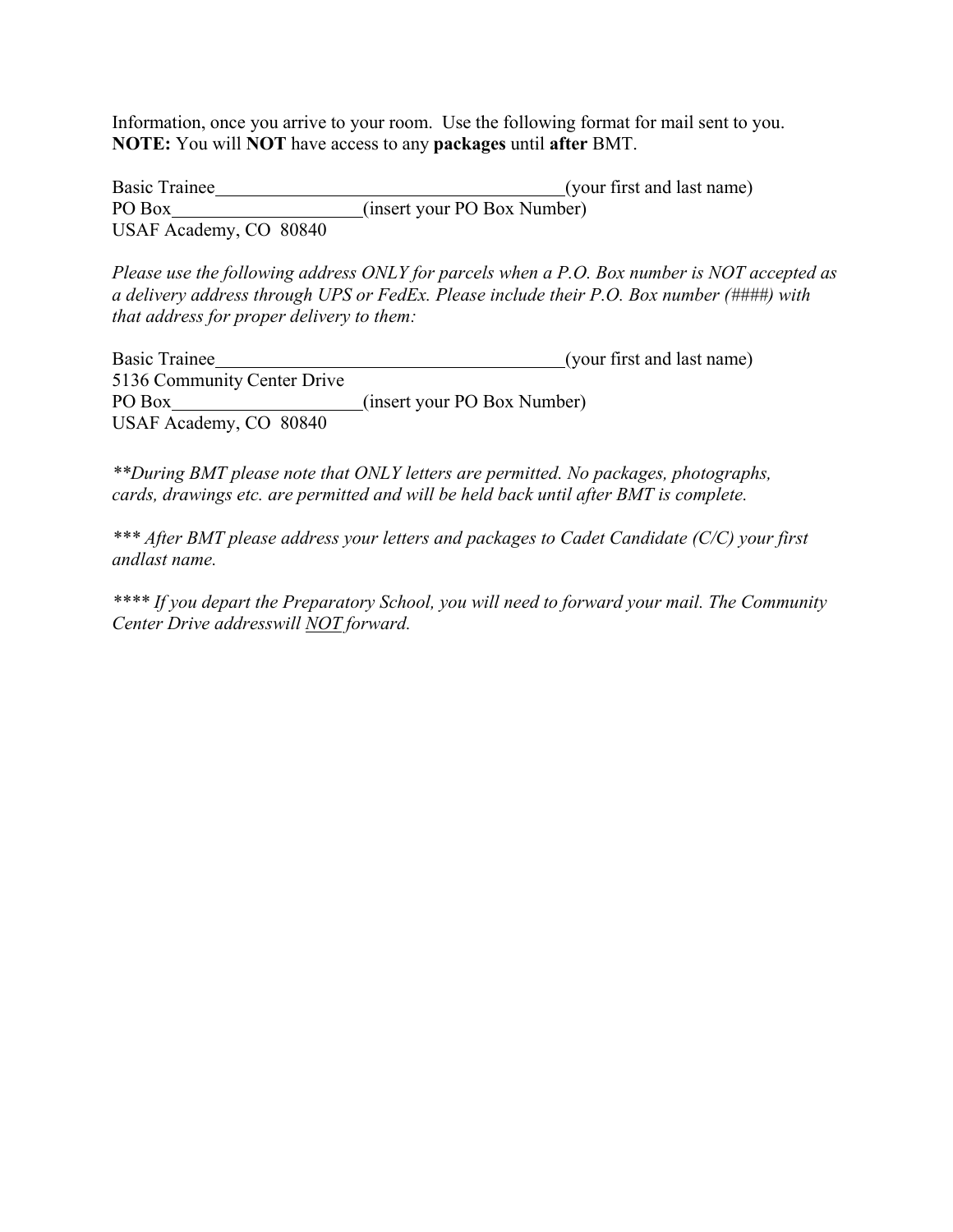Information, once you arrive to your room. Use the following format for mail sent to you. **NOTE:** You will **NOT** have access to any **packages** until **after** BMT.

Basic Trainee (your first and last name) PO Box (insert your PO Box Number) USAF Academy, CO 80840

*Please use the following address ONLY for parcels when a P.O. Box number is NOT accepted as a delivery address through UPS or FedEx. Please include their P.O. Box number (####) with that address for proper delivery to them:*

Basic Trainee (your first and last name) 5136 Community Center Drive PO Box (insert your PO Box Number) USAF Academy, CO 80840

*\*\*During BMT please note that ONLY letters are permitted. No packages, photographs, cards, drawings etc. are permitted and will be held back until after BMT is complete.*

*\*\*\* After BMT please address your letters and packages to Cadet Candidate (C/C) your first and last name.*

*\*\*\*\* If you depart the Preparatory School, you will need to forward your mail. The Community Center Drive address will NOT forward.*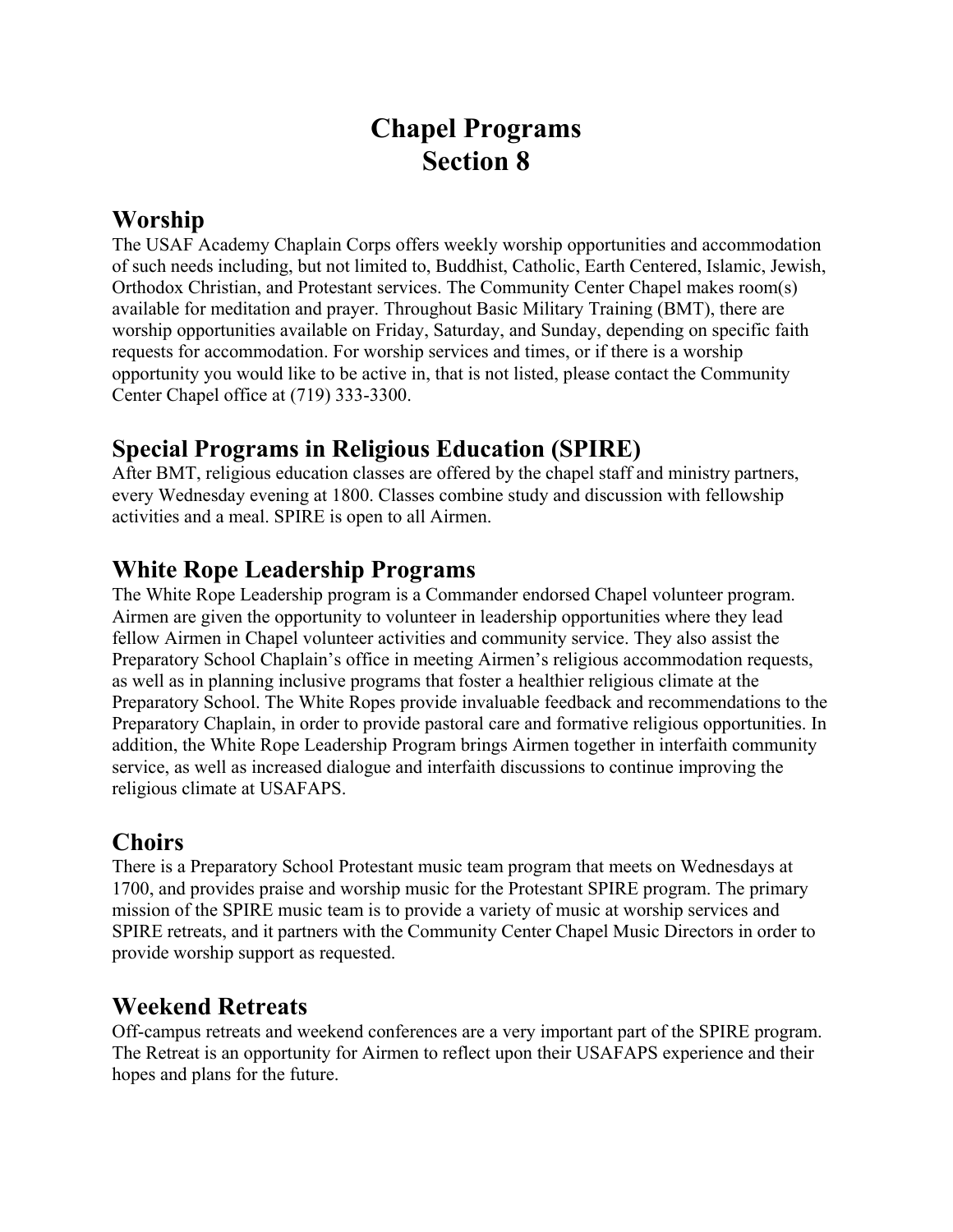# **Chapel Programs Section 8**

### **Worship**

The USAF Academy Chaplain Corps offers weekly worship opportunities and accommodation of such needs including, but not limited to, Buddhist, Catholic, Earth Centered, Islamic, Jewish, Orthodox Christian, and Protestant services. The Community Center Chapel makes room(s) available for meditation and prayer. Throughout Basic Military Training (BMT), there are worship opportunities available on Friday, Saturday, and Sunday, depending on specific faith requests for accommodation. For worship services and times, or if there is a worship opportunity you would like to be active in, that is not listed, please contact the Community Center Chapel office at (719) 333-3300.

### **Special Programs in Religious Education (SPIRE)**

After BMT, religious education classes are offered by the chapel staff and ministry partners, every Wednesday evening at 1800. Classes combine study and discussion with fellowship activities and a meal. SPIRE is open to all Airmen.

### **White Rope Leadership Programs**

The White Rope Leadership program is a Commander endorsed Chapel volunteer program. Airmen are given the opportunity to volunteer in leadership opportunities where they lead fellow Airmen in Chapel volunteer activities and community service. They also assist the Preparatory School Chaplain's office in meeting Airmen's religious accommodation requests, as well as in planning inclusive programs that foster a healthier religious climate at the Preparatory School. The White Ropes provide invaluable feedback and recommendations to the Preparatory Chaplain, in order to provide pastoral care and formative religious opportunities. In addition, the White Rope Leadership Program brings Airmen together in interfaith community service, as well as increased dialogue and interfaith discussions to continue improving the religious climate at USAFAPS.

### **Choirs**

There is a Preparatory School Protestant music team program that meets on Wednesdays at 1700, and provides praise and worship music for the Protestant SPIRE program. The primary mission of the SPIRE music team is to provide a variety of music at worship services and SPIRE retreats, and it partners with the Community Center Chapel Music Directors in order to provide worship support as requested.

### **Weekend Retreats**

Off-campus retreats and weekend conferences are a very important part of the SPIRE program. The Retreat is an opportunity for Airmen to reflect upon their USAFAPS experience and their hopes and plans for the future.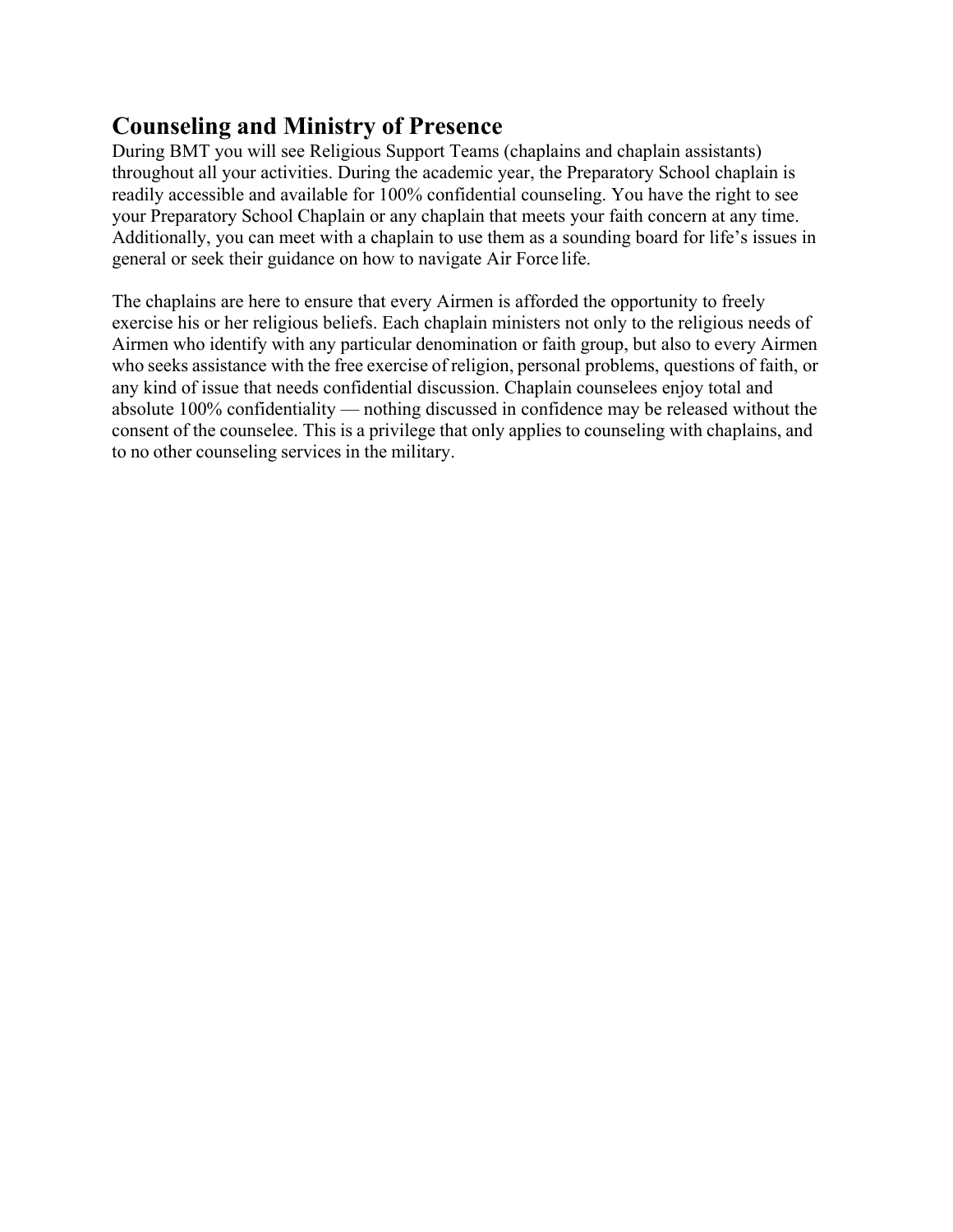### **Counseling and Ministry of Presence**

During BMT you will see Religious Support Teams (chaplains and chaplain assistants) throughout all your activities. During the academic year, the Preparatory School chaplain is readily accessible and available for 100% confidential counseling. You have the right to see your Preparatory School Chaplain or any chaplain that meets your faith concern at any time. Additionally, you can meet with a chaplain to use them as a sounding board for life's issues in general or seek their guidance on how to navigate Air Force life.

The chaplains are here to ensure that every Airmen is afforded the opportunity to freely exercise his or her religious beliefs. Each chaplain ministers not only to the religious needs of Airmen who identify with any particular denomination or faith group, but also to every Airmen who seeks assistance with the free exercise of religion, personal problems, questions of faith, or any kind of issue that needs confidential discussion. Chaplain counselees enjoy total and absolute 100% confidentiality — nothing discussed in confidence may be released without the consent of the counselee. This is a privilege that only applies to counseling with chaplains, and to no other counseling services in the military.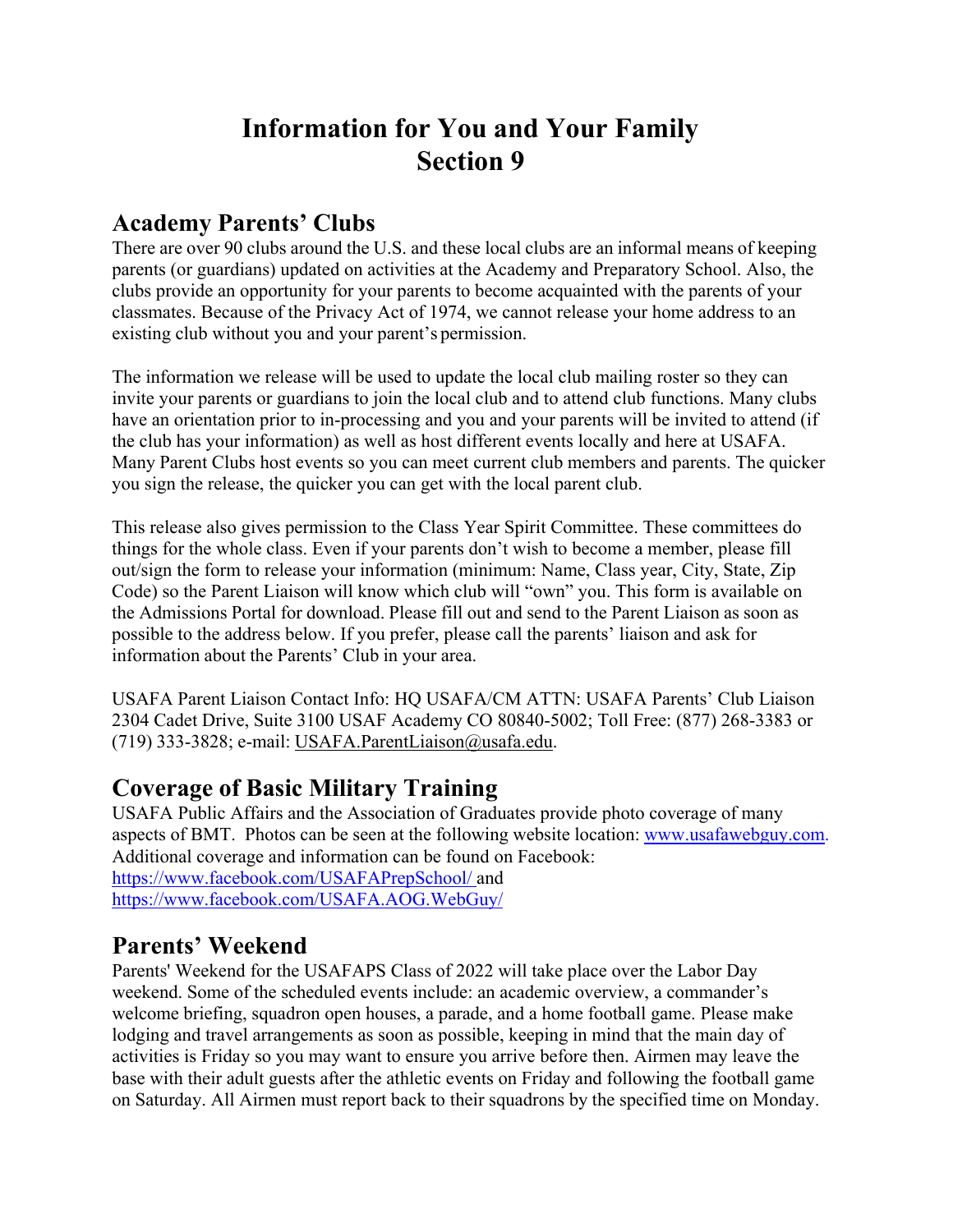# **Information for You and Your Family Section 9**

### **Academy Parents' Clubs**

There are over 90 clubs around the U.S. and these local clubs are an informal means of keeping parents (or guardians) updated on activities at the Academy and Preparatory School. Also, the clubs provide an opportunity for your parents to become acquainted with the parents of your classmates. Because of the Privacy Act of 1974, we cannot release your home address to an existing club without you and your parent's permission.

The information we release will be used to update the local club mailing roster so they can invite your parents or guardians to join the local club and to attend club functions. Many clubs have an orientation prior to in-processing and you and your parents will be invited to attend (if the club has your information) as well as host different events locally and here at USAFA. Many Parent Clubs host events so you can meet current club members and parents. The quicker you sign the release, the quicker you can get with the local parent club.

This release also gives permission to the Class Year Spirit Committee. These committees do things for the whole class. Even if your parents don't wish to become a member, please fill out/sign the form to release your information (minimum: Name, Class year, City, State, Zip Code) so the Parent Liaison will know which club will "own" you. This form is available on the Admissions Portal for download. Please fill out and send to the Parent Liaison as soon as possible to the address below. If you prefer, please call the parents' liaison and ask for information about the Parents' Club in your area.

USAFA Parent Liaison Contact Info: HQ USAFA/CM ATTN: USAFA Parents' Club Liaison 2304 Cadet Drive, Suite 3100 USAF Academy CO 80840-5002; Toll Free: (877) 268-3383 or (719) 333-3828; e-mail: USAFA.ParentLiaison@usafa.edu.

### **Coverage of Basic Military Training**

USAFA Public Affairs and the Association of Graduates provide photo coverage of many aspects of BMT. Photos can be seen at the following website location: www.usafawebguy.com. Additional coverage and information can be found on Facebook: https://www.facebook.com/USAFAPrepSchool/ and https://www.facebook.com/USAFA.AOG.WebGuy/

### **Parents' Weekend**

Parents' Weekend for the USAFAPS Class of 2022 will take place over the Labor Day weekend. Some of the scheduled events include: an academic overview, a commander's welcome briefing, squadron open houses, a parade, and a home football game. Please make lodging and travel arrangements as soon as possible, keeping in mind that the main day of activities is Friday so you may want to ensure you arrive before then. Airmen may leave the base with their adult guests after the athletic events on Friday and following the football game on Saturday. All Airmen must report back to their squadrons by the specified time on Monday.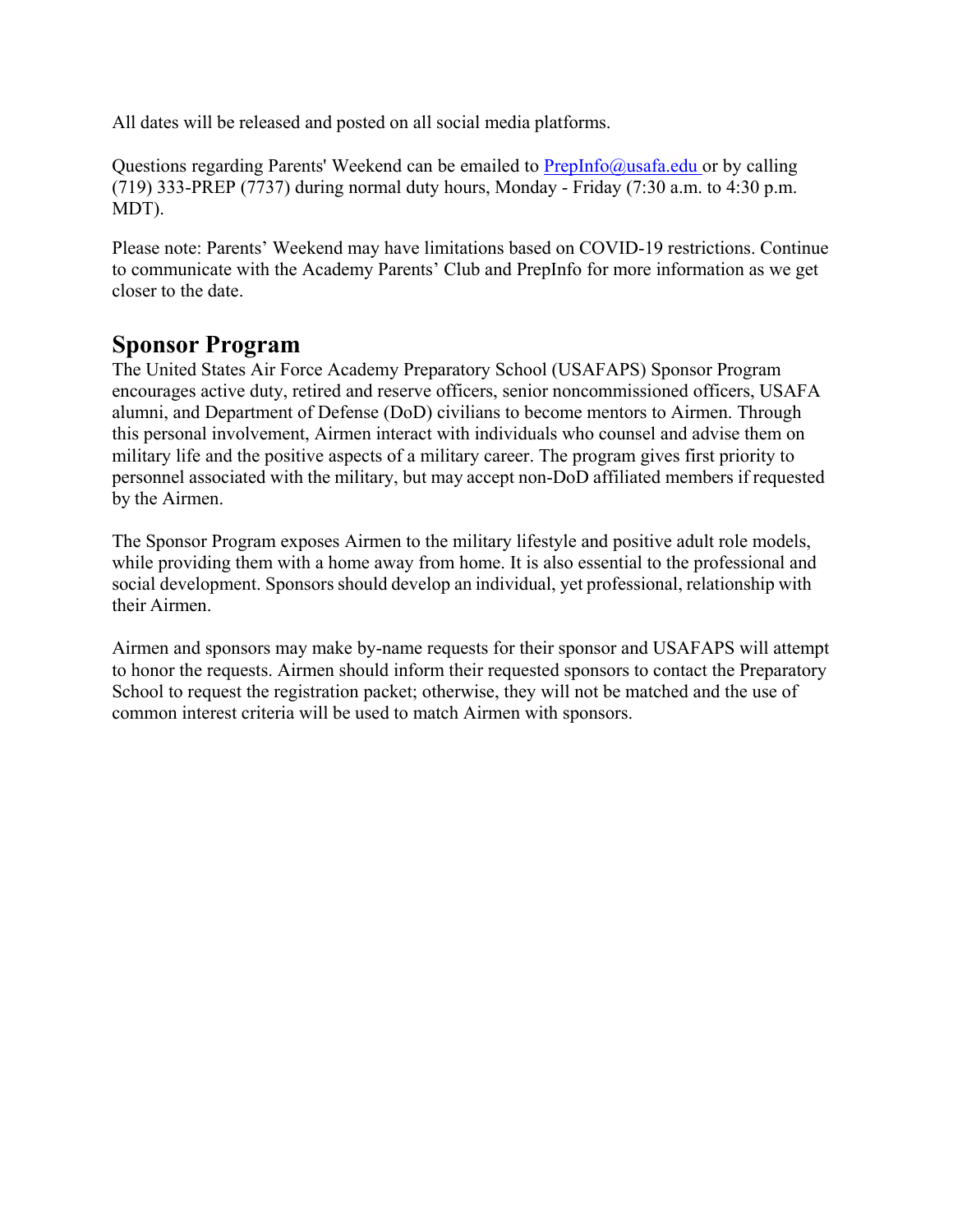All dates will be released and posted on all social media platforms.

Questions regarding Parents' Weekend can be emailed to  $Preplnfo@$ usafa.edu or by calling (719) 333-PREP (7737) during normal duty hours, Monday - Friday (7:30 a.m. to 4:30 p.m. MDT).

Please note: Parents' Weekend may have limitations based on COVID-19 restrictions. Continue to communicate with the Academy Parents' Club and PrepInfo for more information as we get closer to the date.

### **Sponsor Program**

The United States Air Force Academy Preparatory School (USAFAPS) Sponsor Program encourages active duty, retired and reserve officers, senior noncommissioned officers, USAFA alumni, and Department of Defense (DoD) civilians to become mentors to Airmen. Through this personal involvement, Airmen interact with individuals who counsel and advise them on military life and the positive aspects of a military career. The program gives first priority to personnel associated with the military, but may accept non-DoD affiliated members if requested by the Airmen.

The Sponsor Program exposes Airmen to the military lifestyle and positive adult role models, while providing them with a home away from home. It is also essential to the professional and social development. Sponsors should develop an individual, yet professional, relationship with their Airmen.

Airmen and sponsors may make by-name requests for their sponsor and USAFAPS will attempt to honor the requests. Airmen should inform their requested sponsors to contact the Preparatory School to request the registration packet; otherwise, they will not be matched and the use of common interest criteria will be used to match Airmen with sponsors.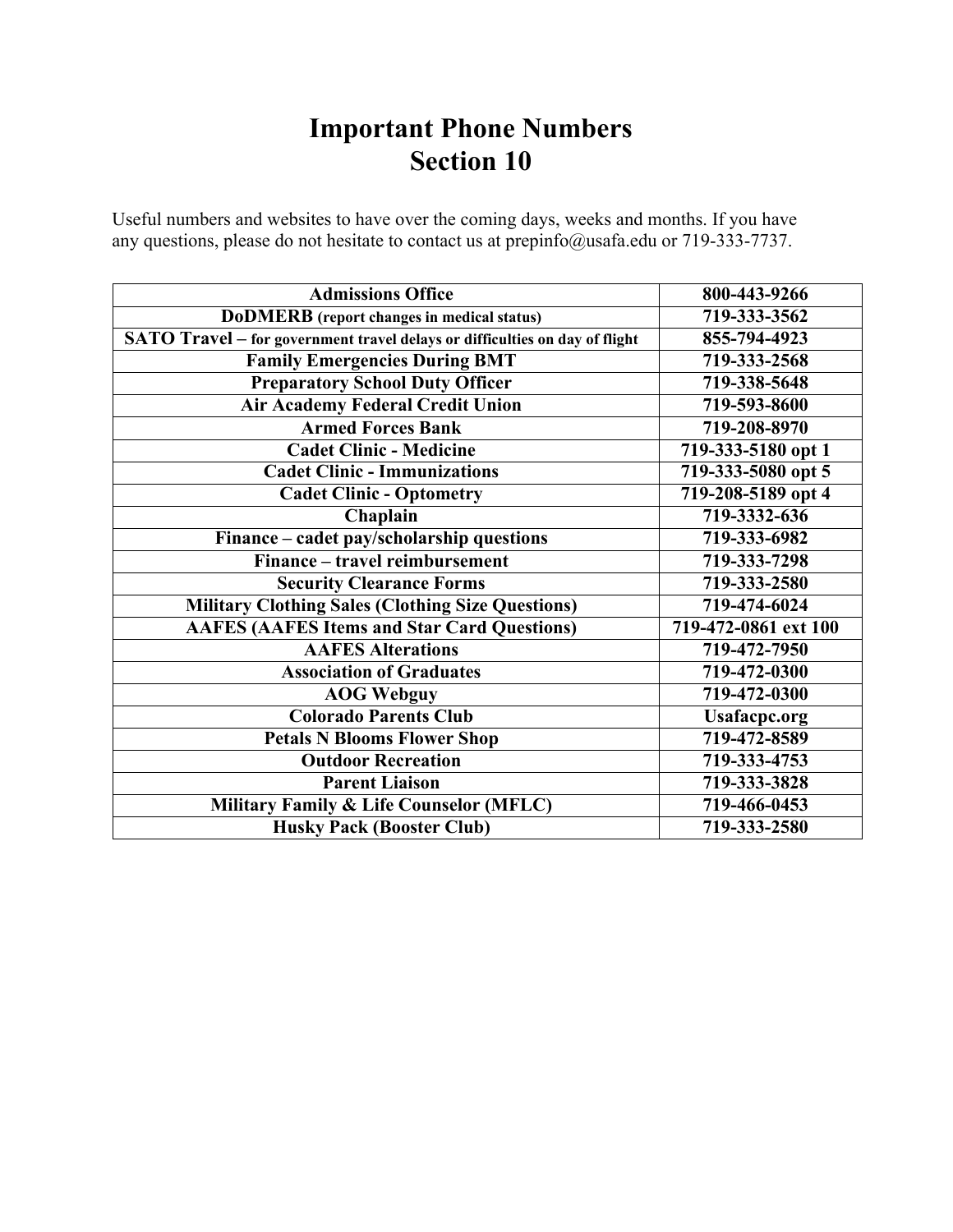# **Important Phone Numbers Section 10**

Useful numbers and websites to have over the coming days, weeks and months. If you have any questions, please do not hesitate to contact us at prepinfo@usafa.edu or 719-333-7737.

| <b>Admissions Office</b>                                                    | 800-443-9266         |
|-----------------------------------------------------------------------------|----------------------|
| <b>DoDMERB</b> (report changes in medical status)                           | 719-333-3562         |
| SATO Travel – for government travel delays or difficulties on day of flight | 855-794-4923         |
| <b>Family Emergencies During BMT</b>                                        | 719-333-2568         |
| <b>Preparatory School Duty Officer</b>                                      | 719-338-5648         |
| <b>Air Academy Federal Credit Union</b>                                     | 719-593-8600         |
| <b>Armed Forces Bank</b>                                                    | 719-208-8970         |
| <b>Cadet Clinic - Medicine</b>                                              | 719-333-5180 opt 1   |
| <b>Cadet Clinic - Immunizations</b>                                         | 719-333-5080 opt 5   |
| <b>Cadet Clinic - Optometry</b>                                             | 719-208-5189 opt 4   |
| Chaplain                                                                    | 719-3332-636         |
| Finance – cadet pay/scholarship questions                                   | 719-333-6982         |
| Finance – travel reimbursement                                              | 719-333-7298         |
| <b>Security Clearance Forms</b>                                             | 719-333-2580         |
| <b>Military Clothing Sales (Clothing Size Questions)</b>                    | 719-474-6024         |
| <b>AAFES (AAFES Items and Star Card Questions)</b>                          | 719-472-0861 ext 100 |
| <b>AAFES Alterations</b>                                                    | 719-472-7950         |
| <b>Association of Graduates</b>                                             | 719-472-0300         |
| <b>AOG Webguy</b>                                                           | 719-472-0300         |
| <b>Colorado Parents Club</b>                                                | <b>Usafacpc.org</b>  |
| <b>Petals N Blooms Flower Shop</b>                                          | 719-472-8589         |
| <b>Outdoor Recreation</b>                                                   | 719-333-4753         |
| <b>Parent Liaison</b>                                                       | 719-333-3828         |
| <b>Military Family &amp; Life Counselor (MFLC)</b>                          | 719-466-0453         |
| <b>Husky Pack (Booster Club)</b>                                            | 719-333-2580         |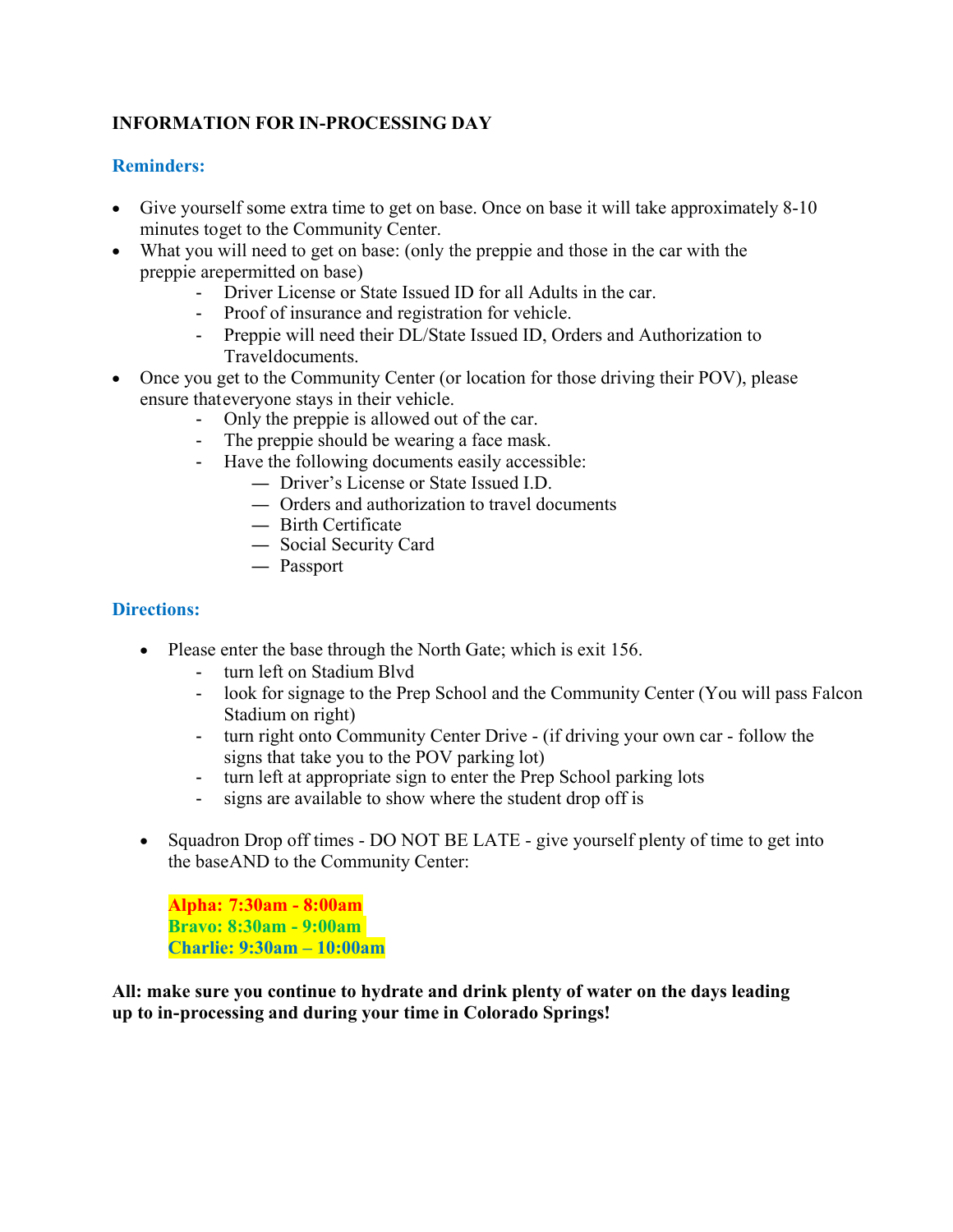#### **INFORMATION FOR IN-PROCESSING DAY**

#### **Reminders:**

- Give yourself some extra time to get on base. Once on base it will take approximately 8-10 minutes to get to the Community Center.
- What you will need to get on base: (only the preppie and those in the car with the preppie are permitted on base)
	- Driver License or State Issued ID for all Adults in the car.
	- Proof of insurance and registration for vehicle.
	- Preppie will need their DL/State Issued ID, Orders and Authorization to Travel documents.
- Once you get to the Community Center (or location for those driving their POV), please ensure that everyone stays in their vehicle.
	- Only the preppie is allowed out of the car.
	- The preppie should be wearing a face mask.
	- Have the following documents easily accessible:
		- Driver's License or State Issued I.D.
		- Orders and authorization to travel documents
		- Birth Certificate
		- Social Security Card
		- Passport

#### **Directions:**

- Please enter the base through the North Gate; which is exit 156.
	- turn left on Stadium Blvd
	- look for signage to the Prep School and the Community Center (You will pass Falcon Stadium on right)
	- turn right onto Community Center Drive (if driving your own car follow the signs that take you to the POV parking lot)
	- turn left at appropriate sign to enter the Prep School parking lots
	- signs are available to show where the student drop off is
- Squadron Drop off times DO NOT BE LATE give yourself plenty of time to get into the base AND to the Community Center:

**Alpha: 7:30am - 8:00am Bravo: 8:30am - 9:00am Charlie: 9:30am – 10:00am**

**All: make sure you continue to hydrate and drink plenty of water on the days leading up to in- processing and during your time in Colorado Springs!**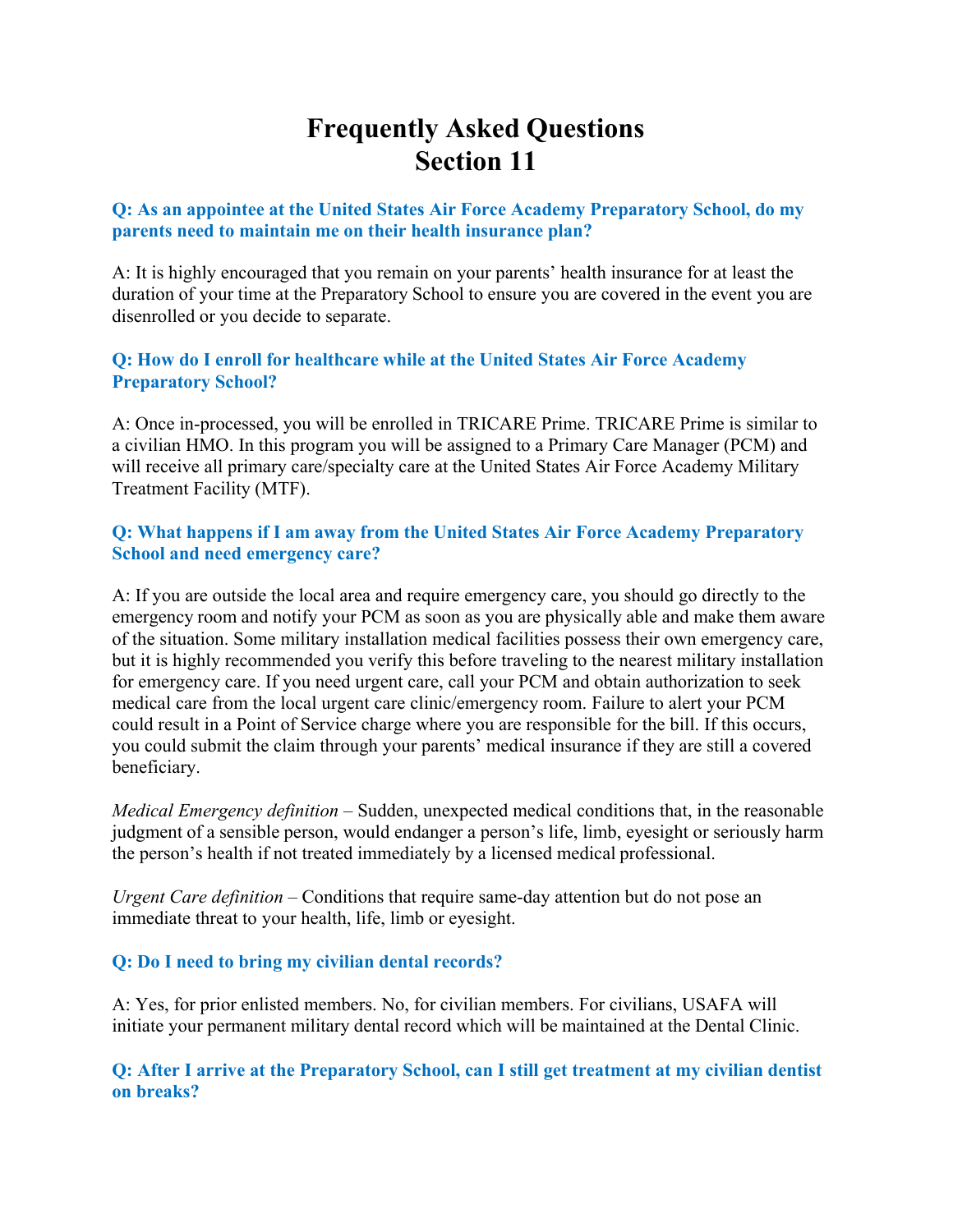# **Frequently Asked Questions Section 11**

#### **Q: As an appointee at the United States Air Force Academy Preparatory School, do my parents need to maintain me on their health insurance plan?**

A: It is highly encouraged that you remain on your parents' health insurance for at least the duration of your time at the Preparatory School to ensure you are covered in the event you are disenrolled or you decide to separate.

#### **Q: How do I enroll for healthcare while at the United States Air Force Academy Preparatory School?**

A: Once in-processed, you will be enrolled in TRICARE Prime. TRICARE Prime is similar to a civilian HMO. In this program you will be assigned to a Primary Care Manager (PCM) and will receive all primary care/specialty care at the United States Air Force Academy Military Treatment Facility (MTF).

#### **Q: What happens if I am away from the United States Air Force Academy Preparatory School and need emergency care?**

A: If you are outside the local area and require emergency care, you should go directly to the emergency room and notify your PCM as soon as you are physically able and make them aware of the situation. Some military installation medical facilities possess their own emergency care, but it is highly recommended you verify this before traveling to the nearest military installation for emergency care. If you need urgent care, call your PCM and obtain authorization to seek medical care from the local urgent care clinic/emergency room. Failure to alert your PCM could result in a Point of Service charge where you are responsible for the bill. If this occurs, you could submit the claim through your parents' medical insurance if they are still a covered beneficiary.

*Medical Emergency definition* – Sudden, unexpected medical conditions that, in the reasonable judgment of a sensible person, would endanger a person's life, limb, eyesight or seriously harm the person's health if not treated immediately by a licensed medical professional.

*Urgent Care definition* – Conditions that require same-day attention but do not pose an immediate threat to your health, life, limb or eyesight.

#### **Q: Do I need to bring my civilian dental records?**

A: Yes, for prior enlisted members. No, for civilian members. For civilians, USAFA will initiate your permanent military dental record which will be maintained at the Dental Clinic.

**Q: After I arrive at the Preparatory School, can I still get treatment at my civilian dentist on breaks?**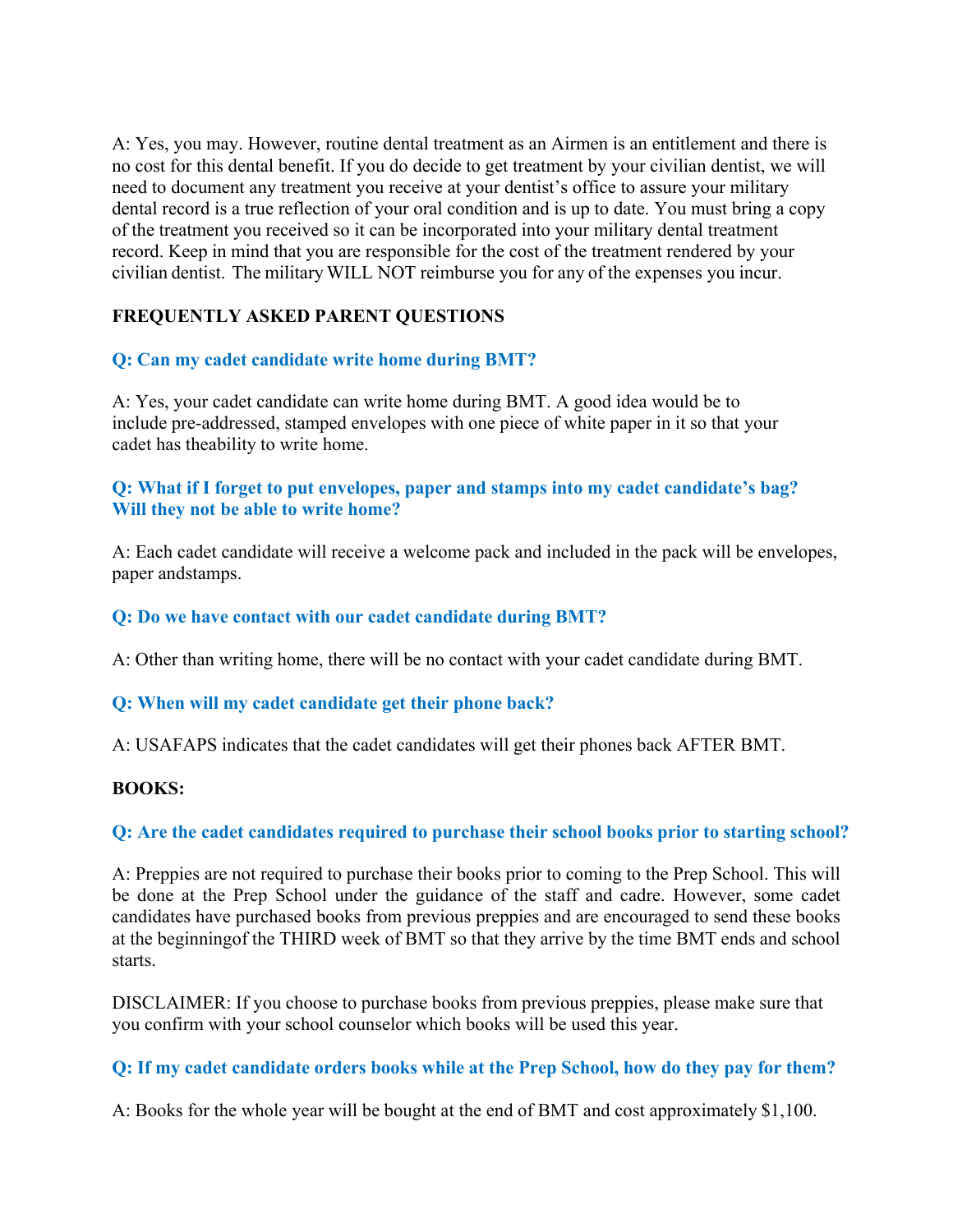A: Yes, you may. However, routine dental treatment as an Airmen is an entitlement and there is no cost for this dental benefit. If you do decide to get treatment by your civilian dentist, we will need to document any treatment you receive at your dentist's office to assure your military dental record is a true reflection of your oral condition and is up to date. You must bring a copy of the treatment you received so it can be incorporated into your military dental treatment record. Keep in mind that you are responsible for the cost of the treatment rendered by your civilian dentist. The military WILL NOT reimburse you for any of the expenses you incur.

#### **FREQUENTLY ASKED PARENT QUESTIONS**

#### **Q: Can my cadet candidate write home during BMT?**

A: Yes, your cadet candidate can write home during BMT. A good idea would be to include pre-addressed, stamped envelopes with one piece of white paper in it so that your cadet has the ability to write home.

#### **Q: What if I forget to put envelopes, paper and stamps into my cadet candidate's bag? Will they not be able to write home?**

A: Each cadet candidate will receive a welcome pack and included in the pack will be envelopes, paper and stamps.

#### **Q: Do we have contact with our cadet candidate during BMT?**

A: Other than writing home, there will be no contact with your cadet candidate during BMT.

#### **Q: When will my cadet candidate get their phone back?**

A: USAFAPS indicates that the cadet candidates will get their phones back AFTER BMT.

#### **BOOKS:**

#### **Q: Are the cadet candidates required to purchase their school books prior to starting school?**

A: Preppies are not required to purchase their books prior to coming to the Prep School. This will be done at the Prep School under the guidance of the staff and cadre. However, some cadet candidates have purchased books from previous preppies and are encouraged to send these books at the beginning of the THIRD week of BMT so that they arrive by the time BMT ends and school starts.

DISCLAIMER: If you choose to purchase books from previous preppies, please make sure that you confirm with your school counselor which books will be used this year.

#### **Q: If my cadet candidate orders books while at the Prep School, how do they pay for them?**

A: Books for the whole year will be bought at the end of BMT and cost approximately \$1,100.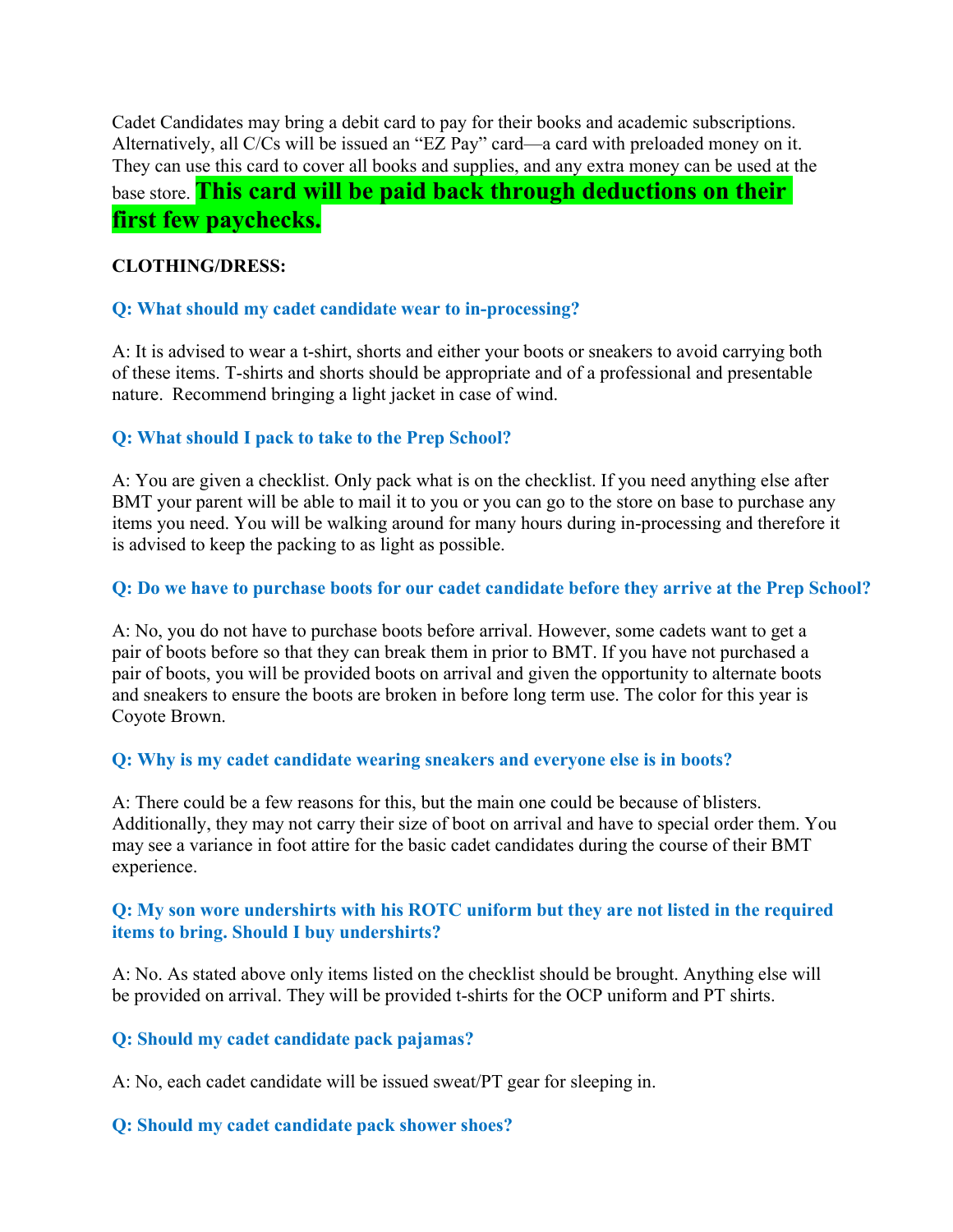Cadet Candidates may bring a debit card to pay for their books and academic subscriptions. Alternatively, all C/Cs will be issued an "EZ Pay" card—a card with preloaded money on it. They can use this card to cover all books and supplies, and any extra money can be used at the base store. **This card will be paid back through deductions on their first few paychecks.**

#### **CLOTHING/DRESS:**

#### **Q: What should my cadet candidate wear to in-processing?**

A: It is advised to wear a t-shirt, shorts and either your boots or sneakers to avoid carrying both of these items. T-shirts and shorts should be appropriate and of a professional and presentable nature. Recommend bringing a light jacket in case of wind.

#### **Q: What should I pack to take to the Prep School?**

A: You are given a checklist. Only pack what is on the checklist. If you need anything else after BMT your parent will be able to mail it to you or you can go to the store on base to purchase any items you need. You will be walking around for many hours during in-processing and therefore it is advised to keep the packing to as light as possible.

#### **Q: Do we have to purchase boots for our cadet candidate before they arrive at the Prep School?**

A: No, you do not have to purchase boots before arrival. However, some cadets want to get a pair of boots before so that they can break them in prior to BMT. If you have not purchased a pair of boots, you will be provided boots on arrival and given the opportunity to alternate boots and sneakers to ensure the boots are broken in before long term use. The color for this year is Coyote Brown.

#### **Q: Why is my cadet candidate wearing sneakers and everyone else is in boots?**

A: There could be a few reasons for this, but the main one could be because of blisters. Additionally, they may not carry their size of boot on arrival and have to special order them. You may see a variance in foot attire for the basic cadet candidates during the course of their BMT experience.

#### **Q: My son wore undershirts with his ROTC uniform but they are not listed in the required items to bring. Should I buy undershirts?**

A: No. As stated above only items listed on the checklist should be brought. Anything else will be provided on arrival. They will be provided t-shirts for the OCP uniform and PT shirts.

#### **Q: Should my cadet candidate pack pajamas?**

A: No, each cadet candidate will be issued sweat/PT gear for sleeping in.

#### **Q: Should my cadet candidate pack shower shoes?**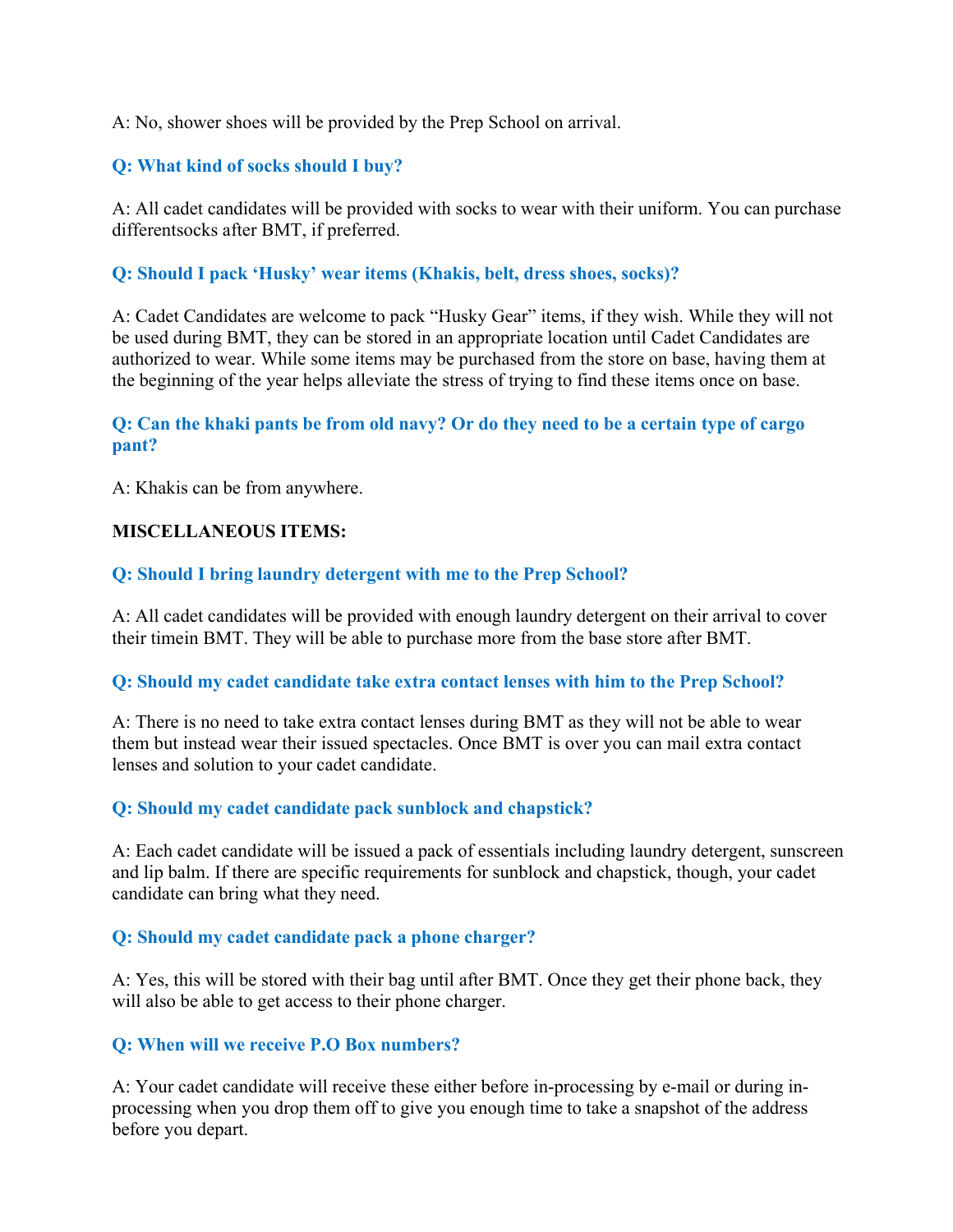A: No, shower shoes will be provided by the Prep School on arrival.

#### **Q: What kind of socks should I buy?**

A: All cadet candidates will be provided with socks to wear with their uniform. You can purchase different socks after BMT, if preferred.

#### **Q: Should I pack 'Husky' wear items (Khakis, belt, dress shoes, socks)?**

A: Cadet Candidates are welcome to pack "Husky Gear" items, if they wish. While they will not be used during BMT, they can be stored in an appropriate location until Cadet Candidates are authorized to wear. While some items may be purchased from the store on base, having them at the beginning of the year helps alleviate the stress of trying to find these items once on base.

#### **Q: Can the khaki pants be from old navy? Or do they need to be a certain type of cargo pant?**

A: Khakis can be from anywhere.

#### **MISCELLANEOUS ITEMS:**

#### **Q: Should I bring laundry detergent with me to the Prep School?**

A: All cadet candidates will be provided with enough laundry detergent on their arrival to cover their time in BMT. They will be able to purchase more from the base store after BMT.

#### **Q: Should my cadet candidate take extra contact lenses with him to the Prep School?**

A: There is no need to take extra contact lenses during BMT as they will not be able to wear them but instead wear their issued spectacles. Once BMT is over you can mail extra contact lenses and solution to your cadet candidate.

#### **Q: Should my cadet candidate pack sunblock and chapstick?**

A: Each cadet candidate will be issued a pack of essentials including laundry detergent, sunscreen and lip balm. If there are specific requirements for sunblock and chapstick, though, your cadet candidate can bring what they need.

#### **Q: Should my cadet candidate pack a phone charger?**

A: Yes, this will be stored with their bag until after BMT. Once they get their phone back, they will also be able to get access to their phone charger.

#### **Q: When will we receive P.O Box numbers?**

A: Your cadet candidate will receive these either before in-processing by e-mail or during inprocessing when you drop them off to give you enough time to take a snapshot of the address before you depart.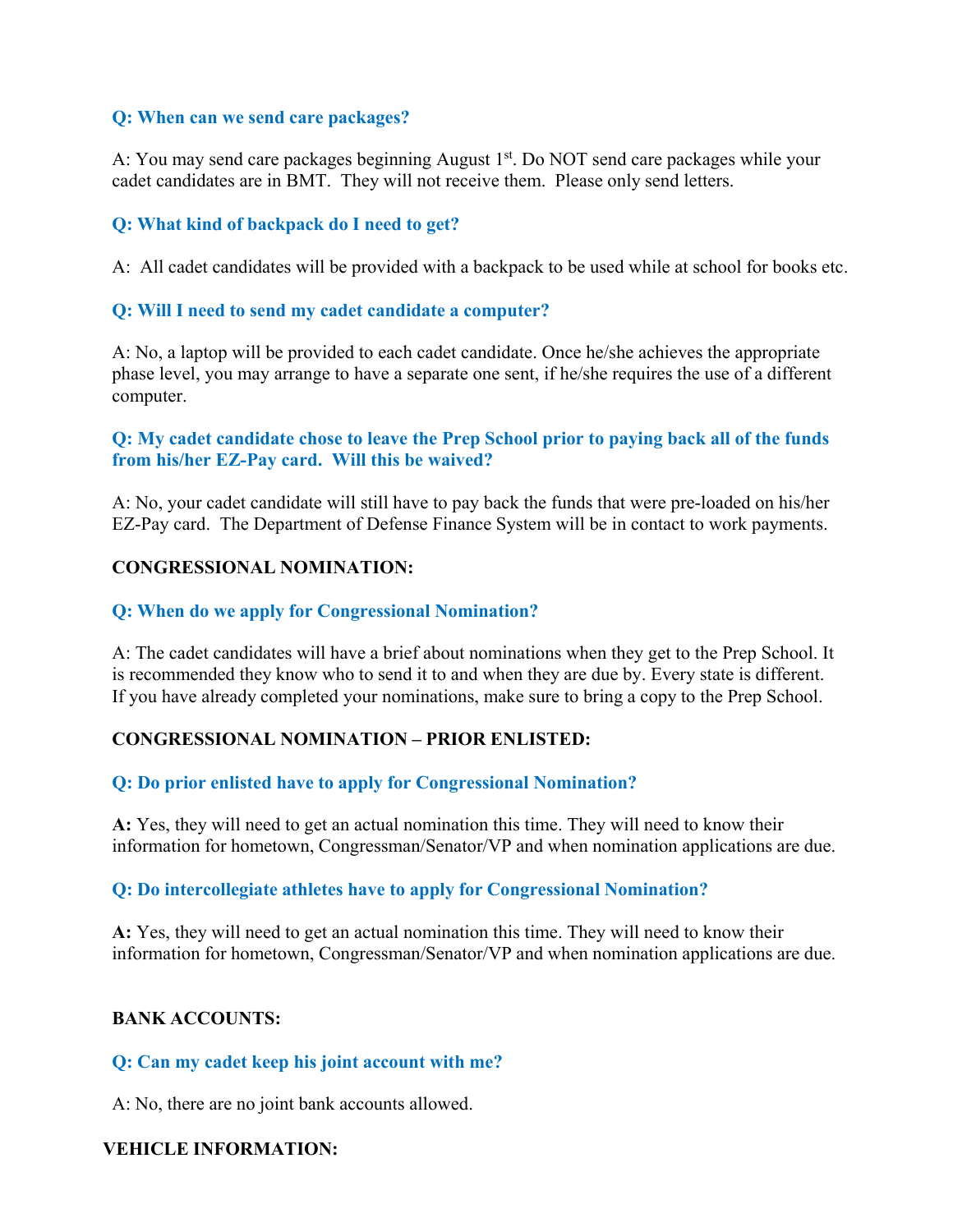#### **Q: When can we send care packages?**

A: You may send care packages beginning August 1st. Do NOT send care packages while your cadet candidates are in BMT. They will not receive them. Please only send letters.

#### **Q: What kind of backpack do I need to get?**

A: All cadet candidates will be provided with a backpack to be used while at school for books etc.

#### **Q: Will I need to send my cadet candidate a computer?**

A: No, a laptop will be provided to each cadet candidate. Once he/she achieves the appropriate phase level, you may arrange to have a separate one sent, if he/she requires the use of a different computer.

#### **Q: My cadet candidate chose to leave the Prep School prior to paying back all of the funds from his/her EZ-Pay card. Will this be waived?**

A: No, your cadet candidate will still have to pay back the funds that were pre-loaded on his/her EZ-Pay card. The Department of Defense Finance System will be in contact to work payments.

#### **CONGRESSIONAL NOMINATION:**

#### **Q: When do we apply for Congressional Nomination?**

A: The cadet candidates will have a brief about nominations when they get to the Prep School. It is recommended they know who to send it to and when they are due by. Every state is different. If you have already completed your nominations, make sure to bring a copy to the Prep School.

#### **CONGRESSIONAL NOMINATION – PRIOR ENLISTED:**

#### **Q: Do prior enlisted have to apply for Congressional Nomination?**

**A:** Yes, they will need to get an actual nomination this time. They will need to know their information for hometown, Congressman/Senator/VP and when nomination applications are due.

#### **Q: Do intercollegiate athletes have to apply for Congressional Nomination?**

**A:** Yes, they will need to get an actual nomination this time. They will need to know their information for hometown, Congressman/Senator/VP and when nomination applications are due.

#### **BANK ACCOUNTS:**

#### **Q: Can my cadet keep his joint account with me?**

A: No, there are no joint bank accounts allowed.

#### **VEHICLE INFORMATION:**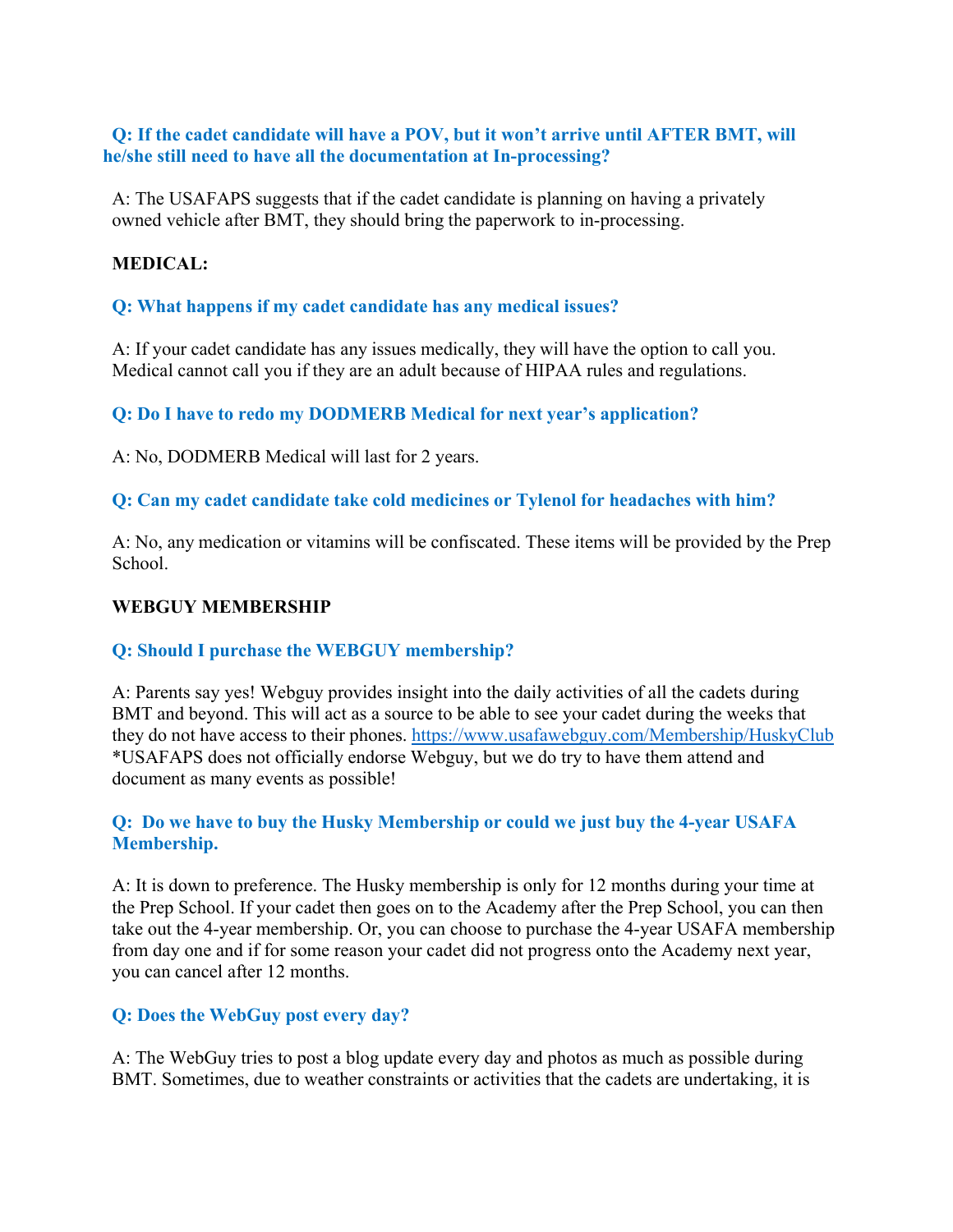#### **Q: If the cadet candidate will have a POV, but it won't arrive until AFTER BMT, will he/she still need to have all the documentation at In-processing?**

A: The USAFAPS suggests that if the cadet candidate is planning on having a privately owned vehicle after BMT, they should bring the paperwork to in-processing.

#### **MEDICAL:**

#### **Q: What happens if my cadet candidate has any medical issues?**

A: If your cadet candidate has any issues medically, they will have the option to call you. Medical cannot call you if they are an adult because of HIPAA rules and regulations.

#### **Q: Do I have to redo my DODMERB Medical for next year's application?**

#### A: No, DODMERB Medical will last for 2 years.

#### **Q: Can my cadet candidate take cold medicines or Tylenol for headaches with him?**

A: No, any medication or vitamins will be confiscated. These items will be provided by the Prep School.

#### **WEBGUY MEMBERSHIP**

#### **Q: Should I purchase the WEBGUY membership?**

A: Parents say yes! Webguy provides insight into the daily activities of all the cadets during BMT and beyond. This will act as a source to be able to see your cadet during the weeks that they do not have access to their phones. https://www.usafawebguy.com/Membership/HuskyClub \*USAFAPS does not officially endorse Webguy, but we do try to have them attend and document as many events as possible!

#### **Q: Do we have to buy the Husky Membership or could we just buy the 4-year USAFA Membership.**

A: It is down to preference. The Husky membership is only for 12 months during your time at the Prep School. If your cadet then goes on to the Academy after the Prep School, you can then take out the 4-year membership. Or, you can choose to purchase the 4-year USAFA membership from day one and if for some reason your cadet did not progress onto the Academy next year, you can cancel after 12 months.

#### **Q: Does the WebGuy post every day?**

A: The WebGuy tries to post a blog update every day and photos as much as possible during BMT. Sometimes, due to weather constraints or activities that the cadets are undertaking, it is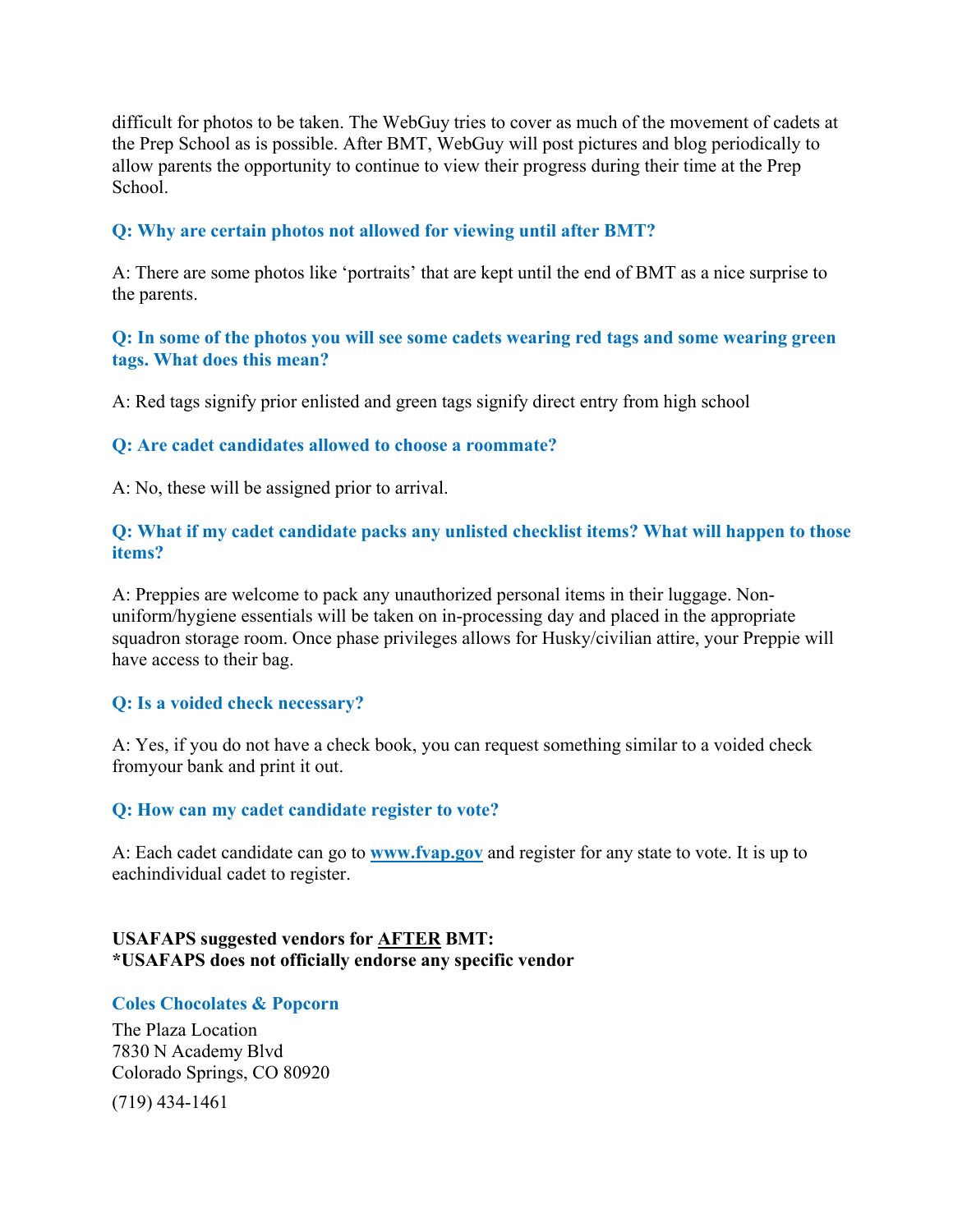difficult for photos to be taken. The WebGuy tries to cover as much of the movement of cadets at the Prep School as is possible. After BMT, WebGuy will post pictures and blog periodically to allow parents the opportunity to continue to view their progress during their time at the Prep School.

#### **Q: Why are certain photos not allowed for viewing until after BMT?**

A: There are some photos like 'portraits' that are kept until the end of BMT as a nice surprise to the parents.

#### **Q: In some of the photos you will see some cadets wearing red tags and some wearing green tags. What does this mean?**

A: Red tags signify prior enlisted and green tags signify direct entry from high school

#### **Q: Are cadet candidates allowed to choose a roommate?**

A: No, these will be assigned prior to arrival.

#### **Q: What if my cadet candidate packs any unlisted checklist items? What will happen to those items?**

A: Preppies are welcome to pack any unauthorized personal items in their luggage. Nonuniform/hygiene essentials will be taken on in-processing day and placed in the appropriate squadron storage room. Once phase privileges allows for Husky/civilian attire, your Preppie will have access to their bag.

#### **Q: Is a voided check necessary?**

A: Yes, if you do not have a check book, you can request something similar to a voided check from your bank and print it out.

#### **Q: How can my cadet candidate register to vote?**

A: Each cadet candidate can go to **www.fvap.gov** and register for any state to vote. It is up to eachindividual cadet to register.

#### **USAFAPS suggested vendors for AFTER BMT: \*USAFAPS does not officially endorse any specific vendor**

#### **Coles Chocolates & Popcorn**

The Plaza Location 7830 N Academy Blvd Colorado Springs, CO 80920 (719) 434-1461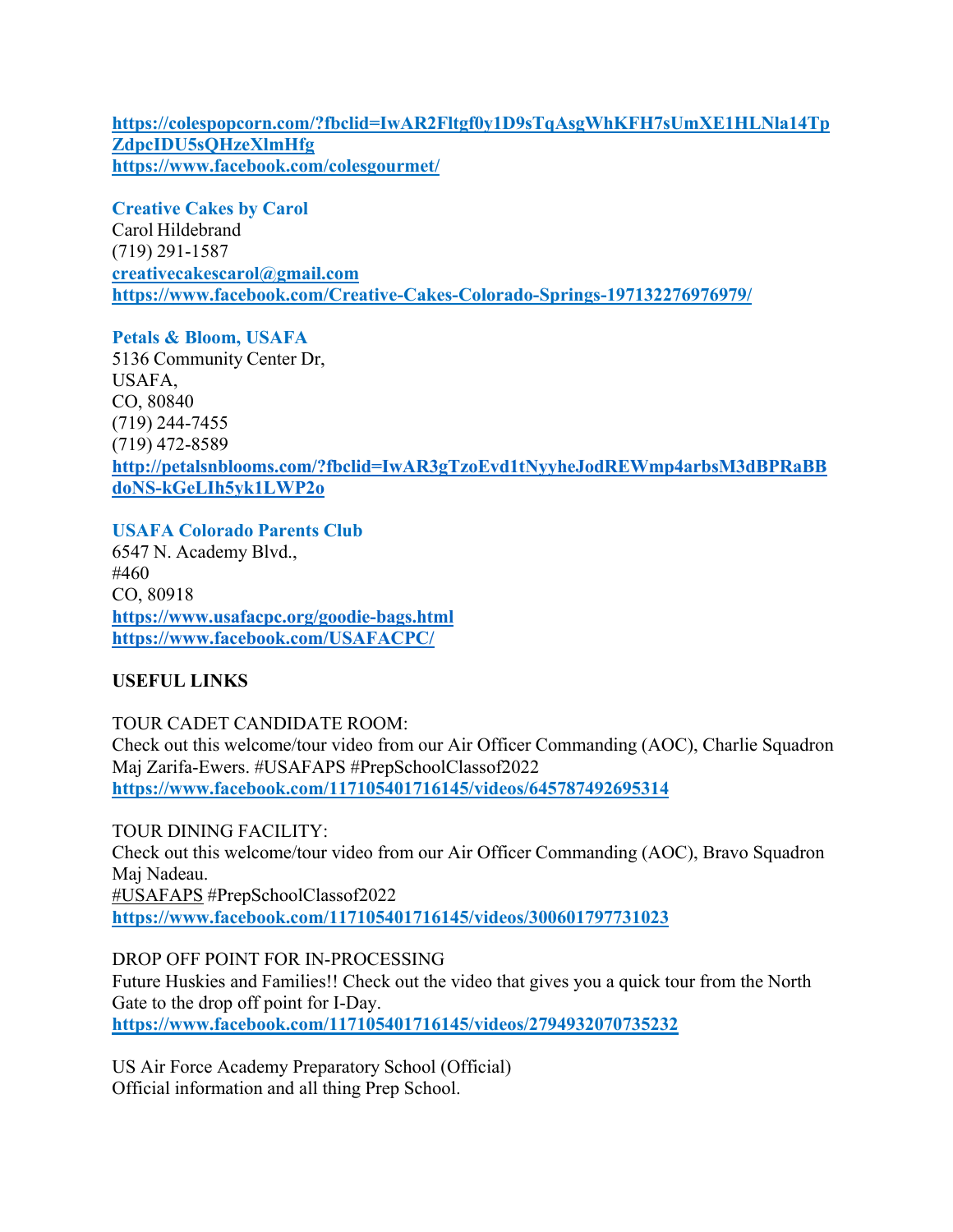**https://colespopcorn.com/?fbclid=IwAR2Fltgf0y1D9sTqAsgWhKFH7sUmXE1HLNla14Tp ZdpcIDU5sQHzeXlmHfg https://www.facebook.com/colesgourmet/**

**Creative Cakes by Carol** Carol Hildebrand (719) 291-1587 **creativecakescarol@gmail.com https://www.facebook.com/Creative-Cakes-Colorado-Springs-197132276976979/**

**Petals & Bloom, USAFA**  5136 Community Center Dr, USAFA, CO, 80840 (719) 244-7455 (719) 472-8589 **http://petalsnblooms.com/?fbclid=IwAR3gTzoEvd1tNyyheJodREWmp4arbsM3dBPRaBB doNS-kGeLIh5yk1LWP2o**

**USAFA Colorado Parents Club** 6547 N. Academy Blvd., #460 CO, 80918 **https://www.usafacpc.org/goodie-bags.html https://www.facebook.com/USAFACPC/**

#### **USEFUL LINKS**

TOUR CADET CANDIDATE ROOM: Check out this welcome/tour video from our Air Officer Commanding (AOC), Charlie Squadron Maj Zarifa-Ewers. #USAFAPS #PrepSchoolClassof2022 **https://www.facebook.com/117105401716145/videos/645787492695314**

TOUR DINING FACILITY: Check out this welcome/tour video from our Air Officer Commanding (AOC), Bravo Squadron Maj Nadeau. #USAFAPS #PrepSchoolClassof2022 **https://www.facebook.com/117105401716145/videos/300601797731023**

DROP OFF POINT FOR IN-PROCESSING Future Huskies and Families!! Check out the video that gives you a quick tour from the North Gate to the drop off point for I-Day. **https://www.facebook.com/117105401716145/videos/2794932070735232**

US Air Force Academy Preparatory School (Official) Official information and all thing Prep School.